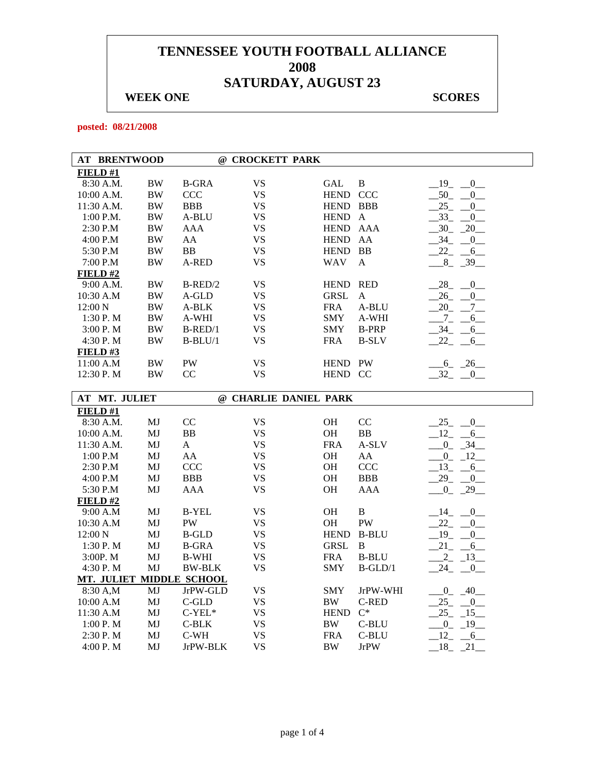## **WEEK ONE** SCORES

**posted: 08/21/2008** 

| <b>AT BRENTWOOD</b> |           | $^{\omega}$  | <b>CROCKETT PARK</b> |             |               |                                 |
|---------------------|-----------|--------------|----------------------|-------------|---------------|---------------------------------|
| FIELD #1            |           |              |                      |             |               |                                 |
| 8:30 A.M.           | <b>BW</b> | <b>B-GRA</b> | <b>VS</b>            | GAL         | B             | $-19$ $-0$ $-$                  |
| 10:00 A.M.          | BW        | <b>CCC</b>   | <b>VS</b>            | <b>HEND</b> | <b>CCC</b>    | 50<br>$\sim 0$                  |
| 11:30 A.M.          | <b>BW</b> | <b>BBB</b>   | <b>VS</b>            | <b>HEND</b> | <b>BBB</b>    | 25<br>$\overline{0}$            |
| $1:00$ P.M.         | <b>BW</b> | A-BLU        | <b>VS</b>            | <b>HEND</b> | $\mathsf{A}$  | 33<br>$\overline{0}$            |
| $2:30$ P.M          | <b>BW</b> | AAA          | <b>VS</b>            | <b>HEND</b> | AAA           | 30<br>20                        |
| 4:00 P.M            | <b>BW</b> | AA           | <b>VS</b>            | <b>HEND</b> | AA            | 34<br>$\overline{0}$            |
| 5:30 P.M            | <b>BW</b> | <b>BB</b>    | <b>VS</b>            | <b>HEND</b> | <b>BB</b>     | 22<br>6                         |
| 7:00 P.M            | <b>BW</b> | A-RED        | <b>VS</b>            | <b>WAV</b>  | A             | 8<br>$-39$                      |
| FIELD# $2$          |           |              |                      |             |               |                                 |
| 9:00 A.M.           | <b>BW</b> | $B$ -RED/2   | <b>VS</b>            | <b>HEND</b> | <b>RED</b>    | 28<br>$\overline{0}$            |
| 10:30 A.M           | <b>BW</b> | A-GLD        | <b>VS</b>            | <b>GRSL</b> | A             | 26<br>$\overline{\phantom{0}}0$ |
| $12:00\ N$          | <b>BW</b> | A-BLK        | <b>VS</b>            | <b>FRA</b>  | A-BLU         | 20<br>$7\overline{ }$           |
| 1:30P. M            | <b>BW</b> | A-WHI        | <b>VS</b>            | <b>SMY</b>  | A-WHI         | 6                               |
| 3:00P. M            | BW        | $B-RED/1$    | <b>VS</b>            | <b>SMY</b>  | <b>B-PRP</b>  | 34<br>6                         |
| 4:30 P.M            | <b>BW</b> | $B-BLU/1$    | VS                   | <b>FRA</b>  | <b>B-SLV</b>  | 22<br>6                         |
| FIELD#3             |           |              |                      |             |               |                                 |
| 11:00 A.M           | <b>BW</b> | PW           | <b>VS</b>            | <b>HEND</b> | <b>PW</b>     | 6 26                            |
| 12:30 P.M           | <b>BW</b> | CC           | VS                   | <b>HEND</b> | <sub>CC</sub> | 32<br>$\sim 0$                  |
|                     |           |              |                      |             |               |                                 |

| <b>AT MT. JULIET</b> |                          | $^{\omega}{}$ | <b>CHARLIE DANIEL PARK</b> |             |              |                         |
|----------------------|--------------------------|---------------|----------------------------|-------------|--------------|-------------------------|
| FIELD#1              |                          |               |                            |             |              |                         |
| 8:30 A.M.            | MJ                       | CC            | VS                         | <b>OH</b>   | CC           | 25<br>0                 |
| $10:00$ A.M.         | MJ                       | BB            | <b>VS</b>                  | <b>OH</b>   | BB           | $-12$ , $-6$            |
| 11:30 A.M.           | MJ                       | A             | VS                         | <b>FRA</b>  | A-SLV        | $\overline{0}$<br>$-34$ |
| 1:00 P.M             | MJ                       | AA            | VS                         | <b>OH</b>   | AA           | 12<br>$\overline{0}$    |
| $2:30$ P.M           | MJ                       | CCC           | VS                         | <b>OH</b>   | <b>CCC</b>   | $-13$<br>$-6$           |
| 4:00 P.M             | MJ                       | <b>BBB</b>    | VS.                        | <b>OH</b>   | <b>BBB</b>   | $-29$ $-0$              |
| 5:30 P.M             | MJ                       | AAA           | VS                         | <b>OH</b>   | AAA          | $-0$ $-29$              |
| FIELD#2              |                          |               |                            |             |              |                         |
| 9:00 A.M             | MJ                       | <b>B-YEL</b>  | VS.                        | <b>OH</b>   | B            | 14<br>0                 |
| 10:30 A.M            | MJ                       | PW            | VS                         | <b>OH</b>   | PW           | 22<br>$\mathbf{0}$      |
| 12:00 N              | MJ                       | <b>B-GLD</b>  | VS.                        | <b>HEND</b> | <b>B-BLU</b> | 19<br>$\mathbf{0}$      |
| 1:30P. M             | MJ                       | <b>B-GRA</b>  | VS.                        | <b>GRSL</b> | B            | $-21$<br>$-6$           |
| 3:00P. M             | MJ                       | <b>B-WHI</b>  | VS                         | <b>FRA</b>  | <b>B-BLU</b> | 13<br>2                 |
| 4:30 P.M             | MJ                       | <b>BW-BLK</b> | VS                         | <b>SMY</b>  | $B-GLD/1$    | 24<br>$-0$              |
|                      | MT. JULIET MIDDLE SCHOOL |               |                            |             |              |                         |
| 8:30 A,M             | MJ                       | JrPW-GLD      | VS                         | <b>SMY</b>  | JrPW-WHI     | 40<br>$\overline{0}$    |
| 10:00 A.M            | MJ                       | C-GLD         | VS                         | <b>BW</b>   | C-RED        | 25<br>$\boxed{0}$       |
| 11:30 A.M            | MJ                       | $C-YEL*$      | VS                         | <b>HEND</b> | $C^*$        | $-15$<br>25             |
| 1:00 P. M            | MJ                       | C-BLK         | VS                         | <b>BW</b>   | C-BLU        | 19<br>$\overline{0}$    |
| 2:30 P. M            | MJ                       | C-WH          | VS.                        | <b>FRA</b>  | C-BLU        | 12<br>$-6$              |
| 4:00 P.M             | MJ                       | JrPW-BLK      | VS                         | BW          | <b>JrPW</b>  | $-18$ $-21$             |
|                      |                          |               |                            |             |              |                         |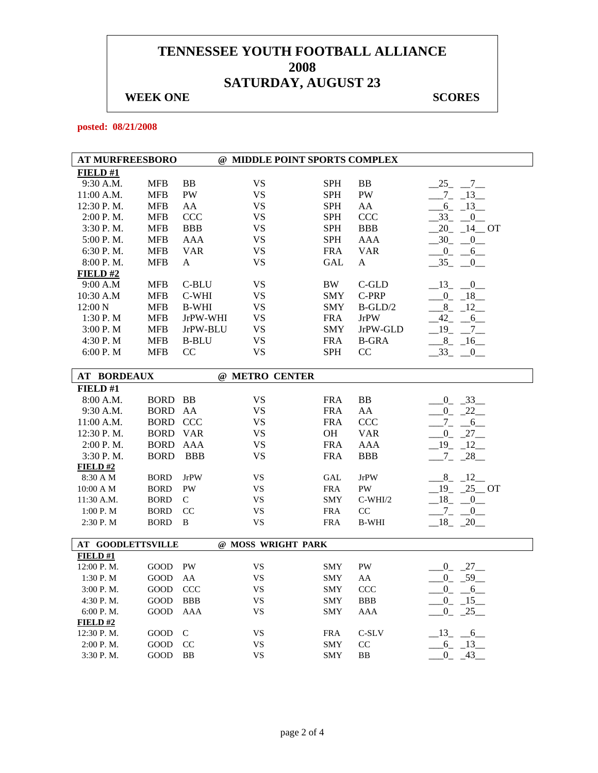## **WEEK ONE** SCORES

**posted: 08/21/2008** 

| <b>AT MURFREESBORO</b>   |                |              | @ MIDDLE POINT SPORTS COMPLEX |            |              |                          |
|--------------------------|----------------|--------------|-------------------------------|------------|--------------|--------------------------|
| FIELD #1                 |                |              |                               |            |              |                          |
| 9:30 A.M.                | <b>MFB</b>     | <b>BB</b>    | <b>VS</b>                     | <b>SPH</b> | BB           | $-25$ $-7$ $-$           |
| 11:00 A.M.               | <b>MFB</b>     | PW           | <b>VS</b>                     | <b>SPH</b> | PW           | $-7 - 13$                |
| 12:30 P.M.               | MFB            | AA           | VS                            | <b>SPH</b> | AA           | $-6 - 13$                |
| 2:00 P.M.                | <b>MFB</b>     | CCC          | VS                            | <b>SPH</b> | CCC          | $33 - 0$                 |
| 3:30 P.M.                | <b>MFB</b>     | <b>BBB</b>   | VS                            | <b>SPH</b> | <b>BBB</b>   | $20 - 14$ OT             |
| 5:00 P.M.                | <b>MFB</b>     | AAA          | VS                            | <b>SPH</b> | <b>AAA</b>   | $-30 - 0$                |
| 6:30 P.M.                | <b>MFB</b>     | <b>VAR</b>   | VS                            | <b>FRA</b> | <b>VAR</b>   | $-0$ $-6$                |
| 8:00 P. M.               | MFB            | A            | VS                            | GAL        | A            | $-35$<br>$\mathbf{0}$    |
| FIELD#2                  |                |              |                               |            |              |                          |
| 9:00 A.M                 | <b>MFB</b>     | C-BLU        | VS                            | <b>BW</b>  | C-GLD        | $-13$ $-0$               |
| 10:30 A.M                | <b>MFB</b>     | C-WHI        | <b>VS</b>                     | <b>SMY</b> | C-PRP        | $-0$ $-18$               |
| 12:00 N                  | <b>MFB</b>     | <b>B-WHI</b> | <b>VS</b>                     | <b>SMY</b> | $B-GLD/2$    | $-8 - 12$                |
| 1:30 P.M                 | <b>MFB</b>     | JrPW-WHI     | VS                            | <b>FRA</b> | <b>JrPW</b>  | $-42 - -6$               |
| 3:00 P.M                 | <b>MFB</b>     | JrPW-BLU     | VS                            | <b>SMY</b> | JrPW-GLD     | $-19 - -7$               |
| 4:30 P.M                 | <b>MFB</b>     | <b>B-BLU</b> | <b>VS</b>                     | <b>FRA</b> | <b>B-GRA</b> | $-8$ $-16$               |
| 6:00 P. M                | MFB            | CC           | VS                            | SPH        | CC           | $-33 - 0$                |
|                          |                |              |                               |            |              |                          |
| <b>AT BORDEAUX</b>       |                |              | @ METRO CENTER                |            |              |                          |
| FIELD#1                  |                |              |                               |            |              |                          |
| 8:00 A.M.                | <b>BORD BB</b> |              | <b>VS</b>                     | FRA        | ${\bf BB}$   | $-0$ $-33$               |
| 9:30 A.M.                | $\rm BORD$     | AA           | <b>VS</b>                     | <b>FRA</b> | AA           | $0 - 22$                 |
| 11:00 A.M.               | <b>BORD</b>    | <b>CCC</b>   | VS                            | <b>FRA</b> | CCC          | $-7 - -6$                |
| 12:30 P.M.               | <b>BORD</b>    | <b>VAR</b>   | VS                            | OН         | <b>VAR</b>   | $0 - 27$                 |
| 2:00 P.M.                | <b>BORD</b>    | <b>AAA</b>   | <b>VS</b>                     | <b>FRA</b> | AAA          | $19 - 12$                |
| 3:30 P.M.                | <b>BORD</b>    | <b>BBB</b>   | VS                            | <b>FRA</b> | <b>BBB</b>   | $-7 - 28$                |
| <b>FIELD#2</b>           |                |              |                               |            |              |                          |
| 8:30 A M                 | <b>BORD</b>    | <b>JrPW</b>  | VS                            | GAL        | <b>JrPW</b>  | $8 - 12$                 |
| 10:00 A M                | <b>BORD</b>    | PW           | VS                            | <b>FRA</b> | PW           | $19 - 25$ OT             |
| 11:30 A.M.               | <b>BORD</b>    | $\mathsf{C}$ | <b>VS</b>                     | <b>SMY</b> | $C-WHI/2$    | $18 - 0$                 |
| 1:00 P.M                 | <b>BORD</b>    | CC           | VS                            | <b>FRA</b> | CC           | $-7 -$<br>$\overline{0}$ |
| 2:30 P.M                 | <b>BORD</b>    | $\, {\bf B}$ | VS                            | <b>FRA</b> | <b>B-WHI</b> | $18 - 20$                |
|                          |                |              |                               |            |              |                          |
| <b>AT GOODLETTSVILLE</b> |                |              | @ MOSS WRIGHT PARK            |            |              |                          |
| <b>FIELD #1</b>          |                |              |                               |            |              |                          |
| 12:00 P.M.               | GOOD           | PW           | <b>VS</b>                     | <b>SMY</b> | PW           | $0 - 27$                 |
| 1:30 P.M                 | GOOD           | AA           | <b>VS</b>                     | <b>SMY</b> | AA           | $-0$ $-59$               |
| 3:00 P.M.                | GOOD           | CCC          | VS                            | <b>SMY</b> | CCC          | $0 - 6$                  |
| 4:30 P.M.                | GOOD           | <b>BBB</b>   | <b>VS</b>                     | <b>SMY</b> | <b>BBB</b>   | $-15$<br>$^{0}$          |
| 6:00 P.M.                | GOOD           | <b>AAA</b>   | VS                            | <b>SMY</b> | AAA          | $0 - 25$                 |
| FIELD#2                  |                |              |                               |            |              |                          |
| 12:30 P.M.               | GOOD           | $\mathsf{C}$ | <b>VS</b>                     | <b>FRA</b> | C-SLV        | $13 - 6$                 |
| 2:00 P.M.                | GOOD           | CC           | VS                            | <b>SMY</b> | CC           | $-6 - 13$                |
| 3:30 P.M.                | GOOD           | <b>BB</b>    | <b>VS</b>                     | <b>SMY</b> | BB           | $0 - 43$                 |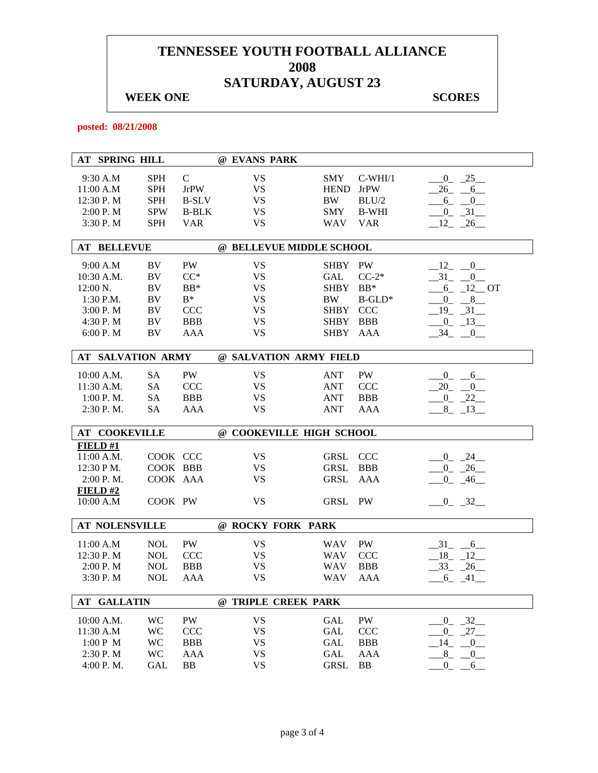## **WEEK ONE** SCORES

**posted: 08/21/2008** 

|            | <b>AT SPRING HILL</b>    |            |               | @ EVANS PARK |                          |              |                                     |
|------------|--------------------------|------------|---------------|--------------|--------------------------|--------------|-------------------------------------|
| 9:30 A.M   |                          | <b>SPH</b> | $\mathcal{C}$ | <b>VS</b>    | <b>SMY</b>               | $C-WHI/1$    | $-0$ $-25$                          |
| 11:00 A.M  |                          | <b>SPH</b> | <b>JrPW</b>   | <b>VS</b>    | <b>HEND</b>              | <b>JrPW</b>  | $-26$ $-6$                          |
| 12:30 P.M  |                          | <b>SPH</b> | <b>B-SLV</b>  | <b>VS</b>    | <b>BW</b>                | BLU/2        | $-6 - 0$                            |
| 2:00 P.M   |                          | <b>SPW</b> | <b>B-BLK</b>  | <b>VS</b>    | <b>SMY</b>               | <b>B-WHI</b> | $-0$ $-31$                          |
| 3:30 P.M   |                          | <b>SPH</b> | <b>VAR</b>    | <b>VS</b>    | <b>WAV</b>               | <b>VAR</b>   | $\_12$ <sub>-</sub> $\_26$          |
|            |                          |            |               |              |                          |              |                                     |
|            | <b>AT BELLEVUE</b>       |            |               |              | @ BELLEVUE MIDDLE SCHOOL |              |                                     |
| 9:00 A.M   |                          | BV         | <b>PW</b>     | <b>VS</b>    | SHBY PW                  |              | 12 0                                |
| 10:30 A.M. |                          | BV         | $CC^*$        | <b>VS</b>    | <b>GAL</b>               | $CC-2*$      | 31<br>$\overline{0}$                |
| 12:00 N.   |                          | <b>BV</b>  | $BB*$         | <b>VS</b>    | <b>SHBY</b>              | $BB*$        | $-6$ $-12$ OT                       |
| 1:30 P.M.  |                          | BV         | $B^*$         | <b>VS</b>    | <b>BW</b>                | $B$ -GLD*    | $-$ <sup>8</sup><br>$_{0}$          |
| 3:00 P.M   |                          | BV         | <b>CCC</b>    | <b>VS</b>    | SHBY CCC                 |              | $-19$ $-31$ $-$                     |
| 4:30 P.M   |                          | BV         | <b>BBB</b>    | VS           | SHBY BBB                 |              | $0_{-}$<br>$-13$                    |
| 6:00 P.M   |                          | BV         | <b>AAA</b>    | <b>VS</b>    | SHBY                     | AAA          | 34<br>$\overline{0}$                |
|            | <b>AT SALVATION ARMY</b> |            |               |              |                          |              |                                     |
|            |                          |            |               |              | @ SALVATION ARMY FIELD   |              |                                     |
| 10:00 A.M. |                          | SA         | PW            | <b>VS</b>    | <b>ANT</b>               | PW           | $-0$ $-6$                           |
| 11:30 A.M. |                          | <b>SA</b>  | <b>CCC</b>    | <b>VS</b>    | <b>ANT</b>               | <b>CCC</b>   | $20$ <sub>-</sub><br>$\overline{0}$ |
| 1:00 P. M. |                          | <b>SA</b>  | <b>BBB</b>    | <b>VS</b>    | <b>ANT</b>               | <b>BBB</b>   | $-0$ $-22$                          |
| 2:30 P.M.  |                          | <b>SA</b>  | <b>AAA</b>    | <b>VS</b>    | <b>ANT</b>               | AAA          | $8 - 13$                            |
|            |                          |            |               |              |                          |              |                                     |
|            | <b>AT COOKEVILLE</b>     |            |               |              | @ COOKEVILLE HIGH SCHOOL |              |                                     |
| FIELD#1    |                          |            |               |              |                          |              |                                     |
| 11:00 A.M. |                          | COOK CCC   |               | <b>VS</b>    | <b>GRSL</b>              | <b>CCC</b>   | $0 - 24$                            |
| 12:30 PM.  |                          | COOK BBB   |               | <b>VS</b>    | <b>GRSL</b>              | <b>BBB</b>   | $-26$<br>$\mathbf{0}$               |
| 2:00 P.M.  |                          | COOK AAA   |               | VS           | <b>GRSL</b>              | AAA          | $-46$<br>$\Omega$                   |
| FIELD#2    |                          |            |               |              |                          |              |                                     |
| 10:00 A.M  |                          | COOK PW    |               | <b>VS</b>    | <b>GRSL</b>              | PW           | $-0$ $-32$                          |
|            | <b>AT NOLENSVILLE</b>    |            |               |              | @ ROCKY FORK PARK        |              |                                     |
| 11:00 A.M  |                          | <b>NOL</b> | PW            | <b>VS</b>    | <b>WAV</b>               | PW           | $-31$<br>$-6$                       |
| 12:30 P.M  |                          | <b>NOL</b> | <b>CCC</b>    | VS           | <b>WAV</b>               | <b>CCC</b>   | 18<br>12                            |
| 2:00 P.M   |                          | <b>NOL</b> | <b>BBB</b>    | VS           | <b>WAV</b>               | <b>BBB</b>   | $33_{-}$<br>26                      |
| 3:30 P.M   |                          | <b>NOL</b> | AAA           | <b>VS</b>    | <b>WAV</b>               | AAA          | 6<br>41                             |
|            |                          |            |               |              |                          |              |                                     |
|            | <b>AT GALLATIN</b>       |            |               |              | @ TRIPLE CREEK PARK      |              |                                     |
| 10:00 A.M. |                          | WC         | PW            | <b>VS</b>    | GAL                      | PW           | $0 - 32$                            |
| 11:30 A.M  |                          | WC         | <b>CCC</b>    | <b>VS</b>    | <b>GAL</b>               | <b>CCC</b>   | 27<br>$\overline{0}$                |
| 1:00 P M   |                          | <b>WC</b>  | <b>BBB</b>    | <b>VS</b>    | <b>GAL</b>               | <b>BBB</b>   | 14<br>$\theta$                      |
| 2:30 P.M   |                          | <b>WC</b>  | AAA           | <b>VS</b>    | <b>GAL</b>               | <b>AAA</b>   | 8<br>$\overline{0}$                 |
| 4:00 P.M.  |                          | <b>GAL</b> | <b>BB</b>     | <b>VS</b>    | <b>GRSL</b>              | <b>BB</b>    | $\theta$<br>6                       |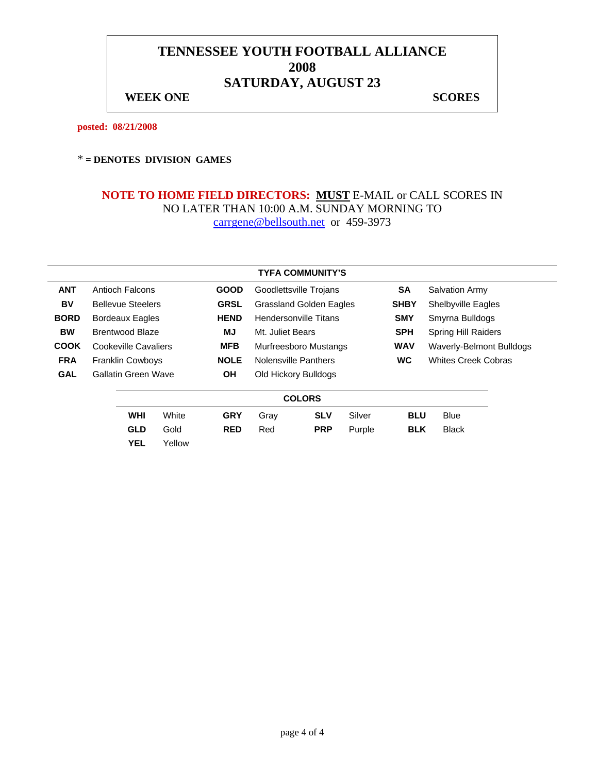**WEEK ONE** SCORES

**posted: 08/21/2008** 

#### \* **= DENOTES DIVISION GAMES**

|             |                        |                                       |        |             |                              | <b>TYFA COMMUNITY'S</b>        |        |             |                                 |  |
|-------------|------------------------|---------------------------------------|--------|-------------|------------------------------|--------------------------------|--------|-------------|---------------------------------|--|
| <b>ANT</b>  | Antioch Falcons        |                                       |        | <b>GOOD</b> |                              | Goodlettsville Trojans         |        |             | <b>Salvation Army</b>           |  |
| BV          |                        | <b>Bellevue Steelers</b>              |        | <b>GRSL</b> |                              | <b>Grassland Golden Eagles</b> |        | <b>SHBY</b> | <b>Shelbyville Eagles</b>       |  |
| <b>BORD</b> |                        | <b>HEND</b><br><b>Bordeaux Eagles</b> |        |             | <b>Hendersonville Titans</b> |                                |        | <b>SMY</b>  | Smyrna Bulldogs                 |  |
| <b>BW</b>   | <b>Brentwood Blaze</b> |                                       |        | ΜJ          | Mt. Juliet Bears             |                                |        | <b>SPH</b>  | <b>Spring Hill Raiders</b>      |  |
| <b>COOK</b> | Cookeville Cavaliers   |                                       |        | <b>MFB</b>  | Murfreesboro Mustangs        |                                |        | <b>WAV</b>  | <b>Waverly-Belmont Bulldogs</b> |  |
| <b>FRA</b>  |                        | <b>Franklin Cowboys</b>               |        | <b>NOLE</b> | Nolensville Panthers         |                                |        | <b>WC</b>   | <b>Whites Creek Cobras</b>      |  |
| <b>GAL</b>  |                        | Gallatin Green Wave                   |        | <b>OH</b>   | Old Hickory Bulldogs         |                                |        |             |                                 |  |
|             |                        |                                       |        |             |                              | <b>COLORS</b>                  |        |             |                                 |  |
|             |                        | <b>WHI</b>                            | White  | <b>GRY</b>  | Gray                         | <b>SLV</b>                     | Silver | <b>BLU</b>  | <b>Blue</b>                     |  |
|             |                        | <b>GLD</b>                            | Gold   | <b>RED</b>  | Red                          | <b>PRP</b>                     | Purple | <b>BLK</b>  | Black                           |  |
|             |                        | <b>YEL</b>                            | Yellow |             |                              |                                |        |             |                                 |  |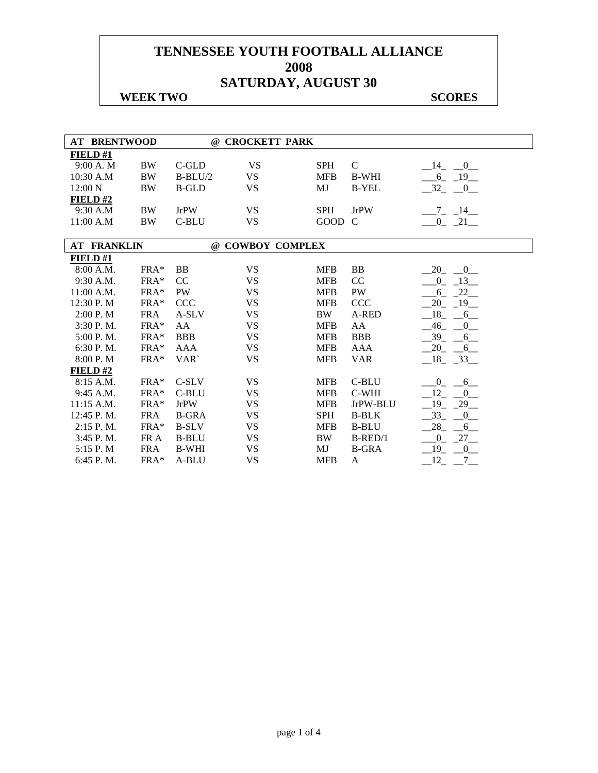#### **WEEK TWO SCORES**

| <b>AT BRENTWOOD</b> |            |              | @ CROCKETT PARK  |            |              |                                        |
|---------------------|------------|--------------|------------------|------------|--------------|----------------------------------------|
| FIELD#1             |            |              |                  |            |              |                                        |
| 9:00 A.M            | <b>BW</b>  | C-GLD        | <b>VS</b>        | <b>SPH</b> | $\mathbf C$  | $\overline{\phantom{0}0}$<br>14        |
| $10:30$ A.M         | <b>BW</b>  | $B-BLU/2$    | <b>VS</b>        | <b>MFB</b> | <b>B-WHI</b> | $-6 - 19$                              |
| 12:00 N             | <b>BW</b>  | <b>B-GLD</b> | <b>VS</b>        | MJ         | <b>B-YEL</b> | $-32$<br>$-0$                          |
| FIELD#2             |            |              |                  |            |              |                                        |
| 9:30 A.M            | <b>BW</b>  | <b>JrPW</b>  | <b>VS</b>        | <b>SPH</b> | <b>JrPW</b>  | $-7$ $-14$ $-$                         |
| 11:00 A.M           | <b>BW</b>  | C-BLU        | <b>VS</b>        | GOOD C     |              | $0 - 21$                               |
|                     |            |              |                  |            |              |                                        |
| <b>AT FRANKLIN</b>  |            |              | @ COWBOY COMPLEX |            |              |                                        |
| FIELD#1             |            |              |                  |            |              |                                        |
| 8:00 A.M.           | $FRA*$     | <b>BB</b>    | <b>VS</b>        | <b>MFB</b> | BB           | 20<br>$\begin{array}{c} 0 \end{array}$ |
| 9:30 A.M.           | FRA*       | CC           | <b>VS</b>        | <b>MFB</b> | CC           | $-13$<br>$\overline{0}$                |
| $11:00$ A.M.        | FRA*       | PW           | <b>VS</b>        | <b>MFB</b> | PW           | $-22$<br>6                             |
| 12:30 P.M           | FRA*       | <b>CCC</b>   | <b>VS</b>        | <b>MFB</b> | <b>CCC</b>   | 19<br>20                               |
| 2:00 P.M            | <b>FRA</b> | A-SLV        | <b>VS</b>        | <b>BW</b>  | A-RED        | 18<br>6                                |
| 3:30 P.M.           | FRA*       | AA           | <b>VS</b>        | <b>MFB</b> | AA           | $-46$<br>$\overline{0}$                |
| 5:00 P.M.           | FRA*       | <b>BBB</b>   | <b>VS</b>        | <b>MFB</b> | <b>BBB</b>   | 39<br>6                                |
| 6:30 P.M.           | FRA*       | <b>AAA</b>   | <b>VS</b>        | <b>MFB</b> | <b>AAA</b>   | $-20$<br>$-6$                          |
| 8:00 P.M            | FRA*       | VAR`         | <b>VS</b>        | <b>MFB</b> | <b>VAR</b>   | $18 - 33$                              |
| FIELD #2            |            |              |                  |            |              |                                        |
| 8:15 A.M.           | $FRA*$     | C-SLV        | <b>VS</b>        | <b>MFB</b> | C-BLU        | $\overline{0}$<br>$6$ <sub>—</sub>     |
| 9:45 A.M.           | $FRA*$     | C-BLU        | <b>VS</b>        | <b>MFB</b> | C-WHI        | 12<br>$\mathbf{0}$                     |
| 11:15 A.M.          | FRA*       | <b>JrPW</b>  | <b>VS</b>        | <b>MFB</b> | JrPW-BLU     | $19_{-}$<br>$-29$                      |
| 12:45 P.M.          | <b>FRA</b> | <b>B-GRA</b> | <b>VS</b>        | <b>SPH</b> | <b>B-BLK</b> | 33<br>$\overline{0}$                   |
| 2:15 P.M.           | FRA*       | <b>B-SLV</b> | <b>VS</b>        | <b>MFB</b> | <b>B-BLU</b> | 28<br>$6$ <sub>—</sub>                 |
| 3:45 P.M.           | FR A       | <b>B-BLU</b> | <b>VS</b>        | <b>BW</b>  | $B$ -RED/1   | $-27-$<br>$\overline{0}$               |
| 5:15 P.M            | <b>FRA</b> | <b>B-WHI</b> | <b>VS</b>        | MJ         | <b>B-GRA</b> | $-19$<br>$\_0$                         |
| 6:45 P.M.           | FRA*       | A-BLU        | <b>VS</b>        | <b>MFB</b> | A            | 12<br>$7\overline{)}$                  |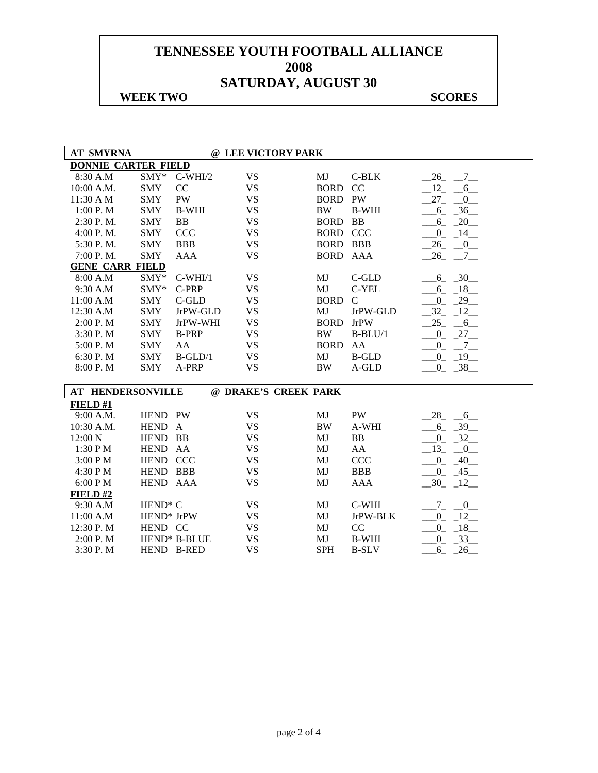#### **WEEK TWO SCORES**

| <b>AT SMYRNA</b>           |                     |                     | @ LEE VICTORY PARK   |             |               |                         |
|----------------------------|---------------------|---------------------|----------------------|-------------|---------------|-------------------------|
| <b>DONNIE CARTER FIELD</b> |                     |                     |                      |             |               |                         |
| 8:30 A.M                   | $\text{SMY*}$       | $C-WHI/2$           | <b>VS</b>            | MJ          | $C-BLK$       | $-26$ $-7$ $-$          |
| 10:00 A.M.                 | <b>SMY</b>          | CC                  | <b>VS</b>            | <b>BORD</b> | CC            | $12 - 6$                |
| 11:30 A M                  | <b>SMY</b>          | <b>PW</b>           | <b>VS</b>            | <b>BORD</b> | <b>PW</b>     | $27 - 0$                |
| 1:00 P. M                  | <b>SMY</b>          | <b>B-WHI</b>        | <b>VS</b>            | <b>BW</b>   | <b>B-WHI</b>  | $6 - 36$                |
| 2:30 P.M.                  | <b>SMY</b>          | BB                  | <b>VS</b>            | <b>BORD</b> | BB            | $-6 - 20$               |
| 4:00 P.M.                  | <b>SMY</b>          | CCC                 | <b>VS</b>            | <b>BORD</b> | CCC           | $0 - 14$                |
| 5:30 P.M.                  | <b>SMY</b>          | <b>BBB</b>          | <b>VS</b>            | <b>BORD</b> | <b>BBB</b>    | $-26$ $-0$              |
| 7:00 P.M.                  | <b>SMY</b>          | AAA                 | <b>VS</b>            | <b>BORD</b> | AAA           | $26 - 7$                |
| <b>GENE CARR FIELD</b>     |                     |                     |                      |             |               |                         |
| 8:00 A.M                   | $SMY*$              | $C-WHI/1$           | <b>VS</b>            | MJ          | $C$ -GLD      | $-6 - 30$               |
| 9:30 A.M                   | $SMY*$              | C-PRP               | <b>VS</b>            | MJ          | C-YEL         | 18<br>$6_{-}$           |
| 11:00 A.M                  | <b>SMY</b>          | $C$ -GLD            | <b>VS</b>            | <b>BORD</b> | $\mathcal{C}$ | 29<br>$0_$              |
| 12:30 A.M                  | <b>SMY</b>          | JrPW-GLD            | <b>VS</b>            | MJ          | JrPW-GLD      | 32<br>12                |
| 2:00 P.M                   | <b>SMY</b>          | JrPW-WHI            | <b>VS</b>            | <b>BORD</b> | <b>JrPW</b>   | 25<br>6                 |
| 3:30 P.M                   | <b>SMY</b>          | <b>B-PRP</b>        | <b>VS</b>            | <b>BW</b>   | $B-BLU/1$     | $-0$ $-27$ $-$          |
| 5:00 P.M                   | <b>SMY</b>          | AA                  | <b>VS</b>            | <b>BORD</b> | AA            | $0 - 7$                 |
| 6:30 P.M                   | <b>SMY</b>          | $B-GLD/1$           | <b>VS</b>            | MJ          | <b>B-GLD</b>  | $0 - 19$                |
| 8:00 P.M                   | <b>SMY</b>          | A-PRP               | <b>VS</b>            | $\rm BW$    | A-GLD         | $0 - 38$                |
|                            |                     |                     |                      |             |               |                         |
| <b>AT HENDERSONVILLE</b>   |                     |                     | @ DRAKE'S CREEK PARK |             |               |                         |
| FIELD#1                    |                     |                     |                      |             |               |                         |
| 9:00 A.M.                  | HEND PW             |                     | <b>VS</b>            | MJ          | PW            | $-28$ <sub>-</sub> $-6$ |
| 10:30 A.M.                 | <b>HEND</b>         | $\mathbf{A}$        | <b>VS</b>            | $\rm BW$    | A-WHI         | $-6 - 39$               |
| 12:00 N                    | <b>HEND</b>         | BB                  | <b>VS</b>            | MJ          | <b>BB</b>     | $0 - 32$                |
| 1:30 P M                   | <b>HEND</b>         | AA                  | <b>VS</b>            | MJ          | AA            | $13 - 0$                |
| 3:00 PM                    | HEND CCC            |                     | <b>VS</b>            | MJ          | <b>CCC</b>    | $-0$ $-40$              |
| 4:30 P M                   | HEND BBB            |                     | <b>VS</b>            | MJ          | <b>BBB</b>    | $-0$ $-45$              |
| 6:00 PM                    | HEND AAA            |                     | <b>VS</b>            | MJ          | <b>AAA</b>    | $-30$ $-12$             |
| FIELD#2                    |                     |                     |                      |             |               |                         |
| 9:30 A.M                   | HEND <sup>*</sup> C |                     | <b>VS</b>            | MJ          | C-WHI         | $-7 - 0$                |
| 11:00 A.M                  | HEND* JrPW          |                     | <b>VS</b>            | MJ          | JrPW-BLK      | $0 - 12$                |
| 12:30 P.M                  | HEND CC             |                     | <b>VS</b>            | MJ          | CC            | 18<br>$\mathbf{0}$      |
| 2:00 P. M                  |                     | <b>HEND* B-BLUE</b> | <b>VS</b>            | MJ          | <b>B-WHI</b>  | $-33$<br>$\overline{0}$ |
| 3:30 P.M                   |                     | HEND B-RED          | <b>VS</b>            | <b>SPH</b>  | <b>B-SLV</b>  | 26<br>6                 |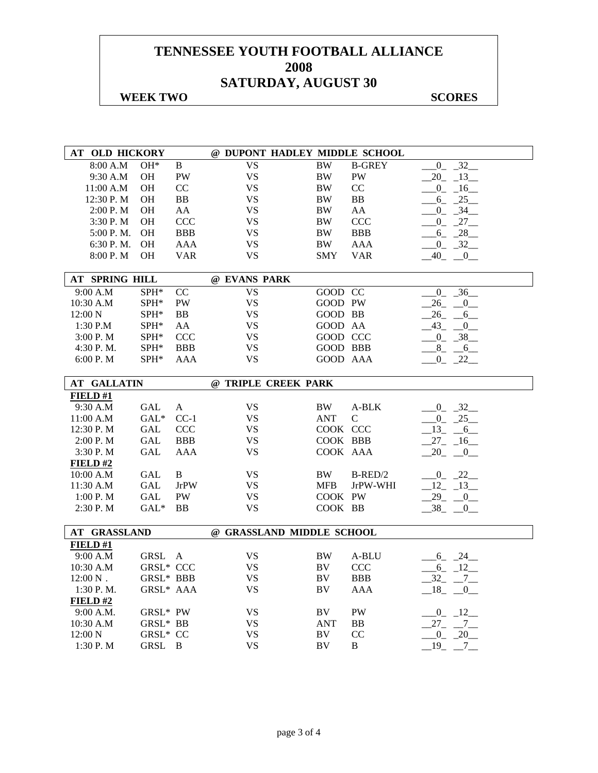#### **WEEK TWO SCORES**

| AT OLD HICKORY     |                  |                | @ DUPONT HADLEY MIDDLE SCHOOL |            |               |                          |
|--------------------|------------------|----------------|-------------------------------|------------|---------------|--------------------------|
| 8:00 A.M           | $OH*$            | B              | $\overline{\text{VS}}$        | <b>BW</b>  | <b>B-GREY</b> | $\overline{0}$<br>32     |
| 9:30 A.M           | OH               | PW             | <b>VS</b>                     | $\rm BW$   | PW            | $20 - 13$                |
| 11:00 A.M          | OН               | CC             | <b>VS</b>                     | BW         | CC            | $0 - 16$                 |
| 12:30 P.M          | <b>OH</b>        | BB             | <b>VS</b>                     | BW         | BB            | $-6 - 25$                |
| 2:00 P.M           | OH               | AA             | <b>VS</b>                     | $\rm BW$   | ${\rm AA}$    | $-0$ $-34$ $-$           |
| 3:30 P.M           | <b>OH</b>        | <b>CCC</b>     | <b>VS</b>                     | BW         | <b>CCC</b>    | $0 - 27$                 |
| 5:00 P.M.          | OH               | <b>BBB</b>     | <b>VS</b>                     | $\rm BW$   | <b>BBB</b>    | $-6 - 28$                |
| 6:30 P.M.          | OH               | <b>AAA</b>     | <b>VS</b>                     | BW         | <b>AAA</b>    | $-0$ $-32$               |
| 8:00 P.M           | <b>OH</b>        | <b>VAR</b>     | VS                            | <b>SMY</b> | <b>VAR</b>    | $-40 - 0$                |
|                    |                  |                |                               |            |               |                          |
| AT SPRING HILL     |                  |                | @ EVANS PARK                  |            |               |                          |
| 9:00 A.M           | SPH*             | CC             | <b>VS</b>                     | GOOD CC    |               | $-36$<br>$\overline{0}$  |
| 10:30 A.M          | SPH*             | <b>PW</b>      | <b>VS</b>                     | GOOD PW    |               | 26<br>$_{-0}$            |
| $12:00\ N$         | ${\rm SPH^*}$    | <b>BB</b>      | <b>VS</b>                     | GOOD BB    |               | $26$ <sub>-</sub><br>6   |
| 1:30 P.M           | SPH*             | AA             | <b>VS</b>                     | GOOD AA    |               | $43_{-}$<br>$\mathbf{0}$ |
| 3:00 P.M           | SPH*             | <b>CCC</b>     | VS                            | GOOD CCC   |               | $-0$ $-38$               |
| 4:30 P.M.          | SPH*             | <b>BBB</b>     | <b>VS</b>                     | GOOD BBB   |               | $-8$ $-6$                |
| 6:00 P. M          | SPH*             | AAA            | <b>VS</b>                     | GOOD AAA   |               | $-0$ $-22$ $-$           |
|                    |                  |                |                               |            |               |                          |
| <b>AT GALLATIN</b> |                  |                | @ TRIPLE CREEK PARK           |            |               |                          |
| <b>FIELD#1</b>     |                  |                |                               |            |               |                          |
| 9:30 A.M           | <b>GAL</b>       | A              | <b>VS</b>                     | BW         | A-BLK         | $-0$ $-32$               |
| 11:00 A.M          | $GAL*$           | $CC-1$         | <b>VS</b>                     | <b>ANT</b> | $\mathcal{C}$ | $0 - 25$                 |
| $12:30$ P. M       | <b>GAL</b>       | <b>CCC</b>     | <b>VS</b>                     | COOK CCC   |               | $13 - 6$                 |
| 2:00 P.M           | <b>GAL</b>       | <b>BBB</b>     | <b>VS</b>                     | COOK BBB   |               | $27 - 16$                |
| 3:30 P.M           | GAL              | <b>AAA</b>     | <b>VS</b>                     | COOK AAA   |               | $20 - 0$                 |
| FIELD#2            |                  |                |                               |            |               |                          |
| 10:00 A.M          | GAL              | B              | <b>VS</b>                     | BW         | $B-RED/2$     | $-0$ $-22$               |
| 11:30 A.M          | GAL              | <b>JrPW</b>    | VS                            | <b>MFB</b> | JrPW-WHI      | $-12 - 13$               |
| 1:00 P. M          | <b>GAL</b>       | PW             | <b>VS</b>                     | COOK PW    |               | $-29 - 0$                |
| 2:30 P.M           | $GAL^*$          | BB             | <b>VS</b>                     | COOK BB    |               | $-38$ $-0$               |
|                    |                  |                |                               |            |               |                          |
| AT GRASSLAND       |                  |                | @ GRASSLAND MIDDLE SCHOOL     |            |               |                          |
| FIELD#1            |                  |                |                               |            |               |                          |
| 9:00 A.M           | GRSL A           |                | <b>VS</b>                     | BW         | A-BLU         | $-6 - 24$                |
| 10:30 A.M          | <b>GRSL* CCC</b> |                | <b>VS</b>                     | BV         | <b>CCC</b>    | $6 - 12$                 |
| $12:00 N$ .        | GRSL* BBB        |                | <b>VS</b>                     | BV         | <b>BBB</b>    | $-32 - -7$               |
| 1:30 P.M.          | GRSL* AAA        |                | <b>VS</b>                     | BV         | AAA           | $18 - 0$                 |
| <b>FIELD#2</b>     |                  |                |                               |            |               |                          |
| 9:00 A.M.          | GRSL* PW         |                | VS                            | BV         | PW            | $-0$ $-12$               |
| 10:30 A.M          | GRSL* BB         |                | <b>VS</b>                     | <b>ANT</b> | BB            | $27 - 7$                 |
| 12:00 N            | GRSL* CC         |                | VS                            | BV         | CC            | $-0$ $-20$               |
| 1:30 P.M           | GRSL             | $\overline{B}$ | <b>VS</b>                     | BV         | B             | $-19$ $-7$ $-$           |
|                    |                  |                |                               |            |               |                          |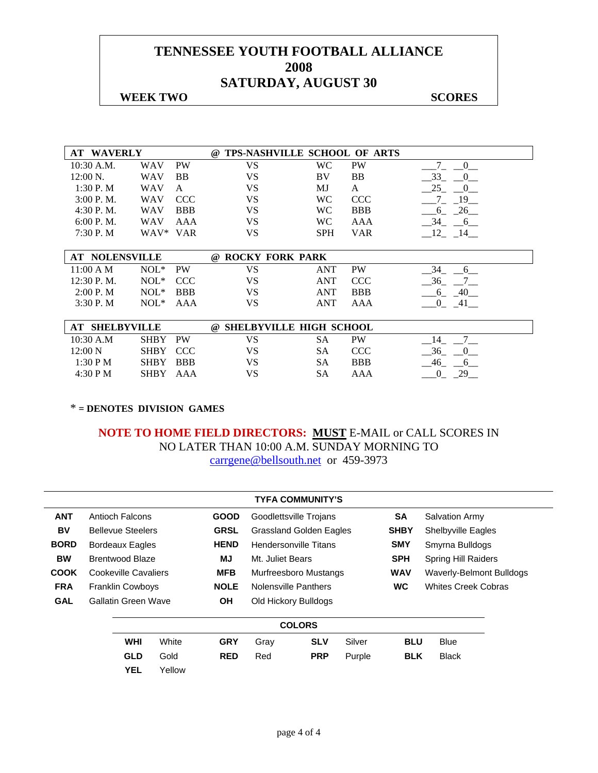#### **WEEK TWO SCORES**

| <b>WAVERLY</b><br>AT. |            |            | TPS-NASHVILLE SCHOOL OF ARTS<br>$\omega$ |            |            |                    |
|-----------------------|------------|------------|------------------------------------------|------------|------------|--------------------|
| $10:30$ A.M.          | <b>WAV</b> | <b>PW</b>  | VS                                       | <b>WC</b>  | <b>PW</b>  | $\theta$           |
| $12:00 \text{ N}$ .   | <b>WAV</b> | <b>BB</b>  | VS                                       | BV         | BB         | 33                 |
| 1:30P. M              | WAV        | A          | VS                                       | MJ         | A          | 25                 |
| $3:00$ P.M.           | <b>WAV</b> | <b>CCC</b> | VS                                       | <b>WC</b>  | <b>CCC</b> | - 19               |
| 4:30P. M.             | <b>WAV</b> | <b>BBB</b> | VS                                       | WC         | <b>BBB</b> | 26<br>6            |
| 6:00 P. M.            | <b>WAV</b> | AAA        | VS                                       | WC         | AAA        | 34<br><sub>6</sub> |
| 7:30P. M              | WAV*       | <b>VAR</b> | VS                                       | <b>SPH</b> | <b>VAR</b> | 12<br>- 14         |
|                       |            |            |                                          |            |            |                    |
| <b>AT NOLENSVILLE</b> |            |            | <b>ROCKY FORK PARK</b><br>$\omega$       |            |            |                    |
| 11:00 A M             | $NOL*$     | <b>PW</b>  | VS                                       | <b>ANT</b> | <b>PW</b>  | 34<br>6            |
| 12:30 P.M.            | $NOL*$     | <b>CCC</b> | VS                                       | <b>ANT</b> | <b>CCC</b> | 36                 |
| 2:00 P. M             | $NOL*$     | <b>BBB</b> | VS                                       | <b>ANT</b> | <b>BBB</b> | -40<br>6           |
| 3:30P. M              | $NOL*$     | AAA        | VS                                       | <b>ANT</b> | AAA        |                    |

| <b>SHELBYVILLE</b> |             |           | @ SHELBYVILLE HIGH SCHOOL |    |            |    |
|--------------------|-------------|-----------|---------------------------|----|------------|----|
| 10:30 A.M          | <b>SHBY</b> | <b>PW</b> | VS                        | SА | PW         |    |
| $12:00\text{ N}$   | SHBY CCC    |           | VS                        | SΑ | CCC        |    |
| 1:30 P M           | SHBY BBB    |           | VS                        | SА | <b>BBB</b> |    |
| 4:30 P M           | <b>SHBY</b> | AAA       | VS                        | SА | AAA        | ንር |

\* **= DENOTES DIVISION GAMES** 

|             |  |                          |       |             |                                | <b>TYFA COMMUNITY'S</b> |        |             |                                 |  |  |
|-------------|--|--------------------------|-------|-------------|--------------------------------|-------------------------|--------|-------------|---------------------------------|--|--|
| <b>ANT</b>  |  | Antioch Falcons          |       | <b>GOOD</b> |                                | Goodlettsville Trojans  |        | <b>SA</b>   | <b>Salvation Army</b>           |  |  |
| BV          |  | <b>Bellevue Steelers</b> |       | <b>GRSL</b> | <b>Grassland Golden Eagles</b> |                         |        | <b>SHBY</b> | <b>Shelbyville Eagles</b>       |  |  |
| <b>BORD</b> |  | Bordeaux Eagles          |       | <b>HEND</b> | <b>Hendersonville Titans</b>   |                         |        | <b>SMY</b>  | Smyrna Bulldogs                 |  |  |
| <b>BW</b>   |  | Brentwood Blaze          |       | MJ          | Mt. Juliet Bears               |                         |        | <b>SPH</b>  | <b>Spring Hill Raiders</b>      |  |  |
| <b>COOK</b> |  | Cookeville Cavaliers     |       | <b>MFB</b>  | Murfreesboro Mustangs          |                         |        | <b>WAV</b>  | <b>Waverly-Belmont Bulldogs</b> |  |  |
| <b>FRA</b>  |  | <b>Franklin Cowboys</b>  |       | <b>NOLE</b> | Nolensville Panthers           |                         |        | <b>WC</b>   | <b>Whites Creek Cobras</b>      |  |  |
| <b>GAL</b>  |  | Gallatin Green Wave      |       | <b>OH</b>   |                                | Old Hickory Bulldogs    |        |             |                                 |  |  |
|             |  |                          |       |             | <b>COLORS</b>                  |                         |        |             |                                 |  |  |
|             |  | <b>WHI</b>               | White | <b>GRY</b>  | Gray                           | <b>SLV</b>              | Silver | <b>BLU</b>  | <b>Blue</b>                     |  |  |
|             |  | <b>GLD</b>               | Gold  | <b>RED</b>  | Red                            | <b>PRP</b>              | Purple | <b>BLK</b>  | <b>Black</b>                    |  |  |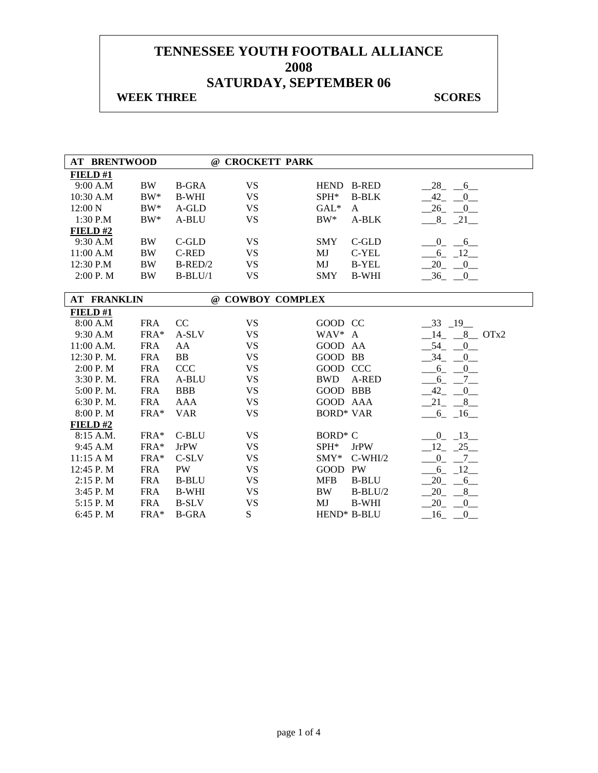## **WEEK THREE** SCORES

| <b>AT BRENTWOOD</b>         |            |              | @ CROCKETT PARK  |                  |              |                                     |
|-----------------------------|------------|--------------|------------------|------------------|--------------|-------------------------------------|
| FIELD#1                     |            |              |                  |                  |              |                                     |
| 9:00 A.M                    | <b>BW</b>  | <b>B-GRA</b> | <b>VS</b>        | <b>HEND</b>      | <b>B-RED</b> | 28<br>6                             |
| 10:30 A.M                   | $BW^*$     | <b>B-WHI</b> | <b>VS</b>        | SPH*             | <b>B-BLK</b> | $-42$<br>$\overline{0}$             |
| 12:00 N                     | $BW^*$     | A-GLD        | <b>VS</b>        | $GAL*$           | A            | 26<br>0                             |
| 1:30 P.M                    | $BW^*$     | A-BLU        | <b>VS</b>        | $BW^*$           | A-BLK        | $-8$ $-21$                          |
| FIELD $#2$                  |            |              |                  |                  |              |                                     |
| 9:30 A.M                    | <b>BW</b>  | C-GLD        | <b>VS</b>        | <b>SMY</b>       | C-GLD        | $\overline{0}$<br>6                 |
| 11:00 A.M                   | <b>BW</b>  | <b>C-RED</b> | <b>VS</b>        | MJ               | C-YEL        | $6 - 12$                            |
| 12:30 P.M                   | <b>BW</b>  | $B$ -RED/2   | <b>VS</b>        | MJ               | <b>B-YEL</b> | 20<br>0                             |
| 2:00 P.M                    | <b>BW</b>  | $B-BLU/1$    | <b>VS</b>        | <b>SMY</b>       | <b>B-WHI</b> | $-36$<br>$\overline{\phantom{0}}^0$ |
|                             |            |              |                  |                  |              |                                     |
| <b>AT FRANKLIN</b>          |            |              | @ COWBOY COMPLEX |                  |              |                                     |
| FIELD#1                     |            |              |                  |                  |              |                                     |
| 8:00 A.M                    | <b>FRA</b> | CC           | <b>VS</b>        | GOOD CC          |              | $-33$ $-19$                         |
| 9:30 A.M                    | FRA*       | A-SLV        | <b>VS</b>        | WAV* A           |              | $8$ OTx2<br>14                      |
| 11:00 A.M.                  | <b>FRA</b> | AA           | <b>VS</b>        | GOOD AA          |              | 54<br>$\mathbf{0}$                  |
| 12:30 P.M.                  | <b>FRA</b> | <b>BB</b>    | <b>VS</b>        | GOOD BB          |              | 34<br>$\overline{0}$                |
| 2:00 P. M                   | <b>FRA</b> | <b>CCC</b>   | <b>VS</b>        | GOOD CCC         |              | $\overline{0}$<br>$6_{-}$           |
| 3:30 P.M.                   | <b>FRA</b> | A-BLU        | <b>VS</b>        | <b>BWD</b>       | A-RED        | $7\overline{ }$<br>$-6$             |
| 5:00 P.M.                   | <b>FRA</b> | <b>BBB</b>   | <b>VS</b>        | GOOD BBB         |              | $-42$<br>$\overline{0}$             |
| 6:30 P.M.                   | <b>FRA</b> | AAA          | <b>VS</b>        | GOOD AAA         |              | 21<br>$8$ <sub>-</sub>              |
| 8:00 P.M                    | FRA*       | <b>VAR</b>   | <b>VS</b>        | <b>BORD* VAR</b> |              | $-6 - 16$                           |
| FIELD #2                    |            |              |                  |                  |              |                                     |
| 8:15 A.M.                   | FRA*       | C-BLU        | <b>VS</b>        | <b>BORD* C</b>   |              | 13<br>$\overline{0}$                |
| 9:45 A.M                    | FRA*       | <b>JrPW</b>  | <b>VS</b>        | SPH*             | <b>JrPW</b>  | 25<br>12                            |
| $11:15 \text{ A } \text{M}$ | FRA*       | C-SLV        | <b>VS</b>        | $SMY*$           | $C-WHI/2$    | $\overline{0}$<br>$7\overline{ }$   |
| 12:45 P.M                   | <b>FRA</b> | PW           | <b>VS</b>        | <b>GOOD</b>      | PW           | 6<br>$-12$                          |
| 2:15 P.M                    | <b>FRA</b> | <b>B-BLU</b> | <b>VS</b>        | <b>MFB</b>       | <b>B-BLU</b> | 20<br>6                             |
| 3:45 P.M                    | <b>FRA</b> | <b>B-WHI</b> | <b>VS</b>        | <b>BW</b>        | $B-BLU/2$    | 20<br>8                             |
| 5:15 P.M                    | <b>FRA</b> | <b>B-SLV</b> | <b>VS</b>        | MJ               | <b>B-WHI</b> | 20<br>$\mathbf{0}$                  |
| 6:45 P.M                    | FRA*       | <b>B-GRA</b> | ${\bf S}$        |                  | HEND* B-BLU  | 16<br>$\mathbf{0}$                  |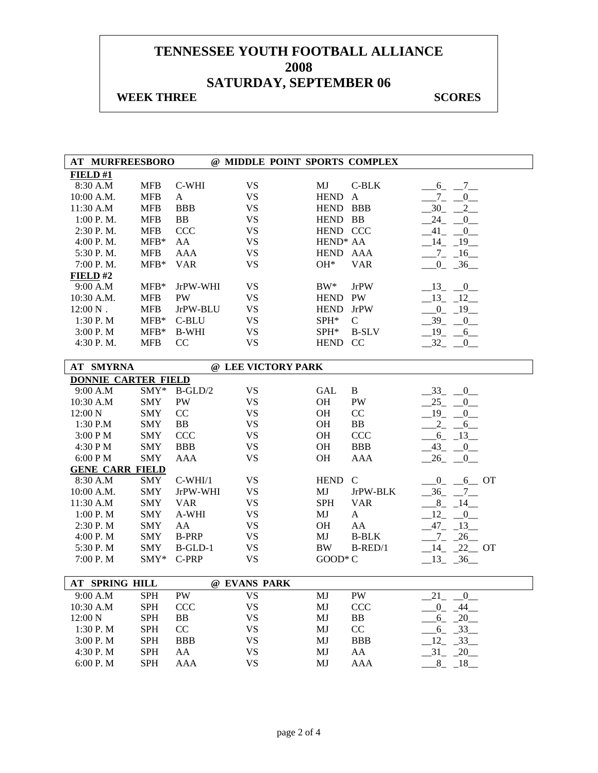### **WEEK THREE** SCORES

|                       | <b>AT MURFREESBORO</b>     |            |              |                    |                      | @ MIDDLE POINT SPORTS COMPLEX |                            |
|-----------------------|----------------------------|------------|--------------|--------------------|----------------------|-------------------------------|----------------------------|
| FIELD#1               |                            |            |              |                    |                      |                               |                            |
| 8:30 A.M              |                            | <b>MFB</b> | C-WHI        | <b>VS</b>          | MJ                   | $C-BLK$                       | $6_{-}$<br>$_{-7}$         |
| 10:00 A.M.            |                            | <b>MFB</b> | A            | <b>VS</b>          | <b>HEND</b>          | A                             | $7_{-}$<br>$\overline{0}$  |
| 11:30 A.M             |                            | <b>MFB</b> | <b>BBB</b>   | <b>VS</b>          | HEND BBB             |                               | 2<br>30                    |
| 1:00 P.M.             |                            | <b>MFB</b> | <b>BB</b>    | <b>VS</b>          | HEND BB              |                               | 24<br>0                    |
| 2:30 P.M.             |                            | <b>MFB</b> | <b>CCC</b>   | <b>VS</b>          | HEND CCC             |                               | $-41$ $-$<br>0             |
| 4:00 P. M.            |                            | $MFB*$     | AA           | <b>VS</b>          | HEND <sup>*</sup> AA |                               | $-14$ $-19$                |
| 5:30 P.M.             |                            | <b>MFB</b> | AAA          | <b>VS</b>          | <b>HEND</b>          | AAA                           | $-7 - 16$                  |
|                       | 7:00 P.M.                  | $MFB*$     | <b>VAR</b>   | <b>VS</b>          | OH*                  | <b>VAR</b>                    | $-0$ $-36$ $-$             |
| FIELD#2               |                            |            |              |                    |                      |                               |                            |
| 9:00 A.M              |                            | $MFB*$     | JrPW-WHI     | <b>VS</b>          | $BW^*$               | <b>JrPW</b>                   | $-13$<br>$-0$              |
| 10:30 A.M.            |                            | <b>MFB</b> | PW           | <b>VS</b>          | HEND PW              |                               | $-13$<br>$-12$             |
| $12:00\ \mathrm{N}$ . |                            | <b>MFB</b> | JrPW-BLU     | <b>VS</b>          | <b>HEND</b>          | <b>JrPW</b>                   | $_{0}^{0}$<br>$-19$        |
| 1:30 P.M              |                            | $MFB*$     | C-BLU        | <b>VS</b>          | SPH*                 | $\mathsf{C}$                  | $39_{-}$<br>$\overline{0}$ |
| 3:00 P.M              |                            | $MFB*$     | <b>B-WHI</b> | <b>VS</b>          | SPH*                 | <b>B-SLV</b>                  | 19<br>$6$ <sub>—</sub>     |
| 4:30 P.M.             |                            | <b>MFB</b> | CC           | <b>VS</b>          | HEND CC              |                               | 32<br>$\overline{0}$       |
|                       |                            |            |              |                    |                      |                               |                            |
|                       | <b>AT SMYRNA</b>           |            |              | @ LEE VICTORY PARK |                      |                               |                            |
|                       | <b>DONNIE CARTER FIELD</b> |            |              |                    |                      |                               |                            |
| 9:00 A.M              |                            | SMY*       | $B-GLD/2$    | <b>VS</b>          | <b>GAL</b>           | $\mathbf{B}$                  | 33<br>0                    |
| 10:30 A.M             |                            | <b>SMY</b> | PW           | <b>VS</b>          | OH                   | PW                            | 25<br>$\overline{0}$       |
| 12:00 N               |                            | <b>SMY</b> | CC           | <b>VS</b>          | OH                   | CC                            | 19<br>0                    |
| $1:30$ P.M            |                            | <b>SMY</b> | BB           | <b>VS</b>          | <b>OH</b>            | BB                            | $2 -$<br>$6$ <sub>—</sub>  |
| 3:00 P M              |                            | <b>SMY</b> | <b>CCC</b>   | <b>VS</b>          | <b>OH</b>            | <b>CCC</b>                    | $-6 - 13$                  |
| 4:30 P M              |                            | <b>SMY</b> | <b>BBB</b>   | <b>VS</b>          | <b>OH</b>            | <b>BBB</b>                    | $-43$ $-0$                 |
| 6:00 P M              |                            | <b>SMY</b> | <b>AAA</b>   | <b>VS</b>          | <b>OH</b>            | AAA                           | 26<br>$_{-0}$              |
|                       | <b>GENE CARR FIELD</b>     |            |              |                    |                      |                               |                            |
| 8:30 A.M              |                            | SMY        | $C-WHI/1$    | <b>VS</b>          | HEND C               |                               | $0_{-}$<br>$6$ OT          |
| 10:00 A.M.            |                            | <b>SMY</b> | JrPW-WHI     | <b>VS</b>          | MJ                   | JrPW-BLK                      | 36<br>$7_{-}$              |
| 11:30 A.M             |                            | <b>SMY</b> | <b>VAR</b>   | <b>VS</b>          | <b>SPH</b>           | <b>VAR</b>                    | 8<br>$-14$                 |
| 1:00 P.M              |                            | <b>SMY</b> | A-WHI        | <b>VS</b>          | MJ                   | $\mathbf{A}$                  | 12<br>$\overline{0}$       |
| 2:30 P. M             |                            | <b>SMY</b> | AA           | <b>VS</b>          | <b>OH</b>            | AA                            | $-47-$<br>$-13$            |
| 4:00 P.M              |                            | <b>SMY</b> | <b>B-PRP</b> | <b>VS</b>          | MJ                   | <b>B-BLK</b>                  | 26<br>$Z_{-}$              |
| 5:30 P.M              |                            | <b>SMY</b> | $B$ -GLD-1   | <b>VS</b>          | <b>BW</b>            | $B$ -RED/1                    | $14 - 22$ OT               |
| 7:00 P.M              |                            | SMY*       | C-PRP        | <b>VS</b>          | $GOOD^*C$            |                               | $13 - 36$                  |
|                       |                            |            |              |                    |                      |                               |                            |
|                       | AT SPRING HILL             |            |              | @ EVANS PARK       |                      |                               |                            |
| 9:00 A.M              |                            | <b>SPH</b> | PW           | <b>VS</b>          | MJ                   | PW                            | 21<br>$\overline{0}$       |
| 10:30 A.M             |                            | <b>SPH</b> | CCC          | <b>VS</b>          | MJ                   | <b>CCC</b>                    | $-44$<br>$\overline{0}$    |
| 12:00 N               |                            | <b>SPH</b> | BB           | <b>VS</b>          | MJ                   | BB                            | $-20$<br>$6_{-}$           |
| 1:30 P.M              |                            | <b>SPH</b> | $\rm CC$     | <b>VS</b>          | MJ                   | CC                            | $-33$<br>$6_{-}$           |
| 3:00 P.M              |                            | <b>SPH</b> | <b>BBB</b>   | <b>VS</b>          | MJ                   | <b>BBB</b>                    | 12<br>$-33$                |
| 4:30 P.M              |                            | <b>SPH</b> | AA           | <b>VS</b>          | MJ                   | AA                            | $-31 - 20$                 |
| 6:00 P.M              |                            | <b>SPH</b> | AAA          | <b>VS</b>          | MJ                   | AAA                           | $8 - 18$                   |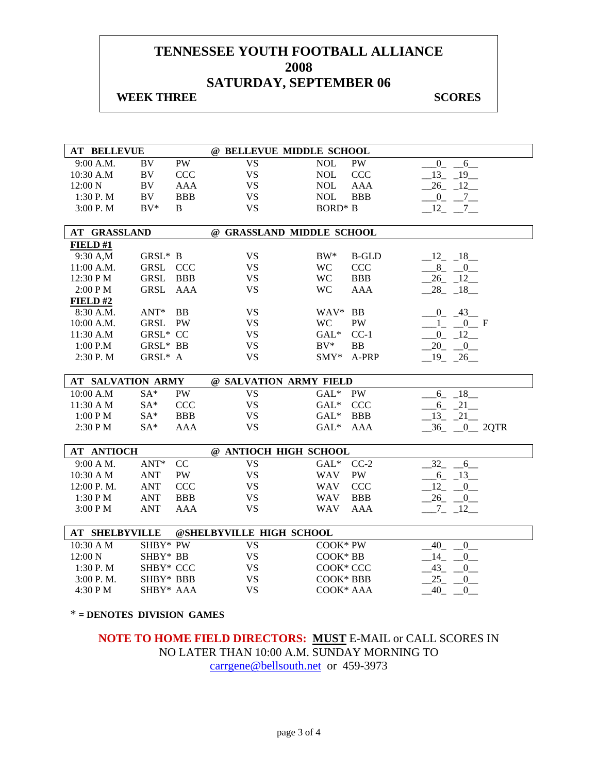## **WEEK THREE** SCORES

| <b>AT BELLEVUE</b>       |                   |            | @ BELLEVUE MIDDLE SCHOOL  |                |              |                                    |
|--------------------------|-------------------|------------|---------------------------|----------------|--------------|------------------------------------|
| 9:00 A.M.                | BV                | <b>PW</b>  | <b>VS</b>                 | <b>NOL</b>     | PW           | $0_{-}$<br>$6_{-}$                 |
| 10:30 A.M                | BV                | <b>CCC</b> | <b>VS</b>                 | <b>NOL</b>     | <b>CCC</b>   | 13 19                              |
| 12:00 N                  | BV                | AAA        | <b>VS</b>                 | <b>NOL</b>     | <b>AAA</b>   | 26 12                              |
| 1:30 P.M                 | BV                | <b>BBB</b> | <b>VS</b>                 | <b>NOL</b>     | <b>BBB</b>   | $0 - 7$                            |
| 3:00 P. M                | $BV^*$            | B          | <b>VS</b>                 | <b>BORD*</b> B |              | $-12$ , $-7$                       |
|                          |                   |            |                           |                |              |                                    |
| AT GRASSLAND             |                   |            | @ GRASSLAND MIDDLE SCHOOL |                |              |                                    |
| FIELD#1                  |                   |            |                           |                |              |                                    |
| 9:30 A,M                 | GRSL* B           |            | <b>VS</b>                 | $BW^*$         | <b>B-GLD</b> | $-12 - 18$                         |
| 11:00 A.M.               | GRSL              | <b>CCC</b> | <b>VS</b>                 | <b>WC</b>      | <b>CCC</b>   | $8 - 0$                            |
| 12:30 PM                 | GRSL              | <b>BBB</b> | <b>VS</b>                 | <b>WC</b>      | <b>BBB</b>   | $-26 - 12$                         |
| 2:00 PM                  | GRSL              | AAA        | <b>VS</b>                 | <b>WC</b>      | <b>AAA</b>   | $-28 - 18$                         |
| FIELD#2                  |                   |            |                           |                |              |                                    |
| 8:30 A.M.                | $ANT^*$ BB        |            | <b>VS</b>                 | WAV* BB        |              | $0 - 43$                           |
| 10:00 A.M.               | GRSL PW           |            | <b>VS</b>                 | <b>WC</b>      | PW           | $1 \t 0 \t F$                      |
| 11:30 A.M                | GRSL* CC          |            | <b>VS</b>                 | $GAL*$         | $CC-1$       | $-0$ $-12$ $-$                     |
| 1:00 P.M                 | ${\tt GRSL^*}$ BB |            | <b>VS</b>                 | $BV^*$         | <b>BB</b>    | $-20$ $-0$                         |
| 2:30 P.M                 | GRSL* A           |            | <b>VS</b>                 | $SMY*$         | A-PRP        | $19 - 26$                          |
|                          |                   |            |                           |                |              |                                    |
|                          |                   |            |                           |                |              |                                    |
| <b>AT SALVATION ARMY</b> |                   |            | @ SALVATION ARMY FIELD    |                |              |                                    |
| 10:00 A.M                | $SA*$             | PW         | <b>VS</b>                 | $GAL*$         | PW           | $-6 - 18$                          |
| 11:30 A M                | $SA*$             | CCC        | <b>VS</b>                 | $GAL*$         | <b>CCC</b>   | $-6 - 21$                          |
| 1:00 P M                 | $SA^*$            | <b>BBB</b> | <b>VS</b>                 | $GAL^*$        | <b>BBB</b>   | $-13 - 21$                         |
| 2:30 PM                  | $SA^*$            | AAA        | <b>VS</b>                 | $GAL*$         | <b>AAA</b>   | $-36 - 0$ 2QTR                     |
|                          |                   |            |                           |                |              |                                    |
| <b>AT ANTIOCH</b>        |                   |            | @ ANTIOCH HIGH SCHOOL     |                |              |                                    |
| 9:00 A M.                | $ANT*$            | CC         | <b>VS</b>                 | $GAL*$         | $CC-2$       | 32<br>6                            |
| 10:30 A M                | <b>ANT</b>        | PW         | <b>VS</b>                 | <b>WAV</b>     | PW           | $-6 - 13$                          |
| 12:00 P.M.               | <b>ANT</b>        | CCC        | <b>VS</b>                 | <b>WAV</b>     | <b>CCC</b>   | 12<br>$\overline{0}$               |
| 1:30 P M                 | <b>ANT</b>        | <b>BBB</b> | <b>VS</b>                 | <b>WAV</b>     | <b>BBB</b>   | $26 - 0$                           |
| 3:00 PM                  | <b>ANT</b>        | <b>AAA</b> | <b>VS</b>                 | <b>WAV</b>     | <b>AAA</b>   | $-7 - 12$                          |
| <b>AT SHELBYVILLE</b>    |                   |            | @SHELBYVILLE HIGH SCHOOL  |                |              |                                    |
| 10:30 A M                | SHBY* PW          |            | <b>VS</b>                 | COOK* PW       |              | 40                                 |
| 12:00 N                  | SHBY* BB          |            | <b>VS</b>                 | COOK* BB       |              | $0$ <sub>—</sub><br>14             |
| 1:30 P.M                 | SHBY* CCC         |            | <b>VS</b>                 | COOK* CCC      |              | $-0$<br>$43_{-}$<br>$\overline{0}$ |
| 3:00 P. M.               | SHBY* BBB         |            | <b>VS</b>                 | COOK* BBB      |              | 25<br>$\overline{0}$               |
| 4:30 PM                  | SHBY* AAA         |            | <b>VS</b>                 | COOK* AAA      |              | 40<br>0                            |

\* **= DENOTES DIVISION GAMES**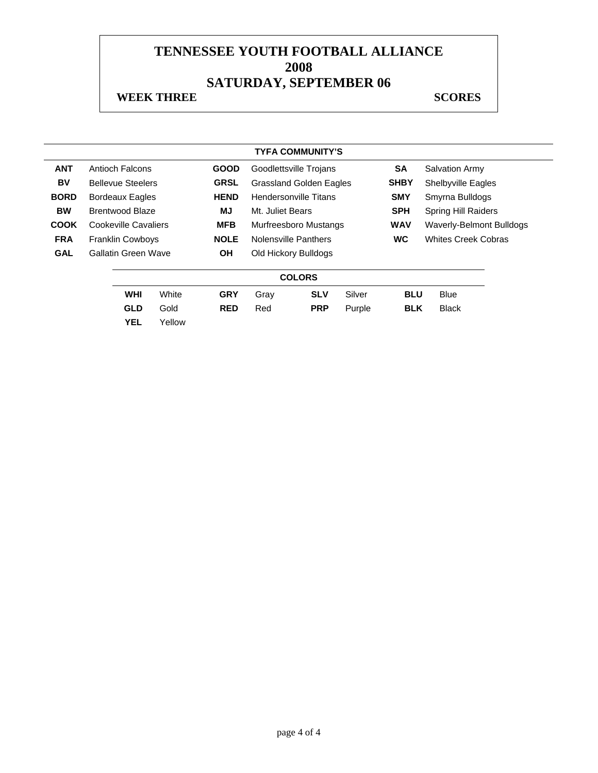#### **WEEK THREE** SCORES

|             |                                       |                          |        |             |                                | <b>TYFA COMMUNITY'S</b> |            |                            |                                 |  |
|-------------|---------------------------------------|--------------------------|--------|-------------|--------------------------------|-------------------------|------------|----------------------------|---------------------------------|--|
| <b>ANT</b>  |                                       | Antioch Falcons          |        | <b>GOOD</b> |                                | Goodlettsville Trojans  |            | <b>SA</b>                  | <b>Salvation Army</b>           |  |
| BV          |                                       | <b>Bellevue Steelers</b> |        | <b>GRSL</b> | <b>Grassland Golden Eagles</b> |                         |            | <b>SHBY</b>                | Shelbyville Eagles              |  |
| <b>BORD</b> | <b>HEND</b><br><b>Bordeaux Eagles</b> |                          |        |             | <b>Hendersonville Titans</b>   |                         | <b>SMY</b> | Smyrna Bulldogs            |                                 |  |
| <b>BW</b>   | MJ<br><b>Brentwood Blaze</b>          |                          |        |             | Mt. Juliet Bears               |                         |            | <b>SPH</b>                 | <b>Spring Hill Raiders</b>      |  |
| <b>COOK</b> | Cookeville Cavaliers                  |                          |        | <b>MFB</b>  | <b>Murfreesboro Mustangs</b>   |                         |            | <b>WAV</b>                 | <b>Waverly-Belmont Bulldogs</b> |  |
| <b>FRA</b>  |                                       | <b>Franklin Cowboys</b>  |        | <b>NOLE</b> | Nolensville Panthers           |                         | <b>WC</b>  | <b>Whites Creek Cobras</b> |                                 |  |
| <b>GAL</b>  |                                       | Gallatin Green Wave      |        | <b>OH</b>   |                                | Old Hickory Bulldogs    |            |                            |                                 |  |
|             |                                       |                          |        |             |                                | <b>COLORS</b>           |            |                            |                                 |  |
|             |                                       | <b>WHI</b>               | White  | <b>GRY</b>  | Gray                           | <b>SLV</b>              | Silver     | <b>BLU</b>                 | <b>Blue</b>                     |  |
|             |                                       | <b>GLD</b>               | Gold   | <b>RED</b>  | Red                            | <b>PRP</b>              | Purple     | <b>BLK</b>                 | <b>Black</b>                    |  |
|             |                                       | <b>YEL</b>               | Yellow |             |                                |                         |            |                            |                                 |  |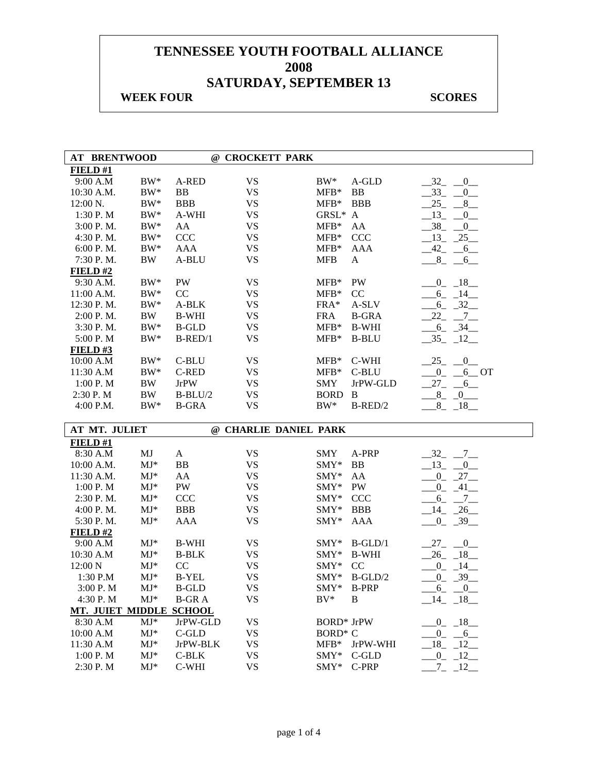## **WEEK FOUR SCORES**

| <b>AT BRENTWOOD</b>     |                          |                | @ CROCKETT PARK        |                                |                            |
|-------------------------|--------------------------|----------------|------------------------|--------------------------------|----------------------------|
| FIELD#1                 |                          |                |                        |                                |                            |
| 9:00 A.M                | $BW^*$                   | A-RED          | <b>VS</b>              | BW*<br>A-GLD                   | $-32$<br>$_{-0}$           |
| 10:30 A.M.              | $BW^*$                   | BB             | <b>VS</b>              | <b>BB</b><br>$MFB*$            | $-33 - 0$                  |
| 12:00 N.                | $BW^*$                   | <b>BBB</b>     | <b>VS</b>              | $MFB*$<br><b>BBB</b>           | $25 -$<br>$8$ <sub>—</sub> |
| 1:30 P.M                | $BW^*$                   | A-WHI          | <b>VS</b>              | GRSL*<br>$\mathbf{A}$          | $-13$ $-0$                 |
| 3:00 P.M.               | $BW^*$                   | AA             | <b>VS</b>              | $MFB*$<br>AA                   | $-38$ $-0$                 |
| 4:30 P. M.              | $BW^*$                   | CCC            | <b>VS</b>              | $MFB*$<br><b>CCC</b>           | $-13 - 25$                 |
| 6:00 P.M.               | $BW^*$                   | AAA            | <b>VS</b>              | <b>AAA</b><br>$MFB*$           | $-42 - 6$                  |
| 7:30 P.M.               | <b>BW</b>                | A-BLU          | <b>VS</b>              | <b>MFB</b><br>A                | $8 - 6$                    |
| FIELD#2                 |                          |                |                        |                                |                            |
| 9:30 A.M.               | $BW^*$                   | PW             | <b>VS</b>              | PW<br>$MFB*$                   | $-18$<br>$0_{-}$           |
| 11:00 A.M.              | $BW^*$                   | CC             | <b>VS</b>              | CC<br>$MFB*$                   | $-14$<br>$6_{-}$           |
| 12:30 P.M.              | $BW^*$                   | A-BLK          | <b>VS</b>              | FRA*<br>A-SLV                  | $-32$<br>$6_{-}$           |
| 2:00 P.M.               | BW                       | <b>B-WHI</b>   | <b>VS</b>              | <b>FRA</b><br><b>B-GRA</b>     | 22<br>$\overline{C}$       |
| 3:30 P.M.               | $BW^*$                   | <b>B-GLD</b>   | <b>VS</b>              | $MFB*$<br><b>B-WHI</b>         | $-6 - 34$                  |
| 5:00 P.M                | $BW^*$                   | $B$ -RED/1     | <b>VS</b>              | $MFB*$<br><b>B-BLU</b>         | $-35 - 12$                 |
| FIELD#3                 |                          |                |                        |                                |                            |
| 10:00 A.M               | $BW^*$                   | C-BLU          | <b>VS</b>              | C-WHI<br>$MFB*$                | $-25$ $-0$ $-$             |
| 11:30 A.M               | $BW^*$                   | <b>C-RED</b>   | <b>VS</b>              | $MFB*$<br>C-BLU                | $-0$ $-6$ OT               |
| 1:00 P.M                | BW                       | <b>JrPW</b>    | <b>VS</b>              | <b>SMY</b><br>JrPW-GLD         | $27 - 6$                   |
| 2:30 P.M                | BW                       | $B-BLU/2$      | <b>VS</b>              | <b>BORD</b><br>B               | $8 - 0$                    |
| 4:00 P.M.               | $BW^*$                   | <b>B-GRA</b>   | <b>VS</b>              | $BW^*$<br>$B-RED/2$            | $-8$ $-18$                 |
|                         |                          |                |                        |                                |                            |
|                         |                          |                |                        |                                |                            |
| AT MT. JULIET           |                          |                | @ CHARLIE DANIEL PARK  |                                |                            |
| FIELD#1                 |                          |                |                        |                                |                            |
| 8:30 A.M                | MJ                       | A              | <b>VS</b>              | <b>SMY</b><br>A-PRP            | $-32 - 7$                  |
| 10:00 A.M.              | $MJ*$                    | BB             | <b>VS</b>              | SMY*<br>BB                     | $13 - 0$                   |
| 11:30 A.M.              | $MJ*$                    | AA             | <b>VS</b>              | SMY*<br>AA                     | $-27$<br>$_{0_{-}}$        |
| 1:00 P.M                | $\mathbf{M}\mathbf{J}^*$ | PW             | <b>VS</b>              | SMY*<br>PW                     | $^{0}$<br>$-41-$           |
| 2:30 P.M.               | $\mathbf{M}\mathbf{J}^*$ | CCC            | <b>VS</b>              | SMY*<br><b>CCC</b>             | $6_{-}$<br>$\overline{7}$  |
| 4:00 P.M.               | $MJ*$                    | <b>BBB</b>     | <b>VS</b>              | SMY*<br><b>BBB</b>             | $-14$<br>$-26$             |
| 5:30 P.M.               | $MJ*$                    | AAA            | <b>VS</b>              | <b>AAA</b><br>$SMY*$           | $-0$ $-39$                 |
| FIELD#2                 |                          |                |                        |                                |                            |
| 9:00 A.M                | $MJ*$                    | <b>B-WHI</b>   | <b>VS</b>              | $B-GLD/1$<br>$SMY*$            | $-27$ $-0$                 |
| 10:30 A.M               | $MJ^*$                   | <b>B-BLK</b>   | <b>VS</b>              | SMY*<br><b>B-WHI</b>           | $-26$ $-18$ $-$            |
| 12:00 N                 | $MJ*$                    | CC             | <b>VS</b>              | SMY*<br>CC                     | $-0$ $-14$ $-$             |
| 1:30 P.M                | $MJ*$                    | <b>B-YEL</b>   | <b>VS</b>              | SMY*<br>$B-GLD/2$              | $-0$ $-39$                 |
| 3:00 P. M               | $MJ*$                    | <b>B-GLD</b>   | <b>VS</b>              | $SMY*$<br><b>B-PRP</b>         | 6 0                        |
| 4:30 P.M                | $MJ^*$                   | <b>B-GRA</b>   | <b>VS</b>              | $BV^*$<br>B                    | $-14$ $-18$                |
| MT. JUIET MIDDLE SCHOOL |                          |                |                        |                                |                            |
| 8:30 A.M                | $MJ*$                    | JrPW-GLD       | <b>VS</b>              | <b>BORD*</b> JrPW              | $-0$ $-18$                 |
| 10:00 A.M               | $MJ*$                    | $C$ -GLD       | <b>VS</b>              | BORD <sup>*</sup> C            | $0 - 6$                    |
| 11:30 A.M               | $MJ*$                    | JrPW-BLK       | <b>VS</b>              | $MFB*$<br>JrPW-WHI             | $-18$ $-12$                |
| 1:00 P.M<br>2:30 P.M    | $MJ^*$<br>$MJ*$          | C-BLK<br>C-WHI | <b>VS</b><br><b>VS</b> | SMY*<br>C-GLD<br>SMY*<br>C-PRP | $0 - 12$<br>$7 - 12$       |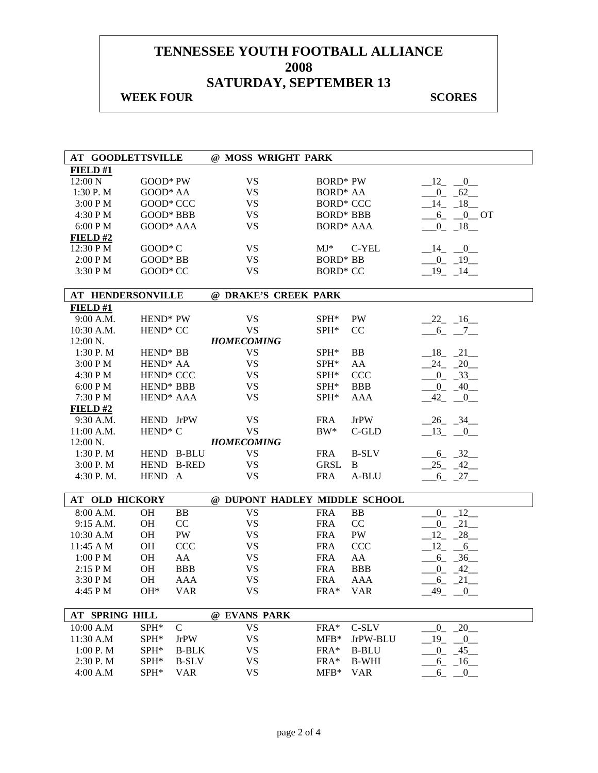## **WEEK FOUR SCORES**

| <b>AT GOODLETTSVILLE</b> |                       |              | @ MOSS WRIGHT PARK            |                      |              |                            |
|--------------------------|-----------------------|--------------|-------------------------------|----------------------|--------------|----------------------------|
| FIELD#1                  |                       |              |                               |                      |              |                            |
| 12:00 N                  | GOOD* PW              |              | <b>VS</b>                     | <b>BORD*</b> PW      |              | $-12$ $-0$                 |
| 1:30 P.M                 | GOOD* AA              |              | <b>VS</b>                     | BORD <sup>*</sup> AA |              | $-0$ $-62$                 |
| 3:00 PM                  | GOOD* CCC             |              | <b>VS</b>                     | <b>BORD* CCC</b>     |              | $-14$ $-18$                |
| 4:30 PM                  | GOOD* BBB             |              | <b>VS</b>                     | <b>BORD* BBB</b>     |              | $-6 - 0$ OT                |
| 6:00 PM                  | GOOD* AAA             |              | <b>VS</b>                     | <b>BORD* AAA</b>     |              | $-0$ $-18$                 |
| FIELD#2                  |                       |              |                               |                      |              |                            |
| 12:30 P M                | $GOOD^*C$             |              | <b>VS</b>                     | $MJ^*$               | C-YEL        | $-14$ $-0$                 |
| 2:00 PM                  | GOOD* BB              |              | <b>VS</b>                     | <b>BORD* BB</b>      |              | $-0$ $-19$                 |
| 3:30 PM                  | GOOD* CC              |              | <b>VS</b>                     | <b>BORD* CC</b>      |              | $-19$ $-14$                |
|                          |                       |              |                               |                      |              |                            |
| AT HENDERSONVILLE        |                       |              | @ DRAKE'S CREEK PARK          |                      |              |                            |
| FIELD#1                  |                       |              |                               |                      |              |                            |
| 9:00 A.M.                | HEND <sup>*</sup> PW  |              | <b>VS</b>                     | $SPH^*$              | <b>PW</b>    | $-22 - 16$                 |
| 10:30 A.M.               | HEND <sup>*</sup> CC  |              | <b>VS</b>                     | SPH*                 | CC           | $-6 - -7$                  |
| 12:00 N.                 |                       |              | <b>HOMECOMING</b>             |                      |              |                            |
| 1:30 P.M                 | HEND <sup>*</sup> BB  |              | <b>VS</b>                     | SPH*                 | BB           | $-18$ $-21$                |
| 3:00 PM                  | HEND <sup>*</sup> AA  |              | <b>VS</b>                     | SPH*                 | AA           | $-24 - 20$                 |
| 4:30 PM                  | HEND <sup>*</sup> CCC |              | <b>VS</b>                     | SPH*                 | <b>CCC</b>   | $-0$ $-33$                 |
| 6:00 P M                 | HEND <sup>*</sup> BBB |              | <b>VS</b>                     | SPH*                 | <b>BBB</b>   | $-0$ $-40$                 |
| 7:30 P M                 | HEND <sup>*</sup> AAA |              | <b>VS</b>                     | SPH*                 | AAA          | 42<br>0                    |
| FIELD#2                  |                       |              |                               |                      |              |                            |
| 9:30 A.M.                | HEND JrPW             |              | <b>VS</b>                     | <b>FRA</b>           | <b>JrPW</b>  | $-26$ $-34$ $-$            |
| $11:00$ A.M.             | HEND <sup>*</sup> C   |              | <b>VS</b>                     | $BW^*$               | C-GLD        | $-13$ $-0$                 |
| 12:00 N.                 |                       |              | <b>HOMECOMING</b>             |                      |              |                            |
| 1:30 P. M                | HEND B-BLU            |              | <b>VS</b>                     | <b>FRA</b>           | <b>B-SLV</b> | $-6 - 32$                  |
| 3:00 P. M                | HEND B-RED            |              | <b>VS</b>                     | <b>GRSL</b>          | B            | $-25 - 42$                 |
| 4:30 P.M.                | HEND A                |              | <b>VS</b>                     | <b>FRA</b>           | A-BLU        | $-6$ $-27$                 |
|                          |                       |              |                               |                      |              |                            |
| <b>AT OLD HICKORY</b>    |                       |              | @ DUPONT HADLEY MIDDLE SCHOOL |                      |              |                            |
| 8:00 A.M.                | <b>OH</b>             | BB           | <b>VS</b>                     | <b>FRA</b>           | <b>BB</b>    | $-0$ $-12$                 |
| 9:15 A.M.                | OH                    | CC           | <b>VS</b>                     | <b>FRA</b>           | CC           | $-0$ $-21$                 |
| 10:30 A.M                | <b>OH</b>             | PW           | <b>VS</b>                     | <b>FRA</b>           | PW           | $12 - 28$                  |
| 11:45 A M                | OH                    | <b>CCC</b>   | <b>VS</b>                     | <b>FRA</b>           | <b>CCC</b>   | $12 - 6$                   |
| 1:00 P M                 | OH                    | AA           | <b>VS</b>                     | <b>FRA</b>           | AA           | $-6 - 36$                  |
| $2:15$ P M               | <b>OH</b>             | <b>BBB</b>   | <b>VS</b>                     | <b>FRA</b>           | <b>BBB</b>   | $0 - 42$                   |
| 3:30 PM                  | <b>OH</b>             | <b>AAA</b>   | <b>VS</b>                     | <b>FRA</b>           | AAA          | $-6 - 21$                  |
| 4:45 P M                 | $OH*$                 | <b>VAR</b>   | <b>VS</b>                     | FRA* VAR             |              | $-49$ $-0$                 |
|                          |                       |              |                               |                      |              |                            |
| AT SPRING HILL           |                       |              | @ EVANS PARK                  |                      |              |                            |
| 10:00 A.M                | SPH*                  | $\mathbf C$  | <b>VS</b>                     | FRA*                 | C-SLV        | $-0$ $-20$                 |
| 11:30 A.M                | SPH*                  | <b>JrPW</b>  | <b>VS</b>                     | $MFB*$               | JrPW-BLU     | $19_{-}$<br>$\overline{0}$ |
| 1:00 P.M                 | SPH*                  | <b>B-BLK</b> | <b>VS</b>                     | FRA*                 | <b>B-BLU</b> | $\mathbf{0}$<br>45         |
| 2:30 P.M                 | $SPH^*$               | <b>B-SLV</b> | <b>VS</b>                     | $FRA*$               | <b>B-WHI</b> | $-6 - 16$                  |
| 4:00 A.M                 | SPH*                  | <b>VAR</b>   | <b>VS</b>                     | $MFB*$               | <b>VAR</b>   | 6<br>$\boldsymbol{0}$      |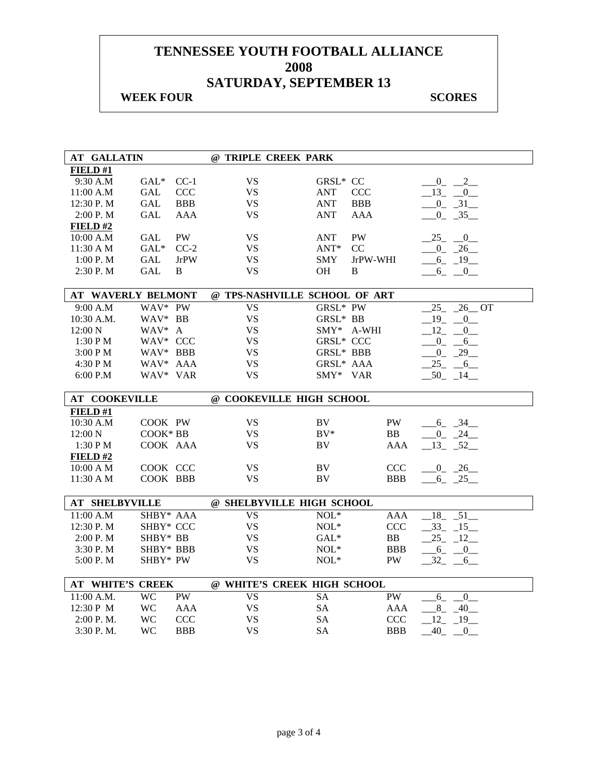## **WEEK FOUR SCORES**

| <b>AT GALLATIN</b>                                                           | @ TRIPLE CREEK PARK    |                                                    |                                        |
|------------------------------------------------------------------------------|------------------------|----------------------------------------------------|----------------------------------------|
| FIELD #1                                                                     |                        |                                                    |                                        |
| 9:30 A.M<br>$GAL^*$<br>$CC-1$                                                | <b>VS</b>              | GRSL* CC                                           | $\frac{0}{2}$ $\frac{2}{2}$            |
| GAL<br><b>CCC</b><br>11:00 A.M                                               | <b>VS</b>              | <b>ANT</b><br><b>CCC</b>                           | $-13$ $-0$                             |
| 12:30 P.M<br><b>GAL</b><br><b>BBB</b>                                        | VS                     | <b>ANT</b><br><b>BBB</b>                           | $-0$ $-31$                             |
| 2:00 P.M<br><b>GAL</b><br><b>AAA</b>                                         | <b>VS</b>              | <b>ANT</b><br><b>AAA</b>                           | $-0$ $-35$ $-$                         |
| FIELD#2                                                                      |                        |                                                    |                                        |
| <b>PW</b><br>10:00 A.M<br>GAL                                                | <b>VS</b>              | PW<br><b>ANT</b>                                   | $-25$ $-0$                             |
| 11:30 A M<br>GAL*<br>$CC-2$                                                  | <b>VS</b>              | $ANT*$<br>CC                                       | $-0$ $-26$                             |
| 1:00 P.M<br>GAL<br><b>JrPW</b>                                               | <b>VS</b>              | JrPW-WHI<br><b>SMY</b>                             | $-6 - 19$                              |
| 2:30 P.M<br>GAL<br>B                                                         | <b>VS</b>              | OH<br>B                                            | $6 - 0$                                |
|                                                                              |                        |                                                    |                                        |
| <b>AT WAVERLY BELMONT</b>                                                    |                        | @ TPS-NASHVILLE SCHOOL OF ART                      |                                        |
| WAV* PW<br>9:00 A.M                                                          | <b>VS</b>              | GRSL* PW                                           | $25 - 26$ OT                           |
| 10:30 A.M.<br>WAV* BB                                                        | <b>VS</b>              | GRSL* BB                                           | 19<br>$\begin{array}{c} 0 \end{array}$ |
| WAV* A<br>$12:00\text{ N}$                                                   | <b>VS</b>              | SMY* A-WHI                                         | $12 - 0$                               |
| WAV* CCC<br>1:30 P M                                                         | <b>VS</b>              | <b>GRSL* CCC</b>                                   | $-0$ $-6$                              |
| 3:00 PM<br>WAV* BBB                                                          | <b>VS</b>              | GRSL* BBB                                          | $-0$ $-29$ $-$                         |
| WAV* AAA<br>4:30 PM                                                          | <b>VS</b>              | GRSL* AAA                                          | 25 6                                   |
| WAV* VAR<br>6:00 P.M                                                         | <b>VS</b>              | SMY* VAR                                           | $50 - 14$                              |
| <b>AT COOKEVILLE</b>                                                         |                        | @ COOKEVILLE HIGH SCHOOL                           |                                        |
| FIELD#1                                                                      |                        |                                                    |                                        |
| 10:30 A.M<br>COOK PW                                                         | <b>VS</b>              | BV.<br>PW                                          | $-6 - 34$                              |
| COOK* BB<br>$12:00\text{ N}$                                                 | <b>VS</b>              | $BV^*$<br><b>BB</b>                                | $0 \quad 24$                           |
| 1:30 PM<br>COOK AAA                                                          | <b>VS</b>              | BV<br>AAA                                          | $-13 - 52$                             |
| FIELD#2                                                                      |                        |                                                    |                                        |
| COOK CCC<br>$10:00 \text{ A M}$                                              |                        |                                                    |                                        |
| 11:30 A M<br>COOK BBB                                                        | <b>VS</b>              | BV<br>CCC                                          | $0 - 26$                               |
|                                                                              | <b>VS</b>              | BV<br><b>BBB</b>                                   | $-6 - 25$                              |
|                                                                              |                        |                                                    |                                        |
| <b>AT SHELBYVILLE</b>                                                        |                        | @ SHELBYVILLE HIGH SCHOOL                          |                                        |
| 11:00 A.M<br>SHBY* AAA                                                       | <b>VS</b>              | $NOL*$<br>AAA                                      | $-18$ $-51$                            |
| 12:30 P.M<br>SHBY* CCC                                                       | <b>VS</b>              | $NOL*$<br><b>CCC</b>                               | $-33 - 15$                             |
| 2:00 P.M<br>SHBY* BB                                                         | <b>VS</b>              | $GAL*$<br>BB                                       | $25 - 12$                              |
| 3:30P. M<br>SHBY* BBB                                                        | <b>VS</b>              | $NOL*$<br><b>BBB</b>                               | $-6 - 0$                               |
| 5:00 P.M<br>SHBY* PW                                                         | VS                     | $NOL*$<br>PW.                                      | $-32 - -6$                             |
|                                                                              |                        |                                                    |                                        |
| AT WHITE'S CREEK                                                             |                        | @ WHITE'S CREEK HIGH SCHOOL                        |                                        |
| 11:00 A.M.<br><b>WC</b><br>PW                                                | <b>VS</b>              | PW<br><b>SA</b>                                    | $6_{-}$<br>$\overline{0}$              |
| 12:30 P M<br><b>WC</b><br><b>AAA</b><br><b>WC</b><br><b>CCC</b><br>2:00 P.M. | <b>VS</b><br><b>VS</b> | <b>SA</b><br><b>AAA</b><br><b>SA</b><br><b>CCC</b> | $8 - 40$<br>$12 - 19$                  |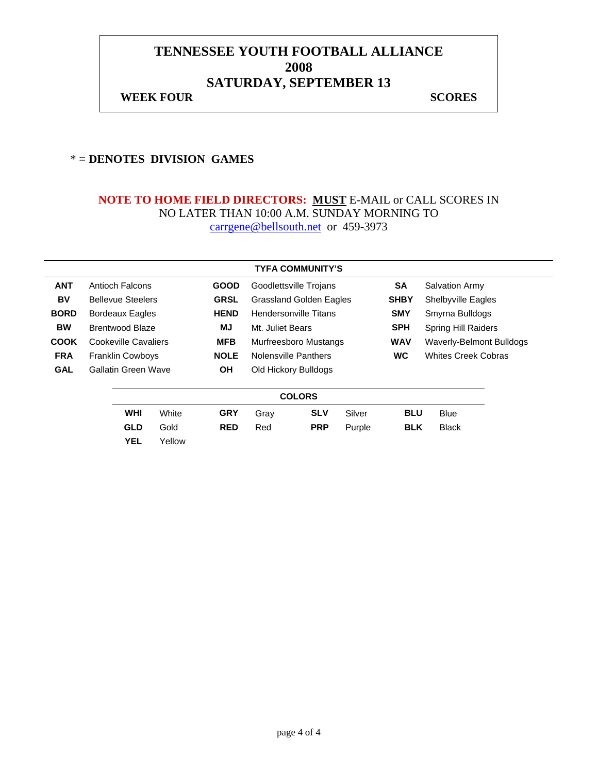## **TENNESSEE YOUTH FOOTBALL ALLIANCE 2008 SATURDAY, SEPTEMBER 13 WEEK FOUR SCORES**

#### \* **= DENOTES DIVISION GAMES**

|             |                      |                          |        |             |                              | <b>TYFA COMMUNITY'S</b>        |        |             |                                 |  |
|-------------|----------------------|--------------------------|--------|-------------|------------------------------|--------------------------------|--------|-------------|---------------------------------|--|
| <b>ANT</b>  |                      | <b>Antioch Falcons</b>   |        | <b>GOOD</b> |                              | Goodlettsville Trojans         |        | <b>SA</b>   | <b>Salvation Army</b>           |  |
| BV          |                      | <b>Bellevue Steelers</b> |        | <b>GRSL</b> |                              | <b>Grassland Golden Eagles</b> |        | <b>SHBY</b> | <b>Shelbyville Eagles</b>       |  |
| <b>BORD</b> |                      | <b>Bordeaux Eagles</b>   |        | <b>HEND</b> | <b>Hendersonville Titans</b> |                                |        | <b>SMY</b>  | Smyrna Bulldogs                 |  |
| <b>BW</b>   |                      | <b>Brentwood Blaze</b>   |        | MJ          | Mt. Juliet Bears             |                                |        | <b>SPH</b>  | <b>Spring Hill Raiders</b>      |  |
| <b>COOK</b> | Cookeville Cavaliers |                          |        | <b>MFB</b>  | Murfreesboro Mustangs        |                                |        | <b>WAV</b>  | <b>Waverly-Belmont Bulldogs</b> |  |
| <b>FRA</b>  |                      | <b>Franklin Cowboys</b>  |        | <b>NOLE</b> |                              | Nolensville Panthers           |        | <b>WC</b>   | <b>Whites Creek Cobras</b>      |  |
| <b>GAL</b>  |                      | Gallatin Green Wave      |        | ΟH          |                              | Old Hickory Bulldogs           |        |             |                                 |  |
|             |                      |                          |        |             |                              | <b>COLORS</b>                  |        |             |                                 |  |
|             |                      | <b>WHI</b>               | White  | <b>GRY</b>  | Gray                         | <b>SLV</b>                     | Silver | <b>BLU</b>  | Blue                            |  |
|             |                      | <b>GLD</b>               | Gold   | <b>RED</b>  | Red                          | <b>PRP</b>                     | Purple | <b>BLK</b>  | <b>Black</b>                    |  |
|             |                      | <b>YEL</b>               | Yellow |             |                              |                                |        |             |                                 |  |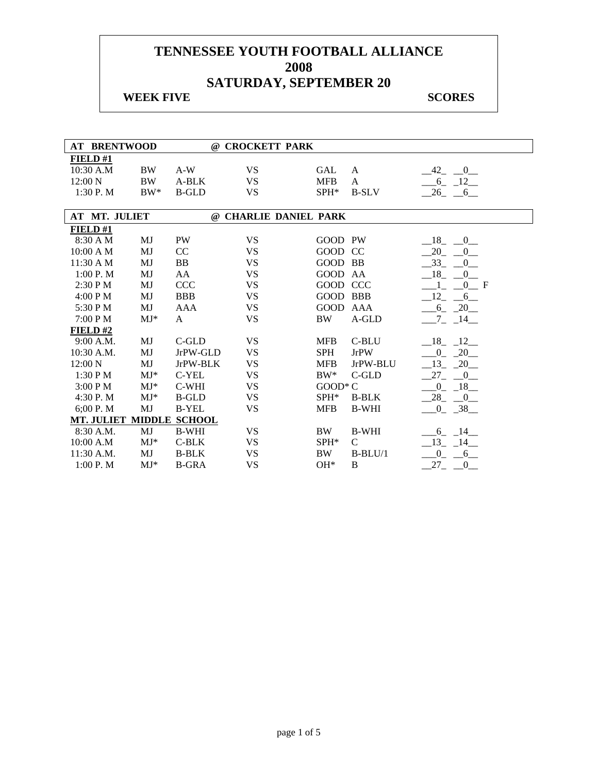| <b>AT BRENTWOOD</b>      |                        |              | @ CROCKETT PARK       |                 |               |                           |
|--------------------------|------------------------|--------------|-----------------------|-----------------|---------------|---------------------------|
| FIELD #1                 |                        |              |                       |                 |               |                           |
| 10:30 A.M                | <b>BW</b>              | $A-W$        | <b>VS</b>             | <b>GAL</b>      | A             | $-0$<br>$-42$             |
| 12:00 N                  | <b>BW</b>              | A-BLK        | <b>VS</b>             | <b>MFB</b>      | A             | $-6 - 12$                 |
| 1:30 P.M                 | $BW^*$                 | <b>B-GLD</b> | <b>VS</b>             | SPH*            | <b>B-SLV</b>  | $26 - 6$                  |
|                          |                        |              |                       |                 |               |                           |
| AT MT. JULIET            |                        |              | @ CHARLIE DANIEL PARK |                 |               |                           |
| FIELD#1                  |                        |              |                       |                 |               |                           |
| 8:30 A M                 | MJ                     | PW           | <b>VS</b>             | GOOD PW         |               | 18<br>$0_{-}$             |
| $10:00$ A M              | MJ                     | CC           | <b>VS</b>             | GOOD CC         |               | 20<br>$\overline{0}$      |
| 11:30 A M                | MJ                     | <b>BB</b>    | <b>VS</b>             | GOOD BB         |               | $-33$<br>$0_{-}$          |
| 1:00 P. M                | MJ                     | AA           | <b>VS</b>             | GOOD AA         |               | 18<br>$\overline{0}$      |
| 2:30 P M                 | MJ                     | <b>CCC</b>   | <b>VS</b>             | GOOD CCC        |               | 0 F                       |
| 4:00 P M                 | MJ                     | <b>BBB</b>   | <b>VS</b>             | <b>GOOD BBB</b> |               | 12<br>$6\overline{6}$     |
| 5:30 P M                 | MJ                     | AAA          | <b>VS</b>             | GOOD AAA        |               | $-6 - 20$                 |
| 7:00 P M                 | $MJ*$                  | A            | <b>VS</b>             | <b>BW</b>       | A-GLD         | $7\overline{ }$<br>$-14$  |
| FIELD#2                  |                        |              |                       |                 |               |                           |
| 9:00 A.M.                | MJ                     | $C$ -GLD     | <b>VS</b>             | <b>MFB</b>      | C-BLU         | $18 - 12$                 |
| 10:30 A.M.               | MJ                     | JrPW-GLD     | <b>VS</b>             | <b>SPH</b>      | <b>JrPW</b>   | 20<br>$\overline{0}$      |
| $12:00\text{ N}$         | MJ                     | JrPW-BLK     | <b>VS</b>             | <b>MFB</b>      | JrPW-BLU      | $-13 - 20$                |
| 1:30 PM                  | $MJ^*$                 | C-YEL        | <b>VS</b>             | $BW^*$          | $C$ -GLD      | 27<br>$\overline{0}$      |
| 3:00 P M                 | $MJ*$                  | C-WHI        | <b>VS</b>             | GOOD* C         |               | $0 - 18$                  |
| 4:30 P.M                 | $MJ*$                  | <b>B-GLD</b> | <b>VS</b>             | SPH*            | <b>B-BLK</b>  | $-28$<br>$\overline{0}$   |
| 6;00 P.M                 | $\mathbf{M}\mathbf{J}$ | <b>B-YEL</b> | <b>VS</b>             | <b>MFB</b>      | <b>B-WHI</b>  | $0 - 38$                  |
| MT. JULIET MIDDLE SCHOOL |                        |              |                       |                 |               |                           |
| 8:30 A.M.                | MJ                     | <b>B-WHI</b> | <b>VS</b>             | BW              | <b>B-WHI</b>  | 6 14                      |
| 10:00 A.M                | $MJ*$                  | $C-BLK$      | <b>VS</b>             | SPH*            | $\mathcal{C}$ | $-13 - 14$                |
| 11:30 A.M.               | MJ                     | <b>B-BLK</b> | <b>VS</b>             | BW              | $B-BLU/1$     | $\overline{0}$<br>$6\Box$ |
| 1:00 P. M                | $MJ*$                  | <b>B-GRA</b> | <b>VS</b>             | $OH*$           | B             | 27<br>$\boldsymbol{0}$    |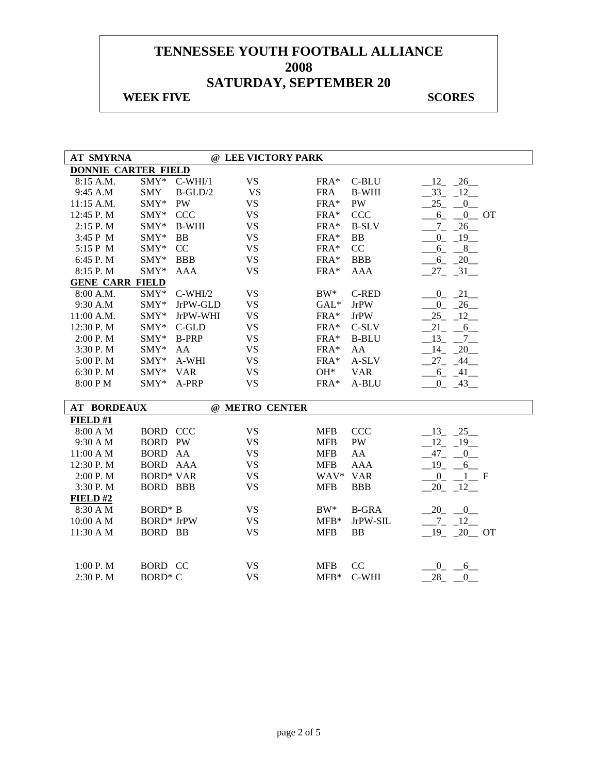| <b>AT SMYRNA</b>           |                     |              | @ LEE VICTORY PARK |            |              |                         |
|----------------------------|---------------------|--------------|--------------------|------------|--------------|-------------------------|
| <b>DONNIE CARTER FIELD</b> |                     |              |                    |            |              |                         |
| 8:15 A.M.                  |                     | SMY* C-WHI/1 | <b>VS</b>          | FRA*       | C-BLU        | $12 - 26$               |
| 9:45 A.M                   | <b>SMY</b>          | $B-GLD/2$    | <b>VS</b>          | <b>FRA</b> | <b>B-WHI</b> | $-33 - 12$              |
| 11:15 A.M.                 | SMY*                | <b>PW</b>    | <b>VS</b>          | FRA*       | <b>PW</b>    | 25<br>0                 |
| 12:45 P.M                  | $\text{SMY}^*$      | <b>CCC</b>   | <b>VS</b>          | FRA*       | CCC          | $0$ OT<br>6             |
| 2:15 P.M                   | SMY*                | <b>B-WHI</b> | <b>VS</b>          | $FRA*$     | <b>B-SLV</b> | $7 - 26$                |
| 3:45 P M                   | SMY*                | <b>BB</b>    | <b>VS</b>          | FRA*       | BB           | $-0$ $-19$              |
| 5:15 P M                   | $SMY*$              | CC           | <b>VS</b>          | FRA*       | CC           | $6 - 8$                 |
| 6:45 P.M                   | SMY*                | <b>BBB</b>   | <b>VS</b>          | FRA*       | <b>BBB</b>   | $-6 - 20$               |
| 8:15 P.M                   | $SMY*$              | <b>AAA</b>   | <b>VS</b>          | FRA*       | <b>AAA</b>   | $27 - 31$               |
| <b>GENE CARR FIELD</b>     |                     |              |                    |            |              |                         |
| 8:00 A.M.                  | $SMY*$              | $C-WHI/2$    | <b>VS</b>          | $BW^*$     | <b>C-RED</b> | $-0$ $-21$              |
| 9:30 A.M                   | $SMY*$              | JrPW-GLD     | <b>VS</b>          | $GAL*$     | <b>JrPW</b>  | $0 - 26$                |
| 11:00 A.M.                 | SMY*                | JrPW-WHI     | <b>VS</b>          | FRA*       | <b>JrPW</b>  | $25 - 12$               |
| 12:30 P.M                  | SMY*                | $C$ -GLD     | <b>VS</b>          | FRA*       | C-SLV        | $21 - 6$                |
| 2:00 P.M                   | SMY*                | <b>B-PRP</b> | <b>VS</b>          | FRA*       | <b>B-BLU</b> | $-13$ $-7$              |
| 3:30 P.M                   | SMY*                | AA           | <b>VS</b>          | FRA*       | AA           | $-14$ $-20$             |
| 5:00 P.M                   | SMY*                | A-WHI        | <b>VS</b>          | FRA*       | A-SLV        | $27 - 44$               |
| 6:30 P.M                   | $SMY*$              | <b>VAR</b>   | <b>VS</b>          | $OH*$      | <b>VAR</b>   | $-6 - 41$               |
| 8:00 PM                    | $SMY*$              | A-PRP        | <b>VS</b>          | FRA*       | A-BLU        | $-0$ $-43$              |
|                            |                     |              |                    |            |              |                         |
| <b>AT BORDEAUX</b>         |                     |              | @ METRO CENTER     |            |              |                         |
| FIELD#1                    |                     |              |                    |            |              |                         |
| 8:00 A M                   | <b>BORD CCC</b>     |              | <b>VS</b>          | <b>MFB</b> | <b>CCC</b>   | $-13$ $-25$             |
| 9:30 A M                   | <b>BORD PW</b>      |              | <b>VS</b>          | <b>MFB</b> | PW           | $-12 - 19$              |
| 11:00 A M                  | BORD AA             |              | <b>VS</b>          | <b>MFB</b> | AA           | $-47 - 0$               |
| 12:30 P.M                  | <b>BORD AAA</b>     |              | <b>VS</b>          | <b>MFB</b> | <b>AAA</b>   | $19 - 6$                |
| 2:00 P.M                   | <b>BORD* VAR</b>    |              | <b>VS</b>          | WAV* VAR   |              | $0_{-}$<br>$-1$ F       |
| 3:30 P.M                   | <b>BORD BBB</b>     |              | <b>VS</b>          | <b>MFB</b> | <b>BBB</b>   | $-20$ $-12$             |
| FIELD#2                    |                     |              |                    |            |              |                         |
| 8:30 A M                   | BORD <sup>*</sup> B |              | <b>VS</b>          | $BW^*$     | <b>B-GRA</b> | 20 0                    |
| 10:00 A M                  | <b>BORD*</b> JrPW   |              | <b>VS</b>          | $MFB*$     | JrPW-SIL     | $-7 - 12$               |
| 11:30 A M                  | BORD BB             |              | <b>VS</b>          | <b>MFB</b> | BB           | $19 - 20$ OT            |
|                            |                     |              |                    |            |              |                         |
|                            |                     |              |                    |            |              |                         |
| 1:00 P.M                   | <b>BORD CC</b>      |              | <b>VS</b>          | <b>MFB</b> | CC           | $^{0} - ^{6}$           |
| 2:30 P.M                   | <b>BORD* C</b>      |              | <b>VS</b>          | $MFB*$     | C-WHI        | $-28$ <sub>-</sub> $-0$ |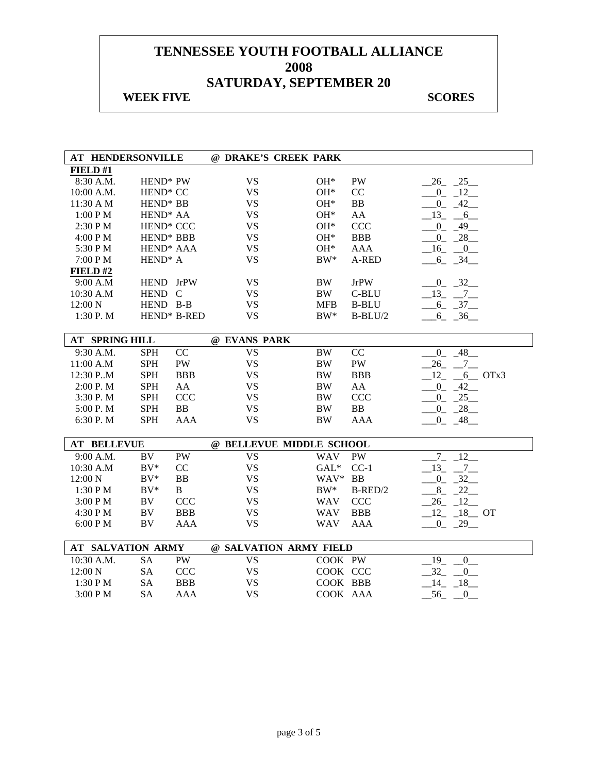| AT HENDERSONVILLE        |                       |                |              | @ DRAKE'S CREEK PARK     |                |                            |
|--------------------------|-----------------------|----------------|--------------|--------------------------|----------------|----------------------------|
| FIELD#1                  |                       |                |              |                          |                |                            |
| 8:30 A.M.                | HEND* PW              |                | <b>VS</b>    | $OH*$                    | PW             | $26 - 25$                  |
| 10:00 A.M.               | HEND <sup>*</sup> CC  |                | <b>VS</b>    | $OH*$                    | CC             | $0 - 12$                   |
| 11:30 A M                | HEND <sup>*</sup> BB  |                | <b>VS</b>    | $OH*$                    | <b>BB</b>      | $0 - 42$                   |
| 1:00 PM                  | HEND <sup>*</sup> AA  |                | <b>VS</b>    | $OH*$                    | AA             | 13<br>$-6$                 |
| 2:30 PM                  | HEND <sup>*</sup> CCC |                | <b>VS</b>    | $OH*$                    | <b>CCC</b>     | $\overline{0}$<br>$-49$    |
| 4:00 PM                  | HEND* BBB             |                | <b>VS</b>    | $OH*$                    | <b>BBB</b>     | $-28$<br>$0_{-}$           |
| 5:30 PM                  | HEND <sup>*</sup> AAA |                | <b>VS</b>    | $OH*$                    | <b>AAA</b>     | $-16$<br>$\mathbf{0}$      |
| 7:00 PM                  | HEND <sup>*</sup> A   |                | <b>VS</b>    | $BW^*$                   | A-RED          | $6 - 34$                   |
| FIELD#2                  |                       |                |              |                          |                |                            |
| 9:00 A.M                 | HEND JrPW             |                | <b>VS</b>    | <b>BW</b>                | <b>JrPW</b>    | $-0$ $-32$                 |
| 10:30 A.M                | HEND C                |                | <b>VS</b>    | <b>BW</b>                | C-BLU          | $-13$ $-7$                 |
| 12:00 N                  | HEND B-B              |                | <b>VS</b>    | <b>MFB</b>               | <b>B-BLU</b>   | $-6$ $-37$                 |
| 1:30 P.M                 | HEND* B-RED           |                | <b>VS</b>    | $BW^*$                   | $B-BLU/2$      | $-6 - 36$                  |
|                          |                       |                |              |                          |                |                            |
| <b>AT SPRING HILL</b>    |                       |                | @ EVANS PARK |                          |                |                            |
| 9:30 A.M.                | <b>SPH</b>            | CC             | <b>VS</b>    | <b>BW</b>                | CC             | $-0$ $-48$                 |
| 11:00 A.M                | <b>SPH</b>            | PW             | <b>VS</b>    | $\rm BW$                 | PW             | 26<br>$-7$                 |
| 12:30 P.M                | <b>SPH</b>            | <b>BBB</b>     | <b>VS</b>    | <b>BW</b>                | <b>BBB</b>     | 12<br>$-6$ OTx3            |
| 2:00 P.M                 | <b>SPH</b>            | AA             | <b>VS</b>    | $\rm BW$                 | AA             | $-42$<br>$0_{-}$           |
| 3:30 P.M                 | <b>SPH</b>            | <b>CCC</b>     | <b>VS</b>    | <b>BW</b>                | <b>CCC</b>     | $\overline{0}$<br>25       |
| 5:00 P.M                 | <b>SPH</b>            | B <sub>B</sub> | <b>VS</b>    | <b>BW</b>                | B <sub>B</sub> | 28<br>$^{0}$               |
| 6:30 P.M                 | <b>SPH</b>            | <b>AAA</b>     | <b>VS</b>    | <b>BW</b>                | <b>AAA</b>     | $0 - 48$                   |
|                          |                       |                |              |                          |                |                            |
| <b>AT BELLEVUE</b>       |                       |                |              | @ BELLEVUE MIDDLE SCHOOL |                |                            |
| 9:00 A.M.                | BV                    | PW             | <b>VS</b>    | <b>WAV</b>               | PW             | $7\overline{ }$<br>12      |
| 10:30 A.M                | $BV^*$                | CC             | <b>VS</b>    | $GAL*$                   | $CC-1$         | $13 - 7$                   |
| 12:00 N                  | $BV^*$                | BB             | <b>VS</b>    | WAV*                     | <b>BB</b>      | $0 - 32$                   |
| 1:30 PM                  | $BV^*$                | B              | <b>VS</b>    | $BW^*$                   | $B-RED/2$      | $-8$ $-22$                 |
| 3:00 P M                 | BV                    | <b>CCC</b>     | <b>VS</b>    | <b>WAV</b>               | <b>CCC</b>     | $26 - 12$                  |
| 4:30 PM                  | BV                    | <b>BBB</b>     | <b>VS</b>    | <b>WAV</b>               | <b>BBB</b>     | $12 - 18$ OT               |
| 6:00 P M                 | BV                    | <b>AAA</b>     | <b>VS</b>    | <b>WAV</b>               | AAA            | $-0$ $-29$ $-$             |
|                          |                       |                |              |                          |                |                            |
| <b>AT SALVATION ARMY</b> |                       |                |              | @ SALVATION ARMY FIELD   |                |                            |
| 10:30 A.M.               | <b>SA</b>             | PW             | <b>VS</b>    | COOK PW                  |                | $19_{-}$<br>$\overline{0}$ |
| 12:00 N                  | <b>SA</b>             | CCC            | <b>VS</b>    | COOK CCC                 |                | 32<br>$\overline{0}$       |
| 1:30 PM                  | <b>SA</b>             | <b>BBB</b>     | <b>VS</b>    | COOK BBB                 |                | 14<br>$-18$                |
| 3:00 PM                  | <b>SA</b>             | <b>AAA</b>     | <b>VS</b>    | COOK AAA                 |                | 56<br>$\boldsymbol{0}$     |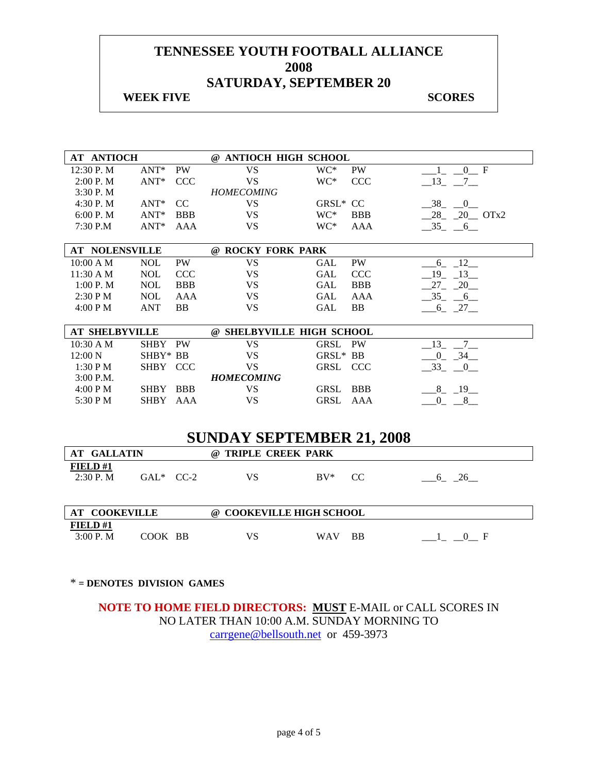#### **WEEK FIVE** SCORES

| <b>AT ANTIOCH</b>     |             |               | @ ANTIOCH HIGH SCHOOL            |          |            |                                   |
|-----------------------|-------------|---------------|----------------------------------|----------|------------|-----------------------------------|
| 12:30 P.M             | $ANT^*$     | PW            | <b>VS</b>                        | WC*      | <b>PW</b>  | 0 F                               |
| 2:00 P. M             | $ANT^*$     | <b>CCC</b>    | VS                               | WC*      | <b>CCC</b> | $-13$ $-7$ $-$                    |
| 3:30P. M              |             |               | <b>HOMECOMING</b>                |          |            |                                   |
| 4:30 P.M              | $ANT^*$     | <sub>CC</sub> | VS.                              | GRSL* CC |            | 38<br>$\overline{0}$              |
| 6:00 P. M             | $ANT*$      | <b>BBB</b>    | <b>VS</b>                        | WC*      | <b>BBB</b> | $28 - 20$ OTx2                    |
| 7:30 P.M              | $ANT^*$     | AAA           | <b>VS</b>                        | WC*      | AAA        | $-35 - 6$                         |
| <b>AT NOLENSVILLE</b> |             |               | @ ROCKY FORK PARK                |          |            |                                   |
| 10:00 A M             | <b>NOL</b>  | PW            | <b>VS</b>                        | GAL      | PW         | $-12$<br>6                        |
| 11:30 A M             | <b>NOL</b>  | <b>CCC</b>    | VS.                              | GAL      | <b>CCC</b> | 19<br>13                          |
| 1:00 P.M              | <b>NOL</b>  | <b>BBB</b>    | <b>VS</b>                        | GAL      | <b>BBB</b> | 27<br>$-20$                       |
| $2:30$ P M            | <b>NOL</b>  | AAA           | <b>VS</b>                        | GAL      | <b>AAA</b> | $-35 - 6$                         |
| 4:00 P M              | ANT         | <b>BB</b>     | <b>VS</b>                        | GAL      | BB         | $-6$ $-27$                        |
|                       |             |               |                                  |          |            |                                   |
| <b>AT SHELBYVILLE</b> |             |               | @ SHELBYVILLE HIGH SCHOOL        |          |            |                                   |
| 10:30 A M             | <b>SHBY</b> | <b>PW</b>     | <b>VS</b>                        | GRSL     | <b>PW</b>  | 13<br>$\overline{7}$              |
| 12:00 N               | SHBY* BB    |               | <b>VS</b>                        | GRSL* BB |            | $-0$ $-34$                        |
| 1:30 P M              | SHBY CCC    |               | <b>VS</b>                        | GRSL CCC |            | $-33 - 0$                         |
| $3:00$ P.M.           |             |               | <b>HOMECOMING</b>                |          |            |                                   |
| 4:00 P M              | SHBY BBB    |               | VS.                              | GRSL     | <b>BBB</b> | $8 - 19$                          |
| 5:30 P M              | SHBY AAA    |               | VS.                              | GRSL     | AAA        | $\overline{\phantom{0}}0$<br>$-8$ |
|                       |             |               |                                  |          |            |                                   |
|                       |             |               |                                  |          |            |                                   |
|                       |             |               | <b>SUNDAY SEPTEMBER 21, 2008</b> |          |            |                                   |

| AT GALLATIN                                                                                                                                                                |              | @ TRIPLE CREEK PARK              |            |     |    |
|----------------------------------------------------------------------------------------------------------------------------------------------------------------------------|--------------|----------------------------------|------------|-----|----|
| FIELD#1<br>$2:30$ P. M                                                                                                                                                     | $GAL^*$ CC-2 | VS                               | $\rm BV^*$ | CC. | 26 |
| $\mathbf{A}$ m $\mathbf{A}$ $\mathbf{A}$ $\mathbf{A}$ $\mathbf{I}$ $\mathbf{I}$ $\mathbf{I}$ $\mathbf{I}$ $\mathbf{I}$ $\mathbf{I}$ $\mathbf{I}$ $\mathbf{I}$ $\mathbf{I}$ |              | $\odot$ COOLERIH I B HIGH COHOOL |            |     |    |

| <b>AT COOKEVILLE</b> |            | @ COOKEVILLE HIGH SCHOOL |  |
|----------------------|------------|--------------------------|--|
| FIELD#1              |            |                          |  |
| 3:00 P.M             | BB<br>COOK | BB<br>WAV                |  |

#### \* **= DENOTES DIVISION GAMES**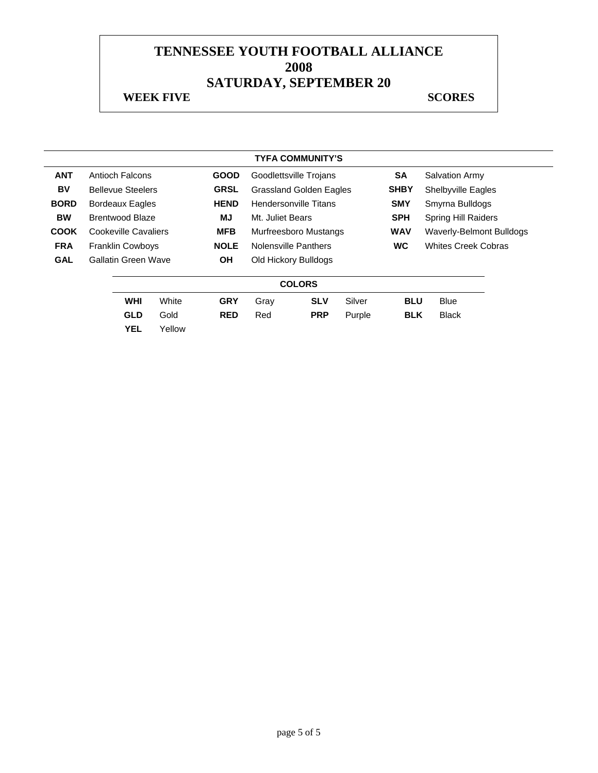|             |                          |        |             |                              | <b>TYFA COMMUNITY'S</b>        |        |            |                            |                                 |  |
|-------------|--------------------------|--------|-------------|------------------------------|--------------------------------|--------|------------|----------------------------|---------------------------------|--|
| <b>ANT</b>  | Antioch Falcons          |        | <b>GOOD</b> |                              | Goodlettsville Trojans         |        | <b>SA</b>  |                            | <b>Salvation Army</b>           |  |
| BV          | <b>Bellevue Steelers</b> |        | <b>GRSL</b> |                              | <b>Grassland Golden Eagles</b> |        |            |                            | <b>Shelbyville Eagles</b>       |  |
| <b>BORD</b> | <b>Bordeaux Eagles</b>   |        | <b>HEND</b> | Hendersonville Titans        |                                |        | <b>SMY</b> | Smyrna Bulldogs            |                                 |  |
| <b>BW</b>   | <b>Brentwood Blaze</b>   |        | MJ          | Mt. Juliet Bears             |                                |        | <b>SPH</b> | <b>Spring Hill Raiders</b> |                                 |  |
| <b>COOK</b> | Cookeville Cavaliers     |        | <b>MFB</b>  | <b>Murfreesboro Mustangs</b> |                                |        | <b>WAV</b> |                            | <b>Waverly-Belmont Bulldogs</b> |  |
| <b>FRA</b>  | <b>Franklin Cowboys</b>  |        | <b>NOLE</b> |                              | Nolensville Panthers           |        |            |                            | <b>Whites Creek Cobras</b>      |  |
| <b>GAL</b>  | Gallatin Green Wave      |        | ΟH          |                              | Old Hickory Bulldogs           |        |            |                            |                                 |  |
|             |                          |        |             |                              | <b>COLORS</b>                  |        |            |                            |                                 |  |
|             | <b>WHI</b>               | White  | <b>GRY</b>  | Gray                         | <b>SLV</b>                     | Silver | <b>BLU</b> |                            | <b>Blue</b>                     |  |
|             | <b>GLD</b>               | Gold   | <b>RED</b>  | Red                          | <b>PRP</b>                     | Purple | <b>BLK</b> |                            | <b>Black</b>                    |  |
|             | <b>YEL</b>               | Yellow |             |                              |                                |        |            |                            |                                 |  |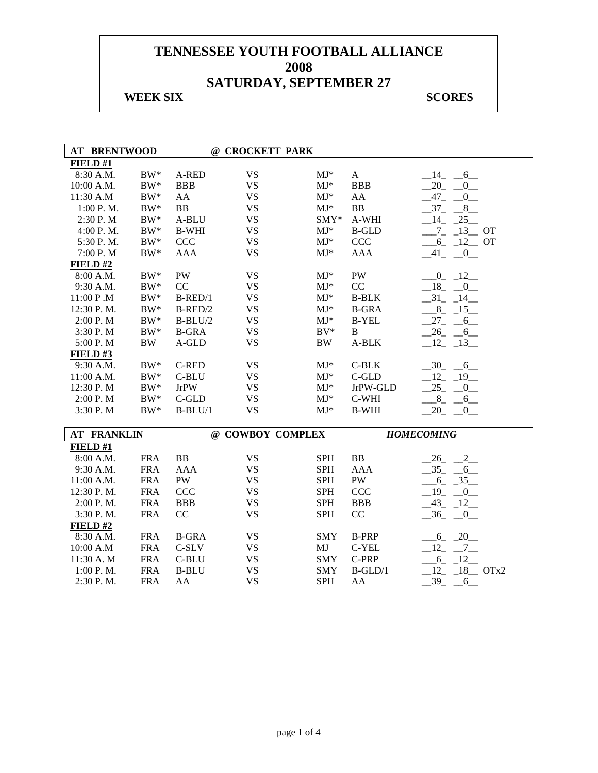## **WEEK SIX** SCORES

| <b>AT BRENTWOOD</b> |            |              | @ CROCKETT PARK  |                          |              |                            |
|---------------------|------------|--------------|------------------|--------------------------|--------------|----------------------------|
| FIELD#1             |            |              |                  |                          |              |                            |
| 8:30 A.M.           | $\rm BW^*$ | A-RED        | <b>VS</b>        | $MJ*$                    | $\mathbf{A}$ | 14<br>$-6$                 |
| 10:00 A.M.          | $BW^*$     | <b>BBB</b>   | <b>VS</b>        | $MJ*$                    | <b>BBB</b>   | 20<br>$\overline{0}$       |
| 11:30 A.M           | $BW^*$     | AA           | <b>VS</b>        | $MJ*$                    | AA           | $47_{-}$<br>$\overline{0}$ |
| 1:00 P.M.           | $BW^*$     | <b>BB</b>    | <b>VS</b>        | $MJ*$                    | BB           | $-37-$<br>$-8$             |
| 2:30 P.M            | $BW^*$     | A-BLU        | <b>VS</b>        | $SMY*$                   | A-WHI        | $-14$ $-25$                |
| 4:00 P.M.           | $\rm BW^*$ | <b>B-WHI</b> | <b>VS</b>        | $\mathbf{M}\mathbf{J}^*$ | <b>B-GLD</b> | $-7 - 13 - 0T$             |
| 5:30 P.M.           | $\rm BW^*$ | <b>CCC</b>   | <b>VS</b>        | $MJ*$                    | <b>CCC</b>   | $-6$ $-12$ OT              |
| 7:00 P.M            | $BW^*$     | <b>AAA</b>   | <b>VS</b>        | $MJ*$                    | <b>AAA</b>   | $-41$ $-0$                 |
| $FIED$ #2           |            |              |                  |                          |              |                            |
| 8:00 A.M.           | $BW^*$     | <b>PW</b>    | <b>VS</b>        | $MJ*$                    | <b>PW</b>    | $0 - 12$                   |
| 9:30 A.M.           | $BW^*$     | CC           | <b>VS</b>        | $MJ*$                    | CC           | 18<br>$\overline{0}$       |
| 11:00 P.M           | $\rm BW^*$ | $B$ -RED/1   | <b>VS</b>        | $MJ*$                    | <b>B-BLK</b> | $-31$<br>$-14$             |
| 12:30 P.M.          | $\rm BW^*$ | $B$ -RED/2   | <b>VS</b>        | $MJ*$                    | <b>B-GRA</b> | $8 - 15$                   |
| 2:00 P.M            | $\rm BW^*$ | $B-BLU/2$    | <b>VS</b>        | $MJ*$                    | <b>B-YEL</b> | $27 - 6$                   |
| 3:30 P.M            | $BW^*$     | <b>B-GRA</b> | <b>VS</b>        | $BV^*$                   | B            | $-26 - 6$                  |
| 5:00 P.M            | <b>BW</b>  | A-GLD        | <b>VS</b>        | <b>BW</b>                | A-BLK        | $12 - 13$                  |
| FIELD#3             |            |              |                  |                          |              |                            |
| 9:30 A.M.           | $BW^*$     | <b>C-RED</b> | <b>VS</b>        | $MJ*$                    | $C-BLK$      | $-30 - 6$                  |
| 11:00 A.M.          | $\rm BW^*$ | C-BLU        | <b>VS</b>        | $MJ*$                    | $C$ -GLD     | $12 - 19$                  |
| 12:30 P.M           | $\rm BW^*$ | <b>JrPW</b>  | <b>VS</b>        | $MJ*$                    | JrPW-GLD     | 25<br>$^{0}$               |
| 2:00 P.M            | $\rm BW^*$ | C-GLD        | <b>VS</b>        | $MJ*$                    | $C-WHI$      | 8<br>6                     |
| 3:30 P.M            | $BW^*$     | $B-BLU/1$    | <b>VS</b>        | $MJ*$                    | <b>B-WHI</b> | 20<br>0                    |
|                     |            |              |                  |                          |              |                            |
| <b>AT FRANKLIN</b>  |            |              | @ COWBOY COMPLEX |                          |              | <b>HOMECOMING</b>          |
| FIELD#1             |            |              |                  |                          |              |                            |
| 8:00 A.M.           | <b>FRA</b> | BB           | <b>VS</b>        | <b>SPH</b>               | BB           | $2_{-}$<br>26              |
| 9:30 A.M.           | <b>FRA</b> | <b>AAA</b>   | <b>VS</b>        | <b>SPH</b>               | <b>AAA</b>   | $-35 - 6$                  |
| 11:00 A.M.          | <b>FRA</b> | PW           | <b>VS</b>        | <b>SPH</b>               | PW           | $6 - 35$                   |
| 12:30 P.M.          | <b>FRA</b> | <b>CCC</b>   | <b>VS</b>        | <b>SPH</b>               | <b>CCC</b>   | $19 - 0$                   |
| 2:00 P.M.           | <b>FRA</b> | <b>BBB</b>   | <b>VS</b>        | <b>SPH</b>               | <b>BBB</b>   | $-43$ $-12$                |
| 3:30 P.M.           | <b>FRA</b> | CC           | <b>VS</b>        | <b>SPH</b>               | CC           | $-36$ $-0$                 |
| FIELD#2             |            |              |                  |                          |              |                            |
| 8:30 A.M.           | <b>FRA</b> | <b>B-GRA</b> | <b>VS</b>        | <b>SMY</b>               | <b>B-PRP</b> | $-6 - 20$                  |
| 10:00 A.M           | <b>FRA</b> | $C-SLV$      | <b>VS</b>        | MJ                       | C-YEL        | 12<br>$-7$                 |
| 11:30 A.M           | <b>FRA</b> | $C-BLU$      | <b>VS</b>        | <b>SMY</b>               | C-PRP        | $6 - 12$                   |
| 1:00 P.M.           | <b>FRA</b> | <b>B-BLU</b> | <b>VS</b>        | <b>SMY</b>               | $B-GLD/1$    | $12 - 18$ OTx2             |
| 2:30 P.M.           | <b>FRA</b> | AA           | <b>VS</b>        | <b>SPH</b>               | AA           | $-39$ $-$<br>6             |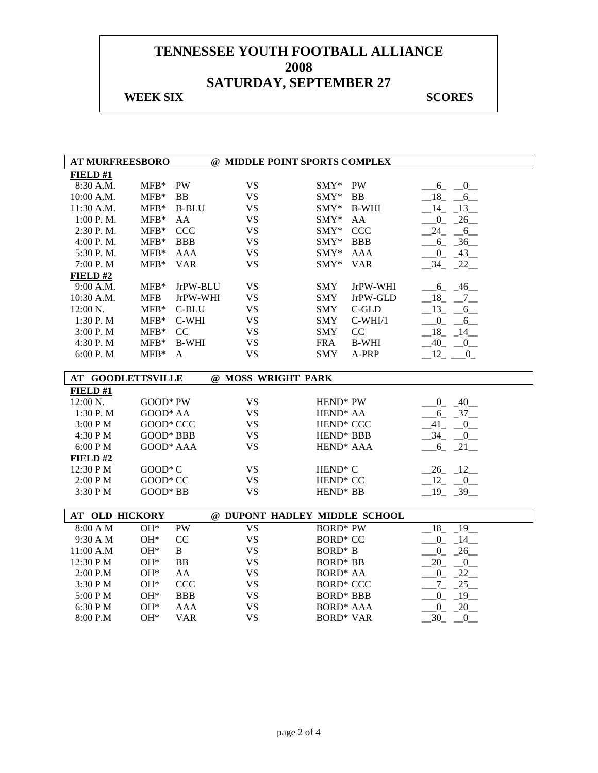## **WEEK SIX** SCORES

r

| <b>AT MURFREESBORO</b>   |                  |              | @ MIDDLE POINT SPORTS COMPLEX |                       |              |                               |
|--------------------------|------------------|--------------|-------------------------------|-----------------------|--------------|-------------------------------|
| FIELD#1                  |                  |              |                               |                       |              |                               |
| 8:30 A.M.                | $MFB*$           | PW           | <b>VS</b>                     | $\text{SMY*}$         | PW           | $6_{-}$<br>$\overline{0}$     |
| 10:00 A.M.               | $MFB*$           | <b>BB</b>    | <b>VS</b>                     | SMY*                  | BB           | 18<br>$-6$                    |
| 11:30 A.M.               | $MFB*$           | <b>B-BLU</b> | <b>VS</b>                     | SMY*                  | <b>B-WHI</b> | 14<br>$-13$                   |
| 1:00 P.M.                | $MFB*$           | AA           | <b>VS</b>                     | SMY*                  | AA           | 26<br>$\overline{0}$          |
| 2:30 P.M.                | $MFB*$           | <b>CCC</b>   | <b>VS</b>                     | SMY*                  | <b>CCC</b>   | 24<br>$-6$                    |
| 4:00 P.M.                | $MFB*$           | <b>BBB</b>   | <b>VS</b>                     | $SMY*$                | <b>BBB</b>   | $6 - 36$                      |
| 5:30 P.M.                | $MFB*$           | <b>AAA</b>   | <b>VS</b>                     | $SMY*$                | <b>AAA</b>   | $-0$ $-43$                    |
| 7:00 P.M                 | $MFB*$           | <b>VAR</b>   | <b>VS</b>                     | SMY*                  | <b>VAR</b>   | 34<br>$-22$                   |
| FIELD#2                  |                  |              |                               |                       |              |                               |
| 9:00 A.M.                | $MFB*$           | JrPW-BLU     | <b>VS</b>                     | <b>SMY</b>            | JrPW-WHI     | $-6 - 46$                     |
| 10:30 A.M.               | <b>MFB</b>       | JrPW-WHI     | <b>VS</b>                     | <b>SMY</b>            | JrPW-GLD     | $-18$ <sub>-</sub> $-7$       |
| 12:00 N.                 | $MFB*$           | C-BLU        | <b>VS</b>                     | <b>SMY</b>            | $C$ -GLD     | $-13$<br>6                    |
| 1:30 P.M                 | $MFB*$           | C-WHI        | <b>VS</b>                     | <b>SMY</b>            | $C-WHI/1$    | $\overline{0}$<br>6           |
| 3:00 P.M                 | $MFB*$           | CC           | <b>VS</b>                     | <b>SMY</b>            | CC           | 18<br>14                      |
| 4:30 P.M                 | $MFB*$           | <b>B-WHI</b> | <b>VS</b>                     | <b>FRA</b>            | <b>B-WHI</b> | $40 - 0$                      |
| 6:00 P. M                | $MFB*$           | A            | <b>VS</b>                     | <b>SMY</b>            | A-PRP        | $-12$ - 0                     |
|                          |                  |              |                               |                       |              |                               |
| <b>AT GOODLETTSVILLE</b> |                  |              | @ MOSS WRIGHT PARK            |                       |              |                               |
| FIELD#1                  |                  |              |                               |                       |              |                               |
| 12:00 N.                 | GOOD* PW         |              | <b>VS</b>                     | HEND <sup>*</sup> PW  |              | $-40$<br>$\overline{0}$       |
| 1:30 P.M                 | GOOD* AA         |              | <b>VS</b>                     | HEND <sup>*</sup> AA  |              | $-6 - 37$                     |
| 3:00 PM                  | GOOD* CCC        |              | <b>VS</b>                     | HEND <sup>*</sup> CCC |              | 41<br>$\overline{\mathbf{0}}$ |
| 4:30 PM                  | <b>GOOD* BBB</b> |              | <b>VS</b>                     | HEND* BBB             |              | $-34$<br>$_{0-}$              |
| 6:00 PM                  | GOOD* AAA        |              | <b>VS</b>                     | HEND <sup>*</sup> AAA |              | $-6$ $-21$                    |
| FIELD#2                  |                  |              |                               |                       |              |                               |
| 12:30 PM                 | GOOD*C           |              | <b>VS</b>                     | HEND <sup>*</sup> C   |              | $-26$ $-12$                   |
| 2:00 PM                  | GOOD* CC         |              | <b>VS</b>                     | HEND <sup>*</sup> CC  |              | $-12$ $-0$                    |
| 3:30 PM                  | GOOD* BB         |              | <b>VS</b>                     | HEND <sup>*</sup> BB  |              | $-19$ $-39$                   |
|                          |                  |              |                               |                       |              |                               |
| AT OLD HICKORY           |                  |              | @ DUPONT HADLEY MIDDLE SCHOOL |                       |              |                               |
| 8:00 A M                 | $OH*$            | <b>PW</b>    | <b>VS</b>                     | <b>BORD* PW</b>       |              | $-18$ $-19$                   |
| 9:30 A M                 | OH*              | CC           | <b>VS</b>                     | <b>BORD* CC</b>       |              | $0_{-}$<br>$-14$              |
| 11:00 A.M                | OH*              | $\mathbf{B}$ | <b>VS</b>                     | $\text{BORD}^*$ B     |              | $-26$<br>$0_{-}$              |
| 12:30 PM                 | $OH*$            | ${\bf BB}$   | <b>VS</b>                     | <b>BORD* BB</b>       |              | 20<br>$\overline{0}$          |
| 2:00 P.M                 | $OH*$            | AA           | <b>VS</b>                     | BORD <sup>*</sup> AA  |              | $^{0}$<br>$-22$               |
| 3:30 PM                  | $OH*$            | <b>CCC</b>   | <b>VS</b>                     | <b>BORD* CCC</b>      |              | $-7 - 25$                     |
| 5:00 PM                  | OH*              | <b>BBB</b>   | <b>VS</b>                     | <b>BORD* BBB</b>      |              | $^{0}$<br>$-19$               |
| 6:30 PM                  | OH*              | <b>AAA</b>   | <b>VS</b>                     | <b>BORD* AAA</b>      |              | 20<br>$0_{-}$                 |
| 8:00 P.M                 | OH*              | <b>VAR</b>   | <b>VS</b>                     | <b>BORD* VAR</b>      |              | 30<br>$\boldsymbol{0}$        |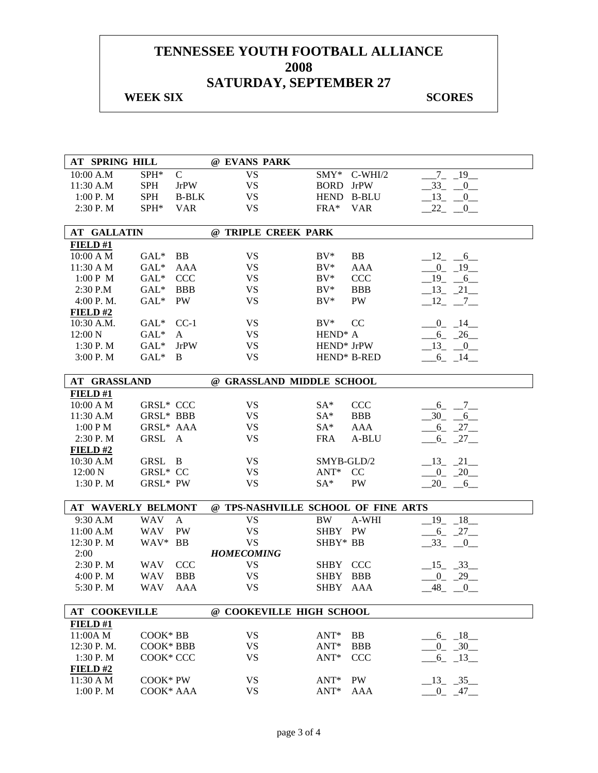### **WEEK SIX** SCORES

| AT SPRING HILL            |            |              | @ EVANS PARK      |                     |                           |                                     |                |                                        |
|---------------------------|------------|--------------|-------------------|---------------------|---------------------------|-------------------------------------|----------------|----------------------------------------|
| 10:00 A.M                 | SPH*       | $\mathbf C$  | <b>VS</b>         |                     | $\text{SMY*}$             | $C-WHI/2$                           | 7 <sup>7</sup> | 19                                     |
| 11:30 A.M                 | <b>SPH</b> | <b>JrPW</b>  | <b>VS</b>         |                     | <b>BORD</b>               | <b>JrPW</b>                         | 33             | $0$ <sub>—</sub>                       |
| 1:00 P. M                 | <b>SPH</b> | <b>B-BLK</b> | <b>VS</b>         |                     | HEND B-BLU                |                                     | $-13$          | $_{0}$                                 |
| 2:30 P.M                  | $SPH*$     | <b>VAR</b>   | <b>VS</b>         |                     | $FRA*$                    | <b>VAR</b>                          | 22             | $_{0-}$                                |
|                           |            |              |                   |                     |                           |                                     |                |                                        |
| <b>AT GALLATIN</b>        |            |              |                   | @ TRIPLE CREEK PARK |                           |                                     |                |                                        |
| FIELD#1                   |            |              |                   |                     |                           |                                     |                |                                        |
| 10:00 A M                 | $GAL^*$    | BB           | <b>VS</b>         |                     | $BV^*$                    | BB                                  |                | $-12 - 6$                              |
| 11:30 A M                 | $GAL^*$    | AAA          | <b>VS</b>         |                     | $BV^*$                    | <b>AAA</b>                          |                | $0 - 19$                               |
| 1:00 P M                  | $GAL^*$    | <b>CCC</b>   | <b>VS</b>         |                     | $BV^*$                    | <b>CCC</b>                          |                | $-19$ $-6$                             |
| 2:30 P.M                  | $GAL^*$    | <b>BBB</b>   | <b>VS</b>         |                     | $BV^*$                    | <b>BBB</b>                          |                | $-13 - 21$                             |
| 4:00 P. M.                | $GAL*$     | PW           | <b>VS</b>         |                     | $BV^*$                    | PW                                  |                | $-12$ $-7$ $-$                         |
| FIELD#2                   |            |              |                   |                     |                           |                                     |                |                                        |
| 10:30 A.M.                | $GAL^*$    | $CC-1$       | <b>VS</b>         |                     | $BV^*$                    | CC                                  |                | $-0$ $-14$ $-$                         |
| 12:00 N                   | $GAL^*$    | A            | <b>VS</b>         |                     | HEND <sup>*</sup> A       |                                     |                | $-6 - 26$                              |
| 1:30 P.M                  | $GAL^*$    | <b>JrPW</b>  | <b>VS</b>         |                     | HEND* JrPW                |                                     |                | $-13$ $-0$                             |
| 3:00 P.M                  | $GAL^*$    | B            | <b>VS</b>         |                     | HEND* B-RED               |                                     |                | $-6 - 14$                              |
| AT GRASSLAND              |            |              |                   |                     | @ GRASSLAND MIDDLE SCHOOL |                                     |                |                                        |
| FIELD#1                   |            |              |                   |                     |                           |                                     |                |                                        |
| 10:00 A M                 | GRSL* CCC  |              | <b>VS</b>         |                     | SA*                       | <b>CCC</b>                          |                | $-6 - -7$                              |
| 11:30 A.M                 | GRSL* BBB  |              | <b>VS</b>         |                     | SA*                       | <b>BBB</b>                          | $-30$ $-$      | 6                                      |
| 1:00 PM                   | GRSL* AAA  |              | <b>VS</b>         |                     | $SA^*$                    | <b>AAA</b>                          |                | $-6 - 27$                              |
| 2:30 P.M                  | GRSL A     |              | <b>VS</b>         |                     | <b>FRA</b>                | A-BLU                               | $6_{-}$        | $-27$                                  |
| FIELD#2                   |            |              |                   |                     |                           |                                     |                |                                        |
| 10:30 A.M                 | GRSL B     |              | <b>VS</b>         |                     | SMYB-GLD/2                |                                     |                | $13 - 21$                              |
| 12:00 N                   | GRSL* CC   |              | <b>VS</b>         |                     | $ANT^*$                   | CC                                  |                | $-0$ $-20$                             |
| 1:30 P.M                  | GRSL* PW   |              | <b>VS</b>         |                     | $SA*$                     | PW                                  |                | $20 - 6$                               |
| <b>AT WAVERLY BELMONT</b> |            |              |                   |                     |                           | @ TPS-NASHVILLE SCHOOL OF FINE ARTS |                |                                        |
| 9:30 A.M                  | <b>WAV</b> | $\mathbf{A}$ | <b>VS</b>         |                     | <b>BW</b>                 | A-WHI                               |                | $19 - 18$                              |
| 11:00 A.M                 | <b>WAV</b> | PW           | <b>VS</b>         |                     | SHBY PW                   |                                     |                | $-6 - 27$                              |
| 12:30 P.M                 | WAV* BB    |              | <b>VS</b>         |                     | SHBY* BB                  |                                     | $33_{-}$       | $\begin{array}{ccc} & & 0 \end{array}$ |
| 2:00                      |            |              | <b>HOMECOMING</b> |                     |                           |                                     |                |                                        |
| 2:30 P.M                  | <b>WAV</b> | <b>CCC</b>   | <b>VS</b>         |                     | SHBY CCC                  |                                     | $\_15$ $\_33$  |                                        |
| 4:00 P. M                 | <b>WAV</b> | <b>BBB</b>   | <b>VS</b>         |                     | SHBY BBB                  |                                     |                | $-0$ $-29$                             |
| 5:30 P.M                  | WAV        | AAA          | <b>VS</b>         |                     | SHBY AAA                  |                                     | 48             | $\overline{0}$                         |
|                           |            |              |                   |                     |                           |                                     |                |                                        |
| <b>AT COOKEVILLE</b>      |            |              |                   |                     | @ COOKEVILLE HIGH SCHOOL  |                                     |                |                                        |
| FIELD#1                   |            |              |                   |                     |                           |                                     |                |                                        |
| 11:00A M                  | COOK* BB   |              | <b>VS</b>         |                     | ANT*                      | BB                                  |                | $-6 - 18$                              |
| 12:30 P.M.                | COOK* BBB  |              | <b>VS</b>         |                     | $ANT*$                    | <b>BBB</b>                          |                | $-0$ $-30$                             |
| 1:30 P.M                  | COOK* CCC  |              | <b>VS</b>         |                     | $ANT*$                    | <b>CCC</b>                          |                | $-6$ $-13$                             |
| FIELD#2                   |            |              |                   |                     |                           |                                     |                |                                        |
| 11:30 A M                 | COOK* PW   |              | <b>VS</b>         |                     | ANT*                      | PW                                  |                | $-13$ $-35$                            |
| 1:00 P.M                  | COOK* AAA  |              | <b>VS</b>         |                     | $ANT*$                    | <b>AAA</b>                          | $\overline{0}$ | 47                                     |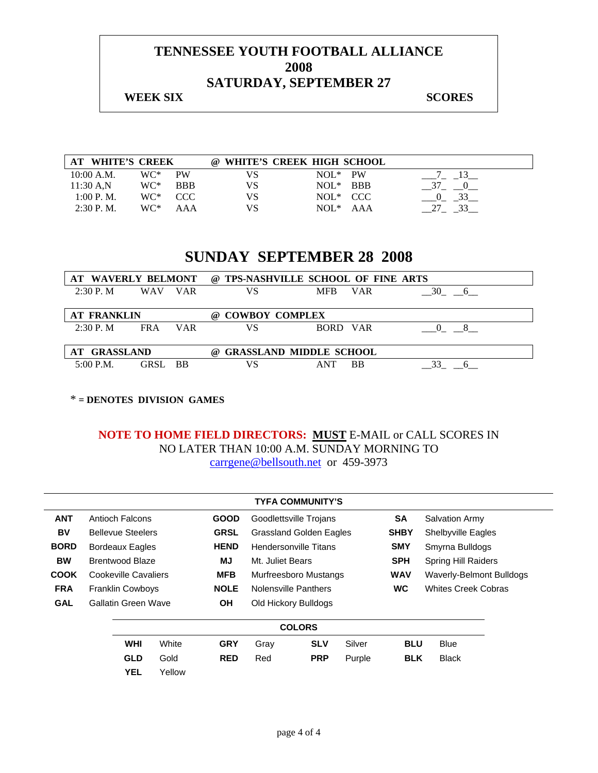#### **WEEK SIX** SCORES

| <b>WHITE'S CREEK</b><br>AT |     |            |    | @ WHITE'S CREEK HIGH SCHOOL |  |
|----------------------------|-----|------------|----|-----------------------------|--|
| 10:00 A.M.                 | WC* | <b>PW</b>  | VS | <b>PW</b><br>$NOL^*$        |  |
| 11:30 A.N                  | WC* | <b>BBB</b> | VS | BBB<br>$NOL^*$              |  |
| 1:00 P. M.                 | WC* | - CCC      | VS | NOL <sup>*</sup> CCC        |  |
| $2:30$ P.M.                | WC* | AAA        | VS | $NOL^*$ $AAA$               |  |

## **SUNDAY SEPTEMBER 28 2008**

| AT WAVERLY BELMONT |            |            | @ TPS-NASHVILLE SCHOOL OF FINE ARTS        |            |            |         |
|--------------------|------------|------------|--------------------------------------------|------------|------------|---------|
| 2:30 P. M          | <b>WAV</b> | <b>VAR</b> | VS                                         | <b>MFR</b> | <b>VAR</b> | 30<br>6 |
|                    |            |            |                                            |            |            |         |
| <b>AT FRANKLIN</b> |            |            | <b>COWBOY COMPLEX</b><br>(a)               |            |            |         |
| 2:30 P. M          | <b>FRA</b> | <b>VAR</b> | VS                                         | BORD VAR   |            |         |
|                    |            |            |                                            |            |            |         |
| ' GRASSLAND        |            |            | <b>GRASSLAND MIDDLE SCHOOL</b><br>$\omega$ |            |            |         |
| $5:00$ P.M.        | GRSL.      | <b>BB</b>  | VS                                         | <b>ANT</b> | ВB         |         |

\* **= DENOTES DIVISION GAMES** 

|             |                            |            |        |             |                                | <b>TYFA COMMUNITY'S</b> |        |             |                                 |  |
|-------------|----------------------------|------------|--------|-------------|--------------------------------|-------------------------|--------|-------------|---------------------------------|--|
| <b>ANT</b>  | Antioch Falcons            |            |        | <b>GOOD</b> |                                | Goodlettsville Trojans  |        | SA          | <b>Salvation Army</b>           |  |
| BV          | <b>Bellevue Steelers</b>   |            |        | <b>GRSL</b> | <b>Grassland Golden Eagles</b> |                         |        | <b>SHBY</b> | Shelbyville Eagles              |  |
| <b>BORD</b> | <b>Bordeaux Eagles</b>     |            |        | <b>HEND</b> |                                | Hendersonville Titans   |        | <b>SMY</b>  | Smyrna Bulldogs                 |  |
| <b>BW</b>   | Brentwood Blaze            |            |        | MJ          | Mt. Juliet Bears               |                         |        | <b>SPH</b>  | <b>Spring Hill Raiders</b>      |  |
| <b>COOK</b> | Cookeville Cavaliers       |            |        | <b>MFB</b>  |                                | Murfreesboro Mustangs   |        | <b>WAV</b>  | <b>Waverly-Belmont Bulldogs</b> |  |
| <b>FRA</b>  | <b>Franklin Cowboys</b>    |            |        | <b>NOLE</b> | Nolensville Panthers           |                         |        | <b>WC</b>   | <b>Whites Creek Cobras</b>      |  |
| <b>GAL</b>  | <b>Gallatin Green Wave</b> |            |        | <b>OH</b>   | Old Hickory Bulldogs           |                         |        |             |                                 |  |
|             |                            |            |        |             |                                | <b>COLORS</b>           |        |             |                                 |  |
|             |                            | <b>WHI</b> | White  | <b>GRY</b>  | Gray                           | <b>SLV</b>              | Silver | <b>BLU</b>  | <b>Blue</b>                     |  |
|             |                            | <b>GLD</b> | Gold   | <b>RED</b>  | Red                            | <b>PRP</b>              | Purple | <b>BLK</b>  | <b>Black</b>                    |  |
|             |                            | <b>YEL</b> | Yellow |             |                                |                         |        |             |                                 |  |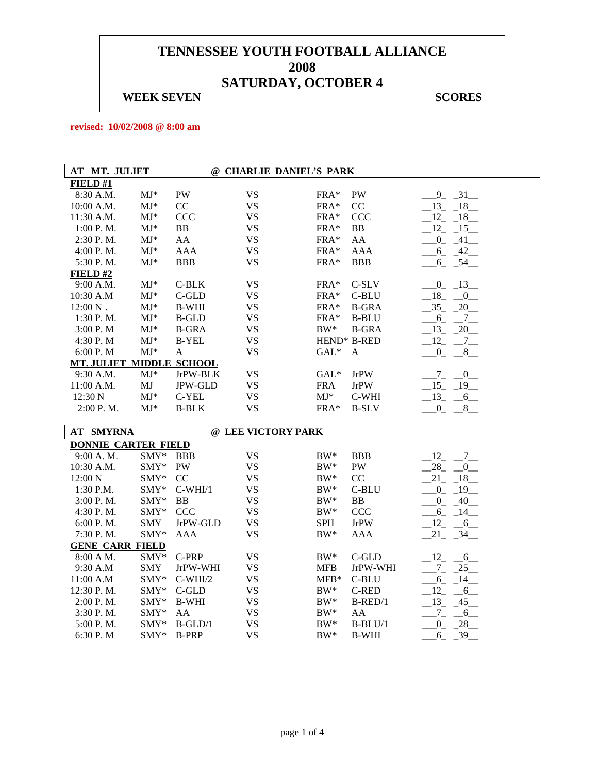#### **WEEK SEVEN** SCORES

**revised: 10/02/2008 @ 8:00 am** 

| AT MT. JULIET              |                          |                |           | @ CHARLIE DANIEL'S PARK |              |             |
|----------------------------|--------------------------|----------------|-----------|-------------------------|--------------|-------------|
| FIELD#1                    |                          |                |           |                         |              |             |
| 8:30 A.M.                  | $MJ^*$                   | PW             | <b>VS</b> | $FRA*$                  | PW           | $-9$ $-31$  |
| 10:00 A.M.                 | $\mathbf{M}\mathbf{J}^*$ | CC             | <b>VS</b> | FRA*                    | CC           | $-13 - 18$  |
| 11:30 A.M.                 | $MJ*$                    | <b>CCC</b>     | <b>VS</b> | $FRA*$                  | <b>CCC</b>   | $-12 - 18$  |
| 1:00 P.M.                  | $MJ*$                    | <b>BB</b>      | <b>VS</b> | $FRA*$                  | BB           | $-12$ $-15$ |
| 2:30 P.M.                  | $MJ*$                    | AA             | <b>VS</b> | FRA*                    | AA           | $-0$ $-41$  |
| 4:00 P.M.                  | $MJ*$                    | <b>AAA</b>     | <b>VS</b> | FRA*                    | <b>AAA</b>   | $-6 - 42$   |
| 5:30 P.M.                  | $MJ*$                    | <b>BBB</b>     | <b>VS</b> | FRA*                    | <b>BBB</b>   | $6 - 54$    |
| FIELD#2                    |                          |                |           |                         |              |             |
| 9:00 A.M.                  | $MJ*$                    | $C-BLK$        | <b>VS</b> | FRA*                    | C-SLV        | $-0$ $-13$  |
| 10:30 A.M                  | $MJ^*$                   | $C$ -GLD       | <b>VS</b> | FRA*                    | C-BLU        | $-18$ $-0$  |
| $12:00 N$ .                | $MJ^*$                   | <b>B-WHI</b>   | <b>VS</b> | $FRA*$                  | <b>B-GRA</b> | $-35 - 20$  |
| 1:30 P.M.                  | $MJ^*$                   | <b>B-GLD</b>   | <b>VS</b> | FRA*                    | <b>B-BLU</b> | $-6 - 7$    |
| 3:00 P.M                   | $MJ*$                    | <b>B-GRA</b>   | <b>VS</b> | $BW^*$                  | <b>B-GRA</b> | $-13 - 20$  |
| 4:30 P.M                   | $MJ*$                    | <b>B-YEL</b>   | <b>VS</b> | HEND* B-RED             |              | $-12$ $-7$  |
| 6:00 P.M                   | $MJ*$                    | A              | <b>VS</b> | $GAL^*$                 | $\mathbf{A}$ | $-0$ $-8$   |
| MT. JULIET MIDDLE SCHOOL   |                          |                |           |                         |              |             |
| 9:30 A.M.                  | $MJ*$                    | JrPW-BLK       | <b>VS</b> | $GAL*$                  | <b>JrPW</b>  | $-7 - 0$    |
| 11:00 A.M.                 | MJ                       | <b>JPW-GLD</b> | <b>VS</b> | <b>FRA</b>              | <b>JrPW</b>  | $-15 - 19$  |
| 12:30 N                    | $MJ*$                    | C-YEL          | <b>VS</b> | $MJ^*$                  | C-WHI        | $-13 - 6$   |
| 2:00 P.M.                  | $MJ^*$                   | <b>B-BLK</b>   | <b>VS</b> | $FRA*$                  | <b>B-SLV</b> | $-0$ $-8$   |
|                            |                          |                |           |                         |              |             |
| <b>AT SMYRNA</b>           |                          |                |           | @ LEE VICTORY PARK      |              |             |
| <b>DONNIE CARTER FIELD</b> |                          |                |           |                         |              |             |
| 9:00 A.M.                  | SMY* BBB                 |                | <b>VS</b> | $BW^*$                  | <b>BBB</b>   | $-12$ $-7$  |
| 10:30 A.M.                 | $SMY*$                   | PW             | <b>VS</b> | $BW^*$                  | <b>PW</b>    | $28 - 0$    |
| 12:00 N                    | SMY*                     | CC             | <b>VS</b> | $BW^*$                  | CC           | $21 - 18$   |
| 1:30 P.M.                  | SMY*                     | $C-WHI/1$      | <b>VS</b> | $BW^*$                  | C-BLU        | $-0$ $-19$  |
| 3:00 P.M.                  | SMY*                     | <b>BB</b>      | <b>VS</b> | $BW^*$                  | BB           | $0 - 40$    |
| 4:30 P.M.                  | SMY*                     | <b>CCC</b>     | <b>VS</b> | $BW^*$                  | CCC          | $-6 - 14$   |
| 6:00 P.M.                  | <b>SMY</b>               | JrPW-GLD       | <b>VS</b> | <b>SPH</b>              | <b>JrPW</b>  | $-12 - 6$   |
| 7:30 P.M.                  | SMY*                     | AAA            | <b>VS</b> | $BW^*$                  | AAA          | $-21 - 34$  |
| <b>GENE CARR FIELD</b>     |                          |                |           |                         |              |             |
| 8:00 A M.                  | SMY*                     | C-PRP          | <b>VS</b> | $BW^*$                  | $C$ -GLD     | $-12 - 6$   |
| 9:30 A.M                   | <b>SMY</b>               | JrPW-WHI       | <b>VS</b> | <b>MFB</b>              | JrPW-WHI     | $-7 - 25$   |
| 11:00 A.M                  | SMY*                     | $C-WHI/2$      | <b>VS</b> | $MFB*$                  | C-BLU        | $-6 - 14$   |
| 12:30 P.M.                 | $SMY*$                   | C-GLD          | <b>VS</b> | $BW^*$                  | C-RED        | $-12 - 6$   |
| 2:00 P. M.                 | SMY*                     | <b>B-WHI</b>   | <b>VS</b> | $BW^*$                  | $B$ -RED/1   | $-13$ $-45$ |
| 3:30 P.M.                  | SMY*                     | AA             | <b>VS</b> | BW*                     | AA           | $\tau$<br>6 |

5:00 P.M. SMY\* B-GLD/1 VS BW\* B-BLU/1  $\_0\_28\_$ 6:30 P. M  $MY^*$  B-PRP VS BW\* B-WHI  $\underline{\hspace{1cm}} 6 = 39$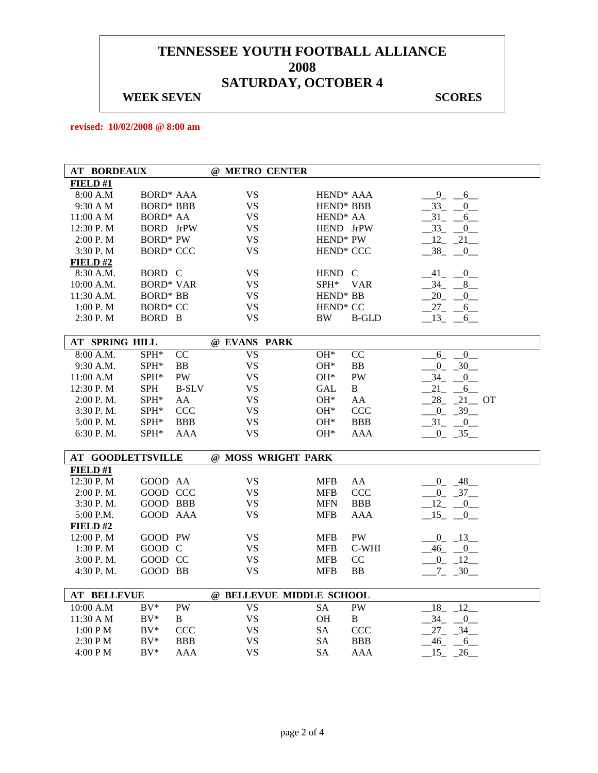#### **WEEK SEVEN** SCORES

**revised: 10/02/2008 @ 8:00 am** 

| <b>AT BORDEAUX</b>                   |                  |              | @ METRO CENTER           |                       |              |                            |
|--------------------------------------|------------------|--------------|--------------------------|-----------------------|--------------|----------------------------|
| FIELD#1                              |                  |              |                          |                       |              |                            |
| 8:00 A.M                             | <b>BORD* AAA</b> |              | <b>VS</b>                | HEND <sup>*</sup> AAA |              | $-9 - -6$                  |
| 9:30 A M                             | <b>BORD* BBB</b> |              | <b>VS</b>                | HEND <sup>*</sup> BBB |              | $33_{-}$<br>$\overline{0}$ |
| 11:00 A M                            | <b>BORD* AA</b>  |              | <b>VS</b>                | HEND <sup>*</sup> AA  |              | 31<br>6                    |
| $12:30$ P. M                         | BORD JrPW        |              | <b>VS</b>                | HEND JrPW             |              | $-33$<br>$-0$              |
| 2:00 P.M                             | <b>BORD*</b> PW  |              | <b>VS</b>                | HEND <sup>*</sup> PW  |              | $12 - 21$                  |
| 3:30 P.M                             | <b>BORD* CCC</b> |              | <b>VS</b>                | HEND <sup>*</sup> CCC |              | $-38$ $-0$                 |
| FIELD#2                              |                  |              |                          |                       |              |                            |
| 8:30 A.M.                            | BORD C           |              | <b>VS</b>                | HEND C                |              | $-41$ $-0$                 |
| $10:00$ A.M.                         | <b>BORD* VAR</b> |              | <b>VS</b>                | SPH*                  | <b>VAR</b>   | 34 8                       |
| 11:30 A.M.                           | <b>BORD*</b> BB  |              | <b>VS</b>                | HEND <sup>*</sup> BB  |              | $20 -$<br>0                |
| 1:00 P.M                             | <b>BORD* CC</b>  |              | <b>VS</b>                | HEND <sup>*</sup> CC  |              | $27_{-}$<br>6              |
| 2:30 P.M                             | BORD B           |              | <b>VS</b>                | BW                    | <b>B-GLD</b> | 13<br>6                    |
|                                      |                  |              |                          |                       |              |                            |
| <b>AT SPRING HILL</b>                |                  |              | @ EVANS PARK             |                       |              |                            |
| 8:00 A.M.                            | SPH*             | CC           | <b>VS</b>                | OH*                   | CC           | $6_{-}$<br>$\overline{0}$  |
| 9:30 A.M.                            | SPH*             | <b>BB</b>    | <b>VS</b>                | OH*                   | <b>BB</b>    | $0 - 30$                   |
| 11:00 A.M                            | SPH*             | PW           | <b>VS</b>                | $OH*$                 | PW           | $.34 - 0$                  |
| 12:30 P.M                            | <b>SPH</b>       | <b>B-SLV</b> | <b>VS</b>                | GAL                   | B            | 21<br>$-6$                 |
| 2:00 P.M.                            | SPH*             | AA           | <b>VS</b>                | $OH*$                 | AA           | $28 - 21 - 0T$             |
| 3:30 P.M.                            | SPH*             | <b>CCC</b>   | <b>VS</b>                | OH*                   | CCC          | $0 - 39$                   |
| 5:00 P.M.                            | SPH*             | <b>BBB</b>   | <b>VS</b>                | $OH^*$                | <b>BBB</b>   | $-31$ $-0$                 |
| 6:30 P.M.                            | SPH*             | AAA          | <b>VS</b>                | $OH*$                 | <b>AAA</b>   | $-0$ $-35$ $-$             |
|                                      |                  |              |                          |                       |              |                            |
| <b>AT GOODLETTSVILLE</b><br>FIELD #1 |                  |              | @ MOSS WRIGHT PARK       |                       |              |                            |
| 12:30 P.M                            | GOOD AA          |              | <b>VS</b>                | <b>MFB</b>            | AA           | $-0$ $-48$                 |
| 2:00 P.M.                            | GOOD CCC         |              | <b>VS</b>                | <b>MFB</b>            | <b>CCC</b>   | $0 - 37$                   |
| 3:30P. M.                            | GOOD BBB         |              | <b>VS</b>                | <b>MFN</b>            | <b>BBB</b>   | $-12$ $-0$                 |
| 5:00 P.M.                            | GOOD AAA         |              | <b>VS</b>                | <b>MFB</b>            | AAA          | $-15$ $-0$                 |
| <b>FIELD#2</b>                       |                  |              |                          |                       |              |                            |
| 12:00 P. M                           | GOOD PW          |              | VS                       | <b>MFB</b>            | PW           | $-0$ $-13$                 |
| 1:30 P. M                            | GOOD C           |              | <b>VS</b>                | MFB                   | C-WHI        | $-46$<br>$-0$              |
| 3:00 P. M.                           | GOOD CC          |              | <b>VS</b>                | <b>MFB</b>            | CC           | $0 \t 12$                  |
| 4:30 P.M.                            | GOOD BB          |              | <b>VS</b>                | <b>MFB</b>            | BB           | $-7 - 30$                  |
|                                      |                  |              |                          |                       |              |                            |
| <b>AT BELLEVUE</b>                   |                  |              | @ BELLEVUE MIDDLE SCHOOL |                       |              |                            |
| 10:00 A.M                            | $BV^*$           | <b>PW</b>    | <b>VS</b>                | <b>SA</b>             | <b>PW</b>    | 18<br>$\sqrt{12}$          |
| $11:30 \text{ A } M$                 | $BV^*$           | B            | <b>VS</b>                | <b>OH</b>             | B            | 34<br>$-0$                 |
| 1:00 P M                             | $BV^*$           | <b>CCC</b>   | <b>VS</b>                | <b>SA</b>             | <b>CCC</b>   | $27 - 34$                  |
| 2:30 PM                              | $\rm BV^*$       | <b>BBB</b>   | <b>VS</b>                | SA                    | <b>BBB</b>   | 46<br>6                    |
| 4:00 P M                             | $BV^*$           | AAA          | <b>VS</b>                | <b>SA</b>             | <b>AAA</b>   | 15<br>26                   |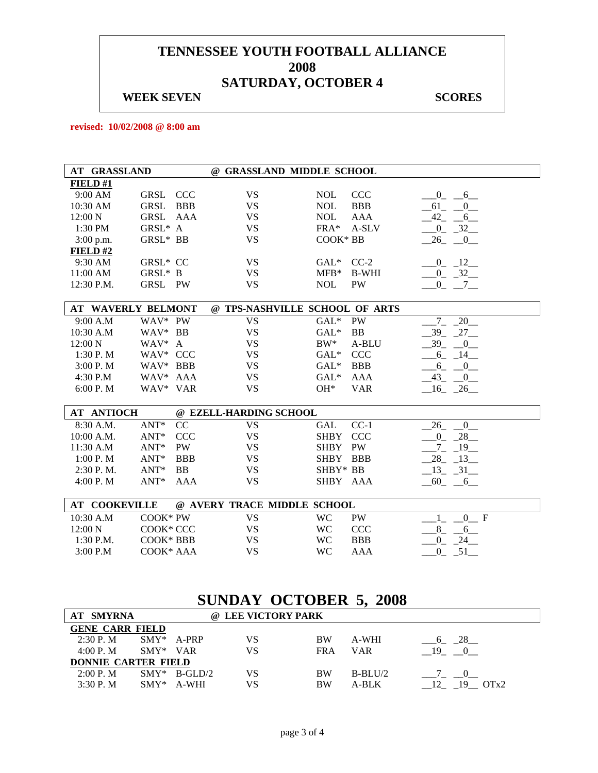#### **WEEK SEVEN** SCORES

**revised: 10/02/2008 @ 8:00 am** 

| <b>AT GRASSLAND</b>                 |                             | @ GRASSLAND MIDDLE SCHOOL      |                         |
|-------------------------------------|-----------------------------|--------------------------------|-------------------------|
| FIELD#1                             |                             |                                |                         |
| GRSL CCC<br>9:00 AM                 | <b>VS</b>                   | CCC<br><b>NOL</b>              | $0 - 6$                 |
| GRSL<br>10:30 AM<br><b>BBB</b>      | <b>VS</b>                   | <b>NOL</b><br><b>BBB</b>       | $-61$ $-0$              |
| 12:00 N<br>GRSL<br>AAA              | <b>VS</b>                   | <b>AAA</b><br><b>NOL</b>       | $-42 - 6$               |
| GRSL* A<br>1:30 PM                  | <b>VS</b>                   | $FRA*$<br>A-SLV                | $-0$ $-32$              |
| GRSL* BB<br>3:00 p.m.               | <b>VS</b>                   | COOK* BB                       | $-26$ $-0$              |
| FIELD#2                             |                             |                                |                         |
| GRSL* CC<br>9:30 AM                 | <b>VS</b>                   | GAL* CC-2                      | $-0$ $-12$              |
| GRSL* B<br>11:00 AM                 | <b>VS</b>                   | $MFB*$<br><b>B-WHI</b>         | $-0$ $-32$              |
| 12:30 P.M.<br>GRSL PW               | <b>VS</b>                   | <b>NOL</b><br>PW               | $-0 - 7 -$              |
|                                     |                             |                                |                         |
| <b>AT WAVERLY BELMONT</b>           |                             | @ TPS-NASHVILLE SCHOOL OF ARTS |                         |
| WAV* PW<br>9:00 A.M                 | <b>VS</b>                   | $GAL^*$<br>PW                  | $7 - 20$                |
| WAV* BB<br>10:30 A.M                | <b>VS</b>                   | $GAL*$<br><b>BB</b>            | $-39 - 27$              |
| WAV* A<br>12:00 N                   | <b>VS</b>                   | $BW^*$<br>A-BLU                | $-39$ $-0$              |
| WAV* CCC<br>1:30 P.M                | <b>VS</b>                   | CCC<br>$GAL^*$                 | $-6 - 14$               |
| WAV* BBB<br>3:00 P. M               | <b>VS</b>                   | <b>BBB</b><br>$GAL*$           | $-6 - -0$               |
| 4:30 P.M<br>WAV* AAA                | <b>VS</b>                   | $GAL*$<br><b>AAA</b>           | $-43$ $-0$              |
| 6:00 P.M<br>WAV* VAR                | <b>VS</b>                   | $OH*$<br><b>VAR</b>            | $-16$ $-26$             |
|                                     |                             |                                |                         |
| <b>AT ANTIOCH</b>                   | @ EZELL-HARDING SCHOOL      |                                |                         |
| $ANT*$<br>8:30 A.M.<br>CC           | <b>VS</b>                   | $CC-1$<br><b>GAL</b>           | 26 0                    |
| <b>CCC</b><br>10:00 A.M.<br>$ANT^*$ | <b>VS</b>                   | <b>SHBY</b><br><b>CCC</b>      | $0 - 28$                |
| $ANT*$<br>PW<br>11:30 A.M           | <b>VS</b>                   | PW<br><b>SHBY</b>              | $-7 - 19$               |
| 1:00 P. M<br>$ANT^*$<br><b>BBB</b>  | <b>VS</b>                   | SHBY BBB                       | $28 - 13$               |
| $2:30$ P. M.<br>ANT*<br>BB          | <b>VS</b>                   | SHBY* BB                       | $-13$ $-31$             |
| 4:00 P.M<br>$ANT*$<br><b>AAA</b>    | <b>VS</b>                   | SHBY AAA                       | $-60 - -6$              |
|                                     |                             |                                |                         |
| <b>AT COOKEVILLE</b>                | @ AVERY TRACE MIDDLE SCHOOL |                                |                         |
| 10:30 A.M<br>COOK* PW               | <b>VS</b>                   | <b>WC</b><br><b>PW</b>         | 0 F                     |
| COOK* CCC<br>12:00 N                | <b>VS</b>                   | <b>WC</b><br>CCC               | $8_{-}$<br>6            |
| 1:30 P.M.<br>COOK* BBB              | <b>VS</b>                   | <b>WC</b><br><b>BBB</b>        | $\overline{0}$<br>$-24$ |
| 3:00 P.M<br>COOK* AAA               | <b>VS</b>                   | <b>WC</b><br><b>AAA</b>        | $0 - 51$                |

# **SUNDAY OCTOBER 5, 2008**

| <b>AT SMYRNA</b>           |            |                 | @ LEE VICTORY PARK |            |            |            |
|----------------------------|------------|-----------------|--------------------|------------|------------|------------|
| <b>GENE CARR FIELD</b>     |            |                 |                    |            |            |            |
| 2:30P. M                   |            | $SMY* A-PRP$    | VS                 | <b>BW</b>  | A-WHI      | 6 28       |
| 4:00 P.M                   | $SWY*$ VAR |                 | VS                 | <b>FRA</b> | <b>VAR</b> | 19         |
| <b>DONNIE CARTER FIELD</b> |            |                 |                    |            |            |            |
| 2:00 P. M                  |            | $SMY^*$ B-GLD/2 | VS                 | <b>BW</b>  | $B-BLU/2$  |            |
| 3:30P. M                   | $SMY*$     | A-WHI           | VS                 | <b>BW</b>  | A-BLK      | OTx2<br>19 |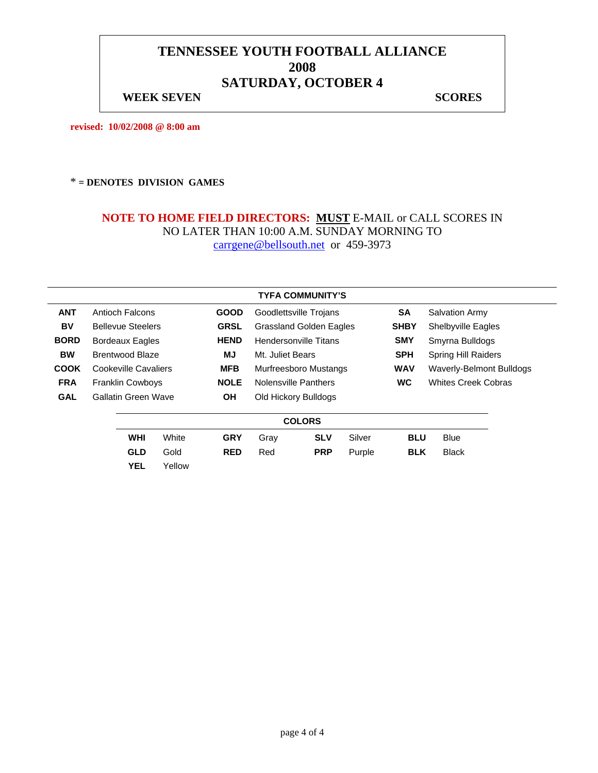#### **WEEK SEVEN** SCORES

**revised: 10/02/2008 @ 8:00 am** 

#### \* **= DENOTES DIVISION GAMES**

|             |                            |                                        |             |                                | <b>TYFA COMMUNITY'S</b> |            |                          |                            |  |
|-------------|----------------------------|----------------------------------------|-------------|--------------------------------|-------------------------|------------|--------------------------|----------------------------|--|
| <b>ANT</b>  | <b>Antioch Falcons</b>     |                                        | <b>GOOD</b> | Goodlettsville Trojans         |                         |            | <b>SA</b>                | <b>Salvation Army</b>      |  |
| BV          | <b>Bellevue Steelers</b>   |                                        | <b>GRSL</b> | <b>Grassland Golden Eagles</b> |                         |            | <b>SHBY</b>              | <b>Shelbyville Eagles</b>  |  |
| <b>BORD</b> | Bordeaux Eagles            |                                        | <b>HEND</b> | <b>Hendersonville Titans</b>   |                         |            | <b>SMY</b>               | Smyrna Bulldogs            |  |
| <b>BW</b>   | <b>Brentwood Blaze</b>     |                                        | MJ          | Mt. Juliet Bears               |                         |            | <b>SPH</b>               | <b>Spring Hill Raiders</b> |  |
| <b>COOK</b> | Cookeville Cavaliers       |                                        | <b>MFB</b>  | Murfreesboro Mustangs          |                         | <b>WAV</b> | Waverly-Belmont Bulldogs |                            |  |
| <b>FRA</b>  |                            | <b>Franklin Cowboys</b><br><b>NOLE</b> |             | Nolensville Panthers           |                         |            | <b>WC</b>                | <b>Whites Creek Cobras</b> |  |
| <b>GAL</b>  | <b>Gallatin Green Wave</b> |                                        | ΟH          |                                | Old Hickory Bulldogs    |            |                          |                            |  |
|             |                            |                                        |             |                                | <b>COLORS</b>           |            |                          |                            |  |
|             | <b>WHI</b>                 | White                                  | <b>GRY</b>  | Gray                           | <b>SLV</b>              | Silver     | <b>BLU</b>               | <b>Blue</b>                |  |
|             | <b>GLD</b>                 | Gold                                   | <b>RED</b>  | Red                            | <b>PRP</b>              | Purple     | <b>BLK</b>               | <b>Black</b>               |  |
|             | <b>YEL</b>                 | Yellow                                 |             |                                |                         |            |                          |                            |  |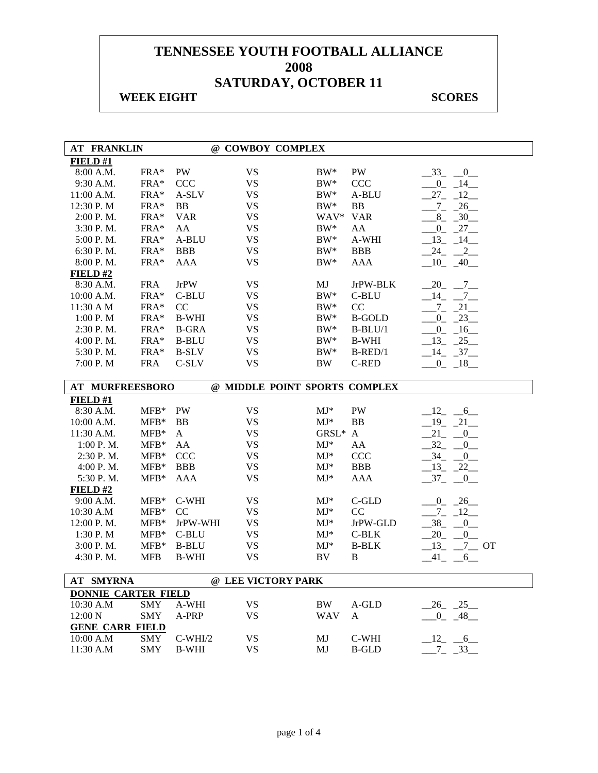#### **WEEK EIGHT SCORES**

 $\overline{\phantom{a}}$ 

| <b>AT FRANKLIN</b>         |               |              |                    | @ COWBOY COMPLEX              |               |                         |
|----------------------------|---------------|--------------|--------------------|-------------------------------|---------------|-------------------------|
| FIELD #1                   |               |              |                    |                               |               |                         |
| 8:00 A.M.                  | FRA*          | PW           | <b>VS</b>          | $BW^*$                        | PW            | $-33$ $-0$              |
| 9:30 A.M.                  | FRA*          | <b>CCC</b>   | <b>VS</b>          | $BW^*$                        | <b>CCC</b>    | $-0$ $-14$              |
| 11:00 A.M.                 | FRA*          | A-SLV        | <b>VS</b>          | $BW^*$                        | A-BLU         | $-27 - 12$              |
| 12:30 P.M                  | FRA*          | BB           | <b>VS</b>          | $BW^*$                        | BB            | $-7 - 26$               |
| 2:00 P.M.                  | FRA*          | <b>VAR</b>   | <b>VS</b>          | WAV*                          | <b>VAR</b>    | $-8$ $-30$ $-$          |
| 3:30 P.M.                  | FRA*          | AA           | <b>VS</b>          | $BW^*$                        | AA            | $-0$ $-27$ $-$          |
| 5:00 P.M.                  | FRA*          | A-BLU        | <b>VS</b>          | $BW^*$                        | A-WHI         | $-13$ $-14$ $-$         |
| 6:30 P.M.                  | FRA*          | <b>BBB</b>   | <b>VS</b>          | $BW^*$                        | <b>BBB</b>    | 24<br>$-2$              |
| 8:00 P.M.                  | FRA*          | <b>AAA</b>   | <b>VS</b>          | $BW^*$                        | AAA           | $-10$ $-40$ $-$         |
| FIELD#2                    |               |              |                    |                               |               |                         |
| 8:30 A.M.                  | <b>FRA</b>    | <b>JrPW</b>  | <b>VS</b>          | MJ                            | JrPW-BLK      | $20 - 7$                |
| 10:00 A.M.                 | FRA*          | C-BLU        | <b>VS</b>          | $BW^*$                        | C-BLU         | $14 \quad -7$           |
| 11:30 A M                  | FRA*          | CC           | <b>VS</b>          | $BW^*$                        | CC            | $-7 - 21$               |
| 1:00 P. M                  | FRA*          | <b>B-WHI</b> | <b>VS</b>          | $BW^*$                        | <b>B-GOLD</b> | $-0$ $-23$              |
| 2:30 P.M.                  | FRA*          | <b>B-GRA</b> | <b>VS</b>          | $BW^*$                        | $B-BLU/1$     | $-0$ $-16$ $-$          |
| 4:00 P.M.                  | FRA*          | <b>B-BLU</b> | <b>VS</b>          | $BW^*$                        | <b>B-WHI</b>  | $-13$ $-25$             |
| 5:30 P.M.                  | FRA*          | <b>B-SLV</b> | <b>VS</b>          | $BW^*$                        | $B$ -RED/1    | $-14$ $-37$             |
| 7:00 P.M                   | <b>FRA</b>    | C-SLV        | <b>VS</b>          | <b>BW</b>                     | C-RED         | $-0$ $-18$              |
|                            |               |              |                    |                               |               |                         |
| AT MURFREESBORO            |               |              |                    | @ MIDDLE POINT SPORTS COMPLEX |               |                         |
| FIELD#1                    |               |              |                    |                               |               |                         |
| 8:30 A.M.                  | $MFB*$        | PW           | <b>VS</b>          | $MJ*$                         | PW            | $-12$<br>$-6$           |
| 10:00 A.M.                 | $MFB*$        | BB           | <b>VS</b>          | $MJ*$                         | <b>BB</b>     | $19 - 21$               |
| 11:30 A.M.                 | $MFB*$        | A            | <b>VS</b>          | GRSL*                         | $\mathbf{A}$  | 21<br>$\overline{0}$    |
| 1:00 P.M.                  | $MFB*$        | AA           | <b>VS</b>          | $\mathrm{MJ}^*$               | AA            | 32<br>$\overline{0}$    |
| 2:30 P.M.                  | $MFB*$        | <b>CCC</b>   | <b>VS</b>          | $\mathbf{M}\mathbf{J}^*$      | CCC           | $-34$<br>$\overline{0}$ |
| 4:00 P.M.                  | $MFB*$        | <b>BBB</b>   | <b>VS</b>          | $MJ^*$                        | <b>BBB</b>    | $-13$ $-22$ $-$         |
| 5:30 P.M.                  | $MFB*$        | <b>AAA</b>   | <b>VS</b>          | $MJ*$                         | <b>AAA</b>    | $37_{-}$<br>$_{-0}$     |
| FIELD#2                    |               |              |                    |                               |               |                         |
| 9:00 A.M.                  | $MFB*$        | C-WHI        | <b>VS</b>          | $MJ^*$                        | C-GLD         | $-0$ $-26$ $-$          |
| 10:30 A.M                  | ${\rm MFB^*}$ | CC           | <b>VS</b>          | $MJ*$                         | CC            | $-7 - 12$               |
| 12:00 P.M.                 | $MFB*$        | JrPW-WHI     | <b>VS</b>          | $MJ*$                         | JrPW-GLD      | $-38$ $-$<br>0          |
| 1:30 P.M                   | $MFB*$        | C-BLU        | <b>VS</b>          | $MJ^*$                        | $C-BLK$       | $20 -$<br>0             |
| 3:00 P.M.                  | $MFB*$        | <b>B-BLU</b> | <b>VS</b>          | $MJ^*$                        | <b>B-BLK</b>  | $13 - 7 - 0T$           |
| 4:30 P.M.                  | <b>MFB</b>    | <b>B-WHI</b> | <b>VS</b>          | BV                            | $\, {\bf B}$  | $-41$ $-6$              |
|                            |               |              |                    |                               |               |                         |
| AT SMYRNA                  |               |              | @ LEE VICTORY PARK |                               |               |                         |
| <b>DONNIE CARTER FIELD</b> |               |              |                    |                               |               |                         |
| 10:30 A.M                  | <b>SMY</b>    | A-WHI        | <b>VS</b>          | BW                            | $A$ -GLD      | $-26$ $-25$             |
| 12:00 N                    | <b>SMY</b>    | A-PRP        | <b>VS</b>          | <b>WAV</b>                    | A             | $0 - 48$                |
| <b>GENE CARR FIELD</b>     |               |              |                    |                               |               |                         |
| 10:00 A.M                  | SMY           | $C-WHI/2$    | <b>VS</b>          | MJ                            | C-WHI         | $-12$ $-6$              |
| 11:30 A.M                  | <b>SMY</b>    | <b>B-WHI</b> | <b>VS</b>          | MJ                            | <b>B-GLD</b>  | $7 - 33$                |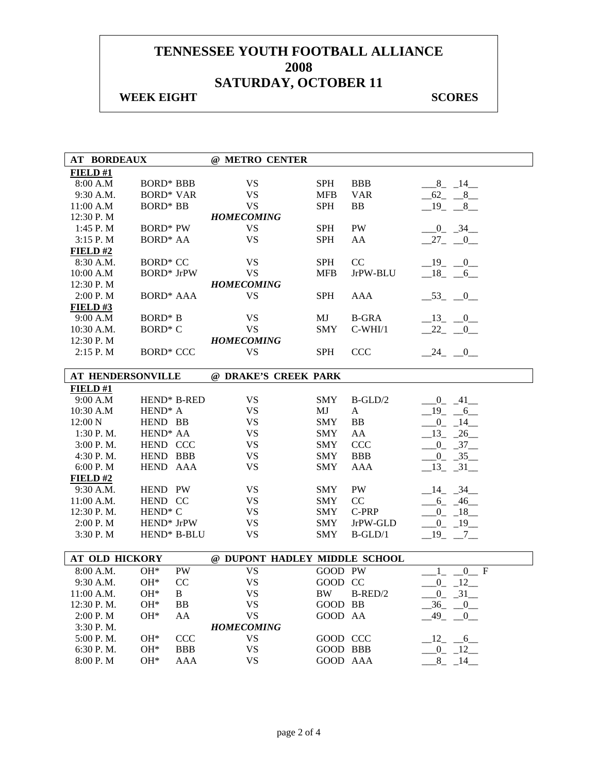### **WEEK EIGHT SCORES**

| <b>AT BORDEAUX</b>    |                          | @ METRO CENTER                |            |              |                              |
|-----------------------|--------------------------|-------------------------------|------------|--------------|------------------------------|
| FIELD#1               |                          |                               |            |              |                              |
| 8:00 A.M              | <b>BORD* BBB</b>         | <b>VS</b>                     | <b>SPH</b> | <b>BBB</b>   | $-8$ $-14$                   |
| 9:30 A.M.             | <b>BORD* VAR</b>         | <b>VS</b>                     | <b>MFB</b> | <b>VAR</b>   | $-62 - 8$                    |
| 11:00 A.M             | <b>BORD* BB</b>          | <b>VS</b>                     | <b>SPH</b> | <b>BB</b>    | 19 8                         |
| 12:30 P.M             |                          | <b>HOMECOMING</b>             |            |              |                              |
| 1:45 P.M              | <b>BORD*</b> PW          | <b>VS</b>                     | <b>SPH</b> | PW           | $-0$ $-34$                   |
| 3:15 P. M             | <b>BORD* AA</b>          | <b>VS</b>                     | <b>SPH</b> | AA           | $-27$ $-0$                   |
| FIELD#2               |                          |                               |            |              |                              |
| 8:30 A.M.             | <b>BORD* CC</b>          | <b>VS</b>                     | <b>SPH</b> | CC           | $-19$ $-0$                   |
| 10:00 A.M             | <b>BORD*</b> JrPW        | <b>VS</b>                     | <b>MFB</b> | JrPW-BLU     | $-18$ -6                     |
| 12:30 P.M             |                          | <b>HOMECOMING</b>             |            |              |                              |
| 2:00 P.M              | <b>BORD* AAA</b>         | <b>VS</b>                     | <b>SPH</b> | AAA          | $-53$ $-0$                   |
| FIELD#3               |                          |                               |            |              |                              |
| 9:00 A.M              | <b>BORD*</b> B           | <b>VS</b>                     | MJ         | <b>B-GRA</b> | $-13$ $-0$                   |
| 10:30 A.M.            | BORD <sup>*</sup> C      | <b>VS</b>                     | <b>SMY</b> | $C-WHI/1$    | $22 - 0$                     |
| 12:30 P.M             |                          | <b>HOMECOMING</b>             |            |              |                              |
| 2:15 P.M              | <b>BORD* CCC</b>         | <b>VS</b>                     | <b>SPH</b> | <b>CCC</b>   | $-24$ $-0$                   |
|                       |                          |                               |            |              |                              |
|                       | <b>AT HENDERSONVILLE</b> | @ DRAKE'S CREEK PARK          |            |              |                              |
| FIELD#1               |                          |                               |            |              |                              |
| 9:00 A.M              | HEND* B-RED              | <b>VS</b>                     | <b>SMY</b> | $B-GLD/2$    | $0 - 41$                     |
| 10:30 A.M             | HEND <sup>*</sup> A      | <b>VS</b>                     | MJ         | $\mathbf{A}$ | $19 - 6$                     |
| 12:00 N               | HEND BB                  | <b>VS</b>                     | <b>SMY</b> | BB           | $0 - 14$                     |
| $1:30$ P. M.          | HEND <sup>*</sup> AA     | <b>VS</b>                     | <b>SMY</b> | AA           | $-13$ $-26$                  |
| 3:00 P. M.            | HEND CCC                 | <b>VS</b>                     | <b>SMY</b> | <b>CCC</b>   | $-0$ $-37$                   |
| 4:30 P.M.             | HEND BBB                 | <b>VS</b>                     | <b>SMY</b> | <b>BBB</b>   | $-0$ $-35$                   |
| 6:00 P.M              | HEND AAA                 | <b>VS</b>                     | <b>SMY</b> | AAA          | $-13$ $-31$                  |
| FIELD#2               |                          |                               |            |              |                              |
| 9:30 A.M.             | HEND PW                  | <b>VS</b>                     | <b>SMY</b> | PW           | $-14$ $-34$                  |
| 11:00 A.M.            | HEND CC                  | <b>VS</b>                     | <b>SMY</b> | CC           | $-6 - 46$                    |
| 12:30 P.M.            | HEND <sup>*</sup> C      | <b>VS</b>                     | <b>SMY</b> | C-PRP        | $-0$ $-18$ $-$               |
| 2:00 P.M              | HEND* JrPW               | <b>VS</b>                     | <b>SMY</b> | JrPW-GLD     | $-0$ $-19$                   |
| 3:30 P.M              |                          |                               |            |              |                              |
|                       | HEND* B-BLU              | <b>VS</b>                     | <b>SMY</b> | $B-GLD/1$    | $-19$ $-7$ $-$               |
|                       |                          |                               |            |              |                              |
| <b>AT OLD HICKORY</b> |                          | @ DUPONT HADLEY MIDDLE SCHOOL |            |              |                              |
| 8:00 A.M.             | $OH*$<br>PW              | <b>VS</b>                     | GOOD PW    |              | $0$ F<br>$\mathbf{1}$        |
| 9:30 A.M.             | $OH*$<br>CC              | <b>VS</b>                     | GOOD CC    |              | $0 - 12$                     |
| 11:00 A.M.            | $OH*$<br>$\mathbf{B}$    | <b>VS</b>                     |            | BW B-RED/2   |                              |
| 12:30 P.M.            | $OH*$<br>BB              | <b>VS</b>                     | GOOD BB    |              | $-0$ $-31$<br>$-36$ $-0$ $-$ |
| 2:00 P.M              | $OH*$<br>AA              | <b>VS</b>                     | GOOD AA    |              | $-49$ $-$<br>0               |
| 3:30 P.M.             |                          | <b>HOMECOMING</b>             |            |              |                              |
| 5:00 P.M.             | OH*<br><b>CCC</b>        | <b>VS</b>                     | GOOD CCC   |              | $-12 - 6$                    |
| 6:30 P.M.             | $OH*$<br><b>BBB</b>      | <b>VS</b>                     | GOOD BBB   |              | $-0$ $-12$                   |
| 8:00 P.M              | $OH*$<br><b>AAA</b>      | VS.                           | GOOD AAA   |              | $-8$ $-14$ $-$               |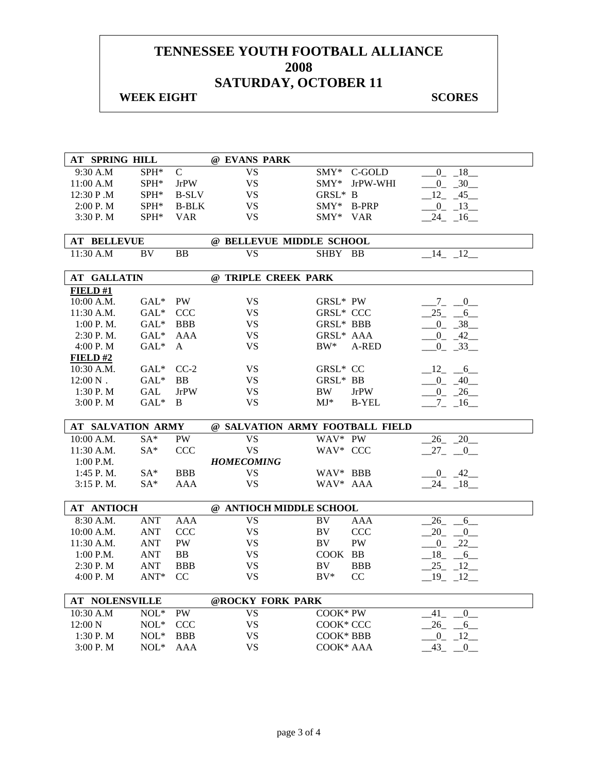#### **WEEK EIGHT SCORES**

| AT SPRING HILL           |                      |              | @ EVANS PARK                    |               |               |                        |
|--------------------------|----------------------|--------------|---------------------------------|---------------|---------------|------------------------|
| 9:30 A.M                 | SPH*                 | $\mathsf{C}$ | $\overline{\text{VS}}$          | $\text{SMY*}$ | C-GOLD        | $0 - 18$               |
| 11:00 A.M                | SPH*                 | <b>JrPW</b>  | <b>VS</b>                       |               | SMY* JrPW-WHI | $-0$ $-30$             |
| 12:30 P.M                | SPH*                 | <b>B-SLV</b> | <b>VS</b>                       | GRSL* B       |               | 12 45                  |
| 2:00 P. M                | SPH*                 | <b>B-BLK</b> | <b>VS</b>                       | SMY* B-PRP    |               | $-0$ $-13$             |
| 3:30 P.M                 | $SPH^*$              | <b>VAR</b>   | <b>VS</b>                       | SMY* VAR      |               | $-24$ $-16$            |
|                          |                      |              |                                 |               |               |                        |
| <b>AT BELLEVUE</b>       |                      |              | @ BELLEVUE MIDDLE SCHOOL        |               |               |                        |
| 11:30 A.M                | BV                   | BB           | <b>VS</b>                       | SHBY BB       |               | $-14$ $-12$            |
| <b>AT GALLATIN</b>       |                      |              | @ TRIPLE CREEK PARK             |               |               |                        |
| <b>FIELD</b> #1          |                      |              |                                 |               |               |                        |
| 10:00 A.M.               | $GAL^*$              | PW           | <b>VS</b>                       | GRSL* PW      |               | $-7 - 0$               |
| $11:30$ A.M.             | GAL <sup>*</sup> CCC |              | <b>VS</b>                       | GRSL* CCC     |               | $25 - 6$               |
| 1:00 P. M.               | $GAL^*$              | <b>BBB</b>   | <b>VS</b>                       | GRSL* BBB     |               | $0 - 38$               |
| 2:30 P.M.                | $GAL^*$              | <b>AAA</b>   | <b>VS</b>                       | GRSL* AAA     |               | $0 - 42$               |
| 4:00 P. M                | $GAL^*$              | A            | <b>VS</b>                       | $BW^*$        | A-RED         | $-0$ $-33$             |
| FIELD#2                  |                      |              |                                 |               |               |                        |
| 10:30 A.M.               | GAL* CC-2            |              | VS                              | GRSL* CC      |               | $-12 - 6$              |
| $12:00 N$ .              | $GAL^*$              | <b>BB</b>    | <b>VS</b>                       | GRSL* BB      |               | $-0$ $-40$ $-$         |
| 1:30 P. M                | GAL                  | <b>JrPW</b>  | <b>VS</b>                       | BW            | <b>JrPW</b>   | $0 - 26$               |
| 3:00 P. M                | $GAL^*$              | B            | VS                              | $MJ^*$        | B-YEL         | $-7$ $-16$ $-$         |
|                          |                      |              |                                 |               |               |                        |
| <b>AT SALVATION ARMY</b> |                      |              | @ SALVATION ARMY FOOTBALL FIELD |               |               |                        |
| 10:00 A.M.               | $SA*$                | <b>PW</b>    | <b>VS</b>                       | WAV* PW       |               | $26 - 20$              |
| 11:30 A.M.               | $SA*$                | <b>CCC</b>   | <b>VS</b>                       | WAV* CCC      |               | $27 - 0$               |
| $1:00$ P.M.              |                      |              | <b>HOMECOMING</b>               |               |               |                        |
| $1:45$ P.M.              | $SA^*$               | <b>BBB</b>   | <b>VS</b>                       | WAV* BBB      |               | $-0$ $-42$             |
| $3:15$ P.M.              | $SA*$                | AAA          | <b>VS</b>                       | WAV* AAA      |               | $-24 - 18$             |
|                          |                      |              | @ ANTIOCH MIDDLE SCHOOL         |               |               |                        |
| <b>AT ANTIOCH</b>        |                      |              |                                 |               |               |                        |
| 8:30 A.M.                | ANT                  | AAA          | <b>VS</b>                       | BV            | AAA           | $26$ <sub>-</sub><br>6 |
| 10:00 A.M.               | ANT                  | <b>CCC</b>   | <b>VS</b>                       | <b>BV</b>     | <b>CCC</b>    | $20 - 0$               |
| 11:30 A.M.               | ANT                  | PW           | <b>VS</b>                       | BV            | PW            | $-0$ $-22$ $-$         |
| $1:00$ P.M.              | <b>ANT</b>           | BB           | <b>VS</b><br><b>VS</b>          | COOK BB       |               | $18 - 6$               |
| 2:30 P.M                 | <b>ANT</b>           | <b>BBB</b>   |                                 | BV<br>$BV^*$  | <b>BBB</b>    | $-25 - 12$             |
| 4:00 P.M                 | ANT*                 | CC           | <b>VS</b>                       |               | CC            | $-19$ $-12$            |
| <b>AT NOLENSVILLE</b>    |                      |              | @ROCKY FORK PARK                |               |               |                        |
| 10:30 A.M                | $NOL*$               | <b>PW</b>    | <b>VS</b>                       | COOK* PW      |               | 41<br>$\mathbf{0}$     |
| 12:00 N                  | $\mathrm{NOL}^*$     | <b>CCC</b>   | VS.                             | COOK* CCC     |               | 26<br>6                |
| 1:30 P.M                 | $NOL*$               | <b>BBB</b>   | VS                              | COOK* BBB     |               | $0 \t 12$              |
| 3:00 P.M                 | $NOL*$               | AAA          | <b>VS</b>                       | COOK* AAA     |               | 43<br>$_{0}$           |
|                          |                      |              |                                 |               |               |                        |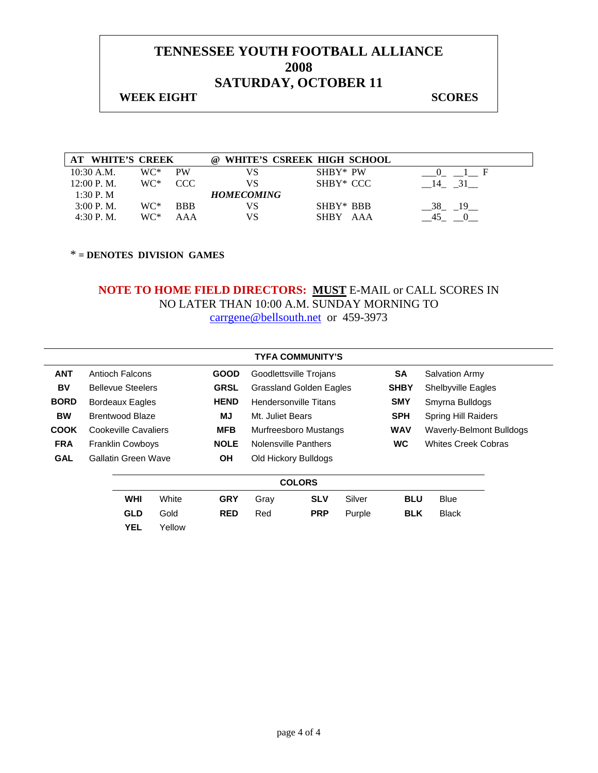## **WEEK EIGHT SCORES**

| AT WHITE'S CREEK |     |            | $\omega$          | WHITE'S CSREEK HIGH SCHOOL |          |
|------------------|-----|------------|-------------------|----------------------------|----------|
| $10:30$ A.M.     | WC* | PW         |                   | SHBY* PW                   |          |
| 12:00 P. M.      | WC* | CCC.       | VS                | SHBY* CCC                  |          |
| 1:30 P.M         |     |            | <b>HOMECOMING</b> |                            |          |
| 3:00 P. M.       | WC* | <b>BBB</b> | VS                | SHBY* BBB                  | 38<br>19 |
| 4:30P M          | WC* | AAA        | VS                | SHRY<br>AAA                |          |

\* **= DENOTES DIVISION GAMES** 

|             |                          |        |             |                                | <b>TYFA COMMUNITY'S</b> |        |             |                            |  |
|-------------|--------------------------|--------|-------------|--------------------------------|-------------------------|--------|-------------|----------------------------|--|
| <b>ANT</b>  | Antioch Falcons          |        | <b>GOOD</b> | Goodlettsville Trojans         |                         |        | <b>SA</b>   | <b>Salvation Army</b>      |  |
| BV          | <b>Bellevue Steelers</b> |        | <b>GRSL</b> | <b>Grassland Golden Eagles</b> |                         |        | <b>SHBY</b> | Shelbyville Eagles         |  |
| <b>BORD</b> | <b>Bordeaux Eagles</b>   |        | <b>HEND</b> | Hendersonville Titans          |                         |        | <b>SMY</b>  | Smyrna Bulldogs            |  |
| <b>BW</b>   | <b>Brentwood Blaze</b>   |        | MJ          | Mt. Juliet Bears               |                         |        | <b>SPH</b>  | <b>Spring Hill Raiders</b> |  |
| <b>COOK</b> | Cookeville Cavaliers     |        | <b>MFB</b>  | Murfreesboro Mustangs          |                         |        | <b>WAV</b>  | Waverly-Belmont Bulldogs   |  |
| <b>FRA</b>  | <b>Franklin Cowboys</b>  |        | <b>NOLE</b> | Nolensville Panthers           |                         |        | <b>WC</b>   | <b>Whites Creek Cobras</b> |  |
| <b>GAL</b>  | Gallatin Green Wave      |        | ΟH          |                                | Old Hickory Bulldogs    |        |             |                            |  |
|             |                          |        |             |                                | <b>COLORS</b>           |        |             |                            |  |
|             | <b>WHI</b>               | White  | <b>GRY</b>  | Gray                           | <b>SLV</b>              | Silver | <b>BLU</b>  | <b>Blue</b>                |  |
|             | <b>GLD</b>               | Gold   | <b>RED</b>  | Red                            | <b>PRP</b>              | Purple | <b>BLK</b>  | <b>Black</b>               |  |
|             | <b>YEL</b>               | Yellow |             |                                |                         |        |             |                            |  |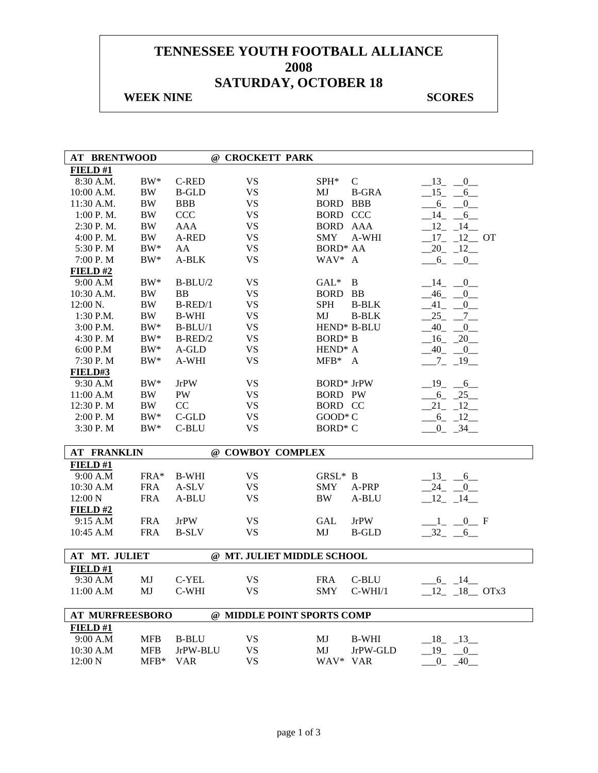### **WEEK NINE SCORES**

| <b>AT BRENTWOOD</b>    |            |              | @ CROCKETT PARK            |                     |               |                                     |
|------------------------|------------|--------------|----------------------------|---------------------|---------------|-------------------------------------|
| FIELD #1               |            |              |                            |                     |               |                                     |
| 8:30 A.M.              | $BW^*$     | C-RED        | <b>VS</b>                  | $SPH^*$             | $\mathcal{C}$ | $-13$<br>$\overline{\phantom{0}}^0$ |
| 10:00 A.M.             | <b>BW</b>  | <b>B-GLD</b> | <b>VS</b>                  | MJ                  | <b>B-GRA</b>  | $-15$ $-$<br>6                      |
| 11:30 A.M.             | <b>BW</b>  | <b>BBB</b>   | <b>VS</b>                  | <b>BORD</b>         | <b>BBB</b>    | $6 -$<br>0                          |
| 1:00 P.M.              | <b>BW</b>  | CCC          | <b>VS</b>                  | <b>BORD CCC</b>     |               | $-14$ $-$<br>6                      |
| $2:30$ P.M.            | BW         | <b>AAA</b>   | <b>VS</b>                  | <b>BORD AAA</b>     |               | $12 - 14$                           |
| $4:00$ P. M.           | <b>BW</b>  | A-RED        | <b>VS</b>                  | <b>SMY</b>          | A-WHI         | $17 - 12$ OT                        |
| 5:30 P.M               | $BW^*$     | AA           | <b>VS</b>                  | <b>BORD* AA</b>     |               | $20 - 12$                           |
| 7:00 P.M               | $BW^*$     | A-BLK        | <b>VS</b>                  | WAV* A              |               | $-6 - -0$                           |
| FIELD#2                |            |              |                            |                     |               |                                     |
| 9:00 A.M               | $BW^*$     | $B-BLU/2$    | <b>VS</b>                  | $GAL^*$             | B             | $\_14$<br>$\overline{0}$            |
| 10:30 A.M.             | BW         | <b>BB</b>    | <b>VS</b>                  | BORD BB             |               | 46<br>$\overline{0}$                |
| 12:00 N.               | <b>BW</b>  | $B$ -RED/1   | <b>VS</b>                  | <b>SPH</b>          | <b>B-BLK</b>  | 41<br>[0]                           |
| $1:30$ P.M.            | BW         | <b>B-WHI</b> | <b>VS</b>                  | MJ                  | <b>B-BLK</b>  | 25<br>$7\degree$                    |
| 3:00 P.M.              | $BW^*$     | $B-BLU/1$    | <b>VS</b>                  |                     | HEND* B-BLU   | 40<br>$\overline{0}$                |
| 4:30 P.M               | $BW^*$     | $B$ -RED/2   | <b>VS</b>                  | <b>BORD*</b> B      |               | $16 - 20$                           |
| 6:00 P.M               | $BW^*$     | A-GLD        | <b>VS</b>                  | HEND <sup>*</sup> A |               | $40 - 0$                            |
| 7:30 P.M               | $BW^*$     | A-WHI        | <b>VS</b>                  |                     |               |                                     |
|                        |            |              |                            | $MFB^*$ A           |               | $-7$ $-19$ $-$                      |
| FIELD#3                |            |              |                            |                     |               |                                     |
| 9:30 A.M               | $BW^*$     | <b>JrPW</b>  | <b>VS</b>                  | <b>BORD*</b> JrPW   |               | $-19$ $-6$                          |
| 11:00 A.M              | <b>BW</b>  | PW           | <b>VS</b>                  | <b>BORD PW</b>      |               | $6 - 25$                            |
| 12:30 P.M              | <b>BW</b>  | CC           | <b>VS</b>                  | <b>BORD CC</b>      |               | $21 - 12$                           |
| 2:00 P.M               | $\rm BW^*$ | C-GLD        | <b>VS</b>                  | GOOD* C             |               | $-6$ $-12$                          |
| 3:30 P.M               | $BW^*$     | C-BLU        | <b>VS</b>                  | BORD <sup>*</sup> C |               | $-0$ $-34$ $-$                      |
| <b>AT FRANKLIN</b>     |            |              | @ COWBOY COMPLEX           |                     |               |                                     |
| FIELD#1                |            |              |                            |                     |               |                                     |
| 9:00 A.M               | $FRA*$     | <b>B-WHI</b> | <b>VS</b>                  | GRSL* B             |               | $-13$ $-6$                          |
| 10:30 A.M              | <b>FRA</b> | A-SLV        | <b>VS</b>                  | <b>SMY</b>          | A-PRP         | $-24$ $-0$                          |
| 12:00 N                | <b>FRA</b> | A-BLU        | <b>VS</b>                  | <b>BW</b>           | A-BLU         | $12 - 14$                           |
| FIELD#2                |            |              |                            |                     |               |                                     |
| 9:15 A.M               | <b>FRA</b> | <b>JrPW</b>  | <b>VS</b>                  | GAL                 | <b>JrPW</b>   | $1 - 0$ F                           |
| 10:45 A.M              | <b>FRA</b> | <b>B-SLV</b> | <b>VS</b>                  | MJ                  | <b>B-GLD</b>  | $-32 - 6$                           |
|                        |            |              |                            |                     |               |                                     |
| AT MT. JULIET          |            |              | @ MT. JULIET MIDDLE SCHOOL |                     |               |                                     |
| FIELD#1                |            |              |                            |                     |               |                                     |
| 9:30 A.M               | MJ         | C-YEL        | <b>VS</b>                  | <b>FRA</b>          | C-BLU         | $6 - 14$                            |
| 11:00 A.M              | MJ         | C-WHI        | <b>VS</b>                  |                     | SMY C-WHI/1   | $12 - 18$ OTx3                      |
| <b>AT MURFREESBORO</b> |            |              | @ MIDDLE POINT SPORTS COMP |                     |               |                                     |
| FIELD#1                |            |              |                            |                     |               |                                     |
| 9:00 A.M               | <b>MFB</b> | <b>B-BLU</b> | <b>VS</b>                  | MJ                  | <b>B-WHI</b>  |                                     |
| 10:30 A.M              |            | JrPW-BLU     | <b>VS</b>                  | MJ                  |               | $-18$ <sub>-13</sub>                |
|                        | <b>MFB</b> |              |                            |                     | JrPW-GLD      | $19 -$<br>$\overline{0}$            |
| 12:00 N                | $MFB*$     | <b>VAR</b>   | <b>VS</b>                  | WAV* VAR            |               | $0 - 40$                            |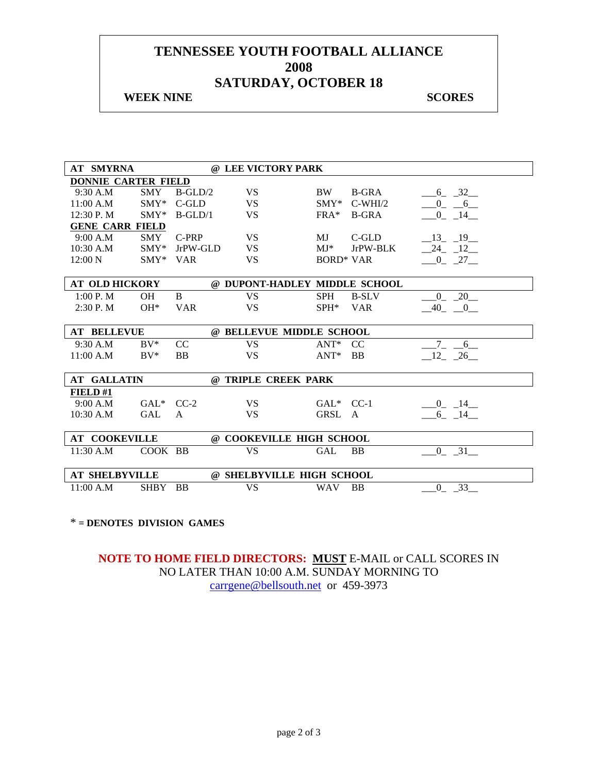#### **WEEK NINE SCORES**

| <b>AT SMYRNA</b>           |            |            | @ LEE VICTORY PARK            |                  |               |                    |
|----------------------------|------------|------------|-------------------------------|------------------|---------------|--------------------|
| <b>DONNIE CARTER FIELD</b> |            |            |                               |                  |               |                    |
| 9:30 A.M                   | <b>SMY</b> | $B-GLD/2$  | <b>VS</b>                     | BW               | <b>B-GRA</b>  | $-6 - 32$          |
| 11:00 A.M                  | $SMY*$     | C-GLD      | <b>VS</b>                     | $\text{SMY*}$    | $C-WHI/2$     | $0 - 6$            |
| 12:30 P.M                  | $SMY^*$    | $B-GLD/1$  | <b>VS</b>                     | $FRA*$           | <b>B-GRA</b>  | $-0$ $-14$         |
| <b>GENE CARR FIELD</b>     |            |            |                               |                  |               |                    |
| 9:00 A.M                   | <b>SMY</b> | $C-PRP$    | <b>VS</b>                     | MJ.              | $C$ -GLD      | 13 19              |
| $10:30$ A.M                | $SMY^*$    | JrPW-GLD   | <b>VS</b>                     | $MJ^*$           | JrPW-BLK      | $-24 - 12$         |
| 12:00 N                    | $SMY*$     | <b>VAR</b> | <b>VS</b>                     | <b>BORD* VAR</b> |               | $-0$ $-27$         |
|                            |            |            |                               |                  |               |                    |
| <b>AT OLD HICKORY</b>      |            |            | @ DUPONT-HADLEY MIDDLE SCHOOL |                  |               |                    |
| 1:00 P. M                  | <b>OH</b>  | B          | <b>VS</b>                     | <b>SPH</b>       | <b>B-SLV</b>  | $0 - 20$           |
| $2:30$ P. M                | $OH*$      | <b>VAR</b> | <b>VS</b>                     | $SPH^*$          | <b>VAR</b>    | $-40$ $-0$         |
|                            |            |            |                               |                  |               |                    |
| <b>AT BELLEVUE</b>         |            |            | @ BELLEVUE MIDDLE SCHOOL      |                  |               |                    |
| 9:30 A.M                   | $BV^*$     | CC         | <b>VS</b>                     | $ANT*$           | <sub>CC</sub> | 6                  |
| 11:00 A.M                  | $\rm BV^*$ | <b>BB</b>  | <b>VS</b>                     | $ANT^*$          | <b>BB</b>     | $12 - 26$          |
|                            |            |            |                               |                  |               |                    |
| <b>AT GALLATIN</b>         |            |            | @ TRIPLE CREEK PARK           |                  |               |                    |
| FIELD#1                    |            |            |                               |                  |               |                    |
| 9:00 A.M                   | GAL* CC-2  |            | <b>VS</b>                     | GAL* CC-1        |               | $0 \t14$           |
| 10:30 A.M                  | <b>GAL</b> | A          | <b>VS</b>                     | GRSL A           |               | $6 - 14$           |
|                            |            |            |                               |                  |               |                    |
| <b>AT COOKEVILLE</b>       |            |            | @ COOKEVILLE HIGH SCHOOL      |                  |               |                    |
| 11:30 A.M                  | COOK BB    |            | <b>VS</b>                     | GAL              | <b>BB</b>     | 0 31               |
|                            |            |            |                               |                  |               |                    |
| <b>AT SHELBYVILLE</b>      |            |            | @ SHELBYVILLE HIGH SCHOOL     |                  |               |                    |
| 11:00 A.M                  | SHBY BB    |            | <b>VS</b>                     | <b>WAV</b>       | <b>BB</b>     | 33<br>$\mathbf{0}$ |
|                            |            |            |                               |                  |               |                    |

#### \* **= DENOTES DIVISION GAMES**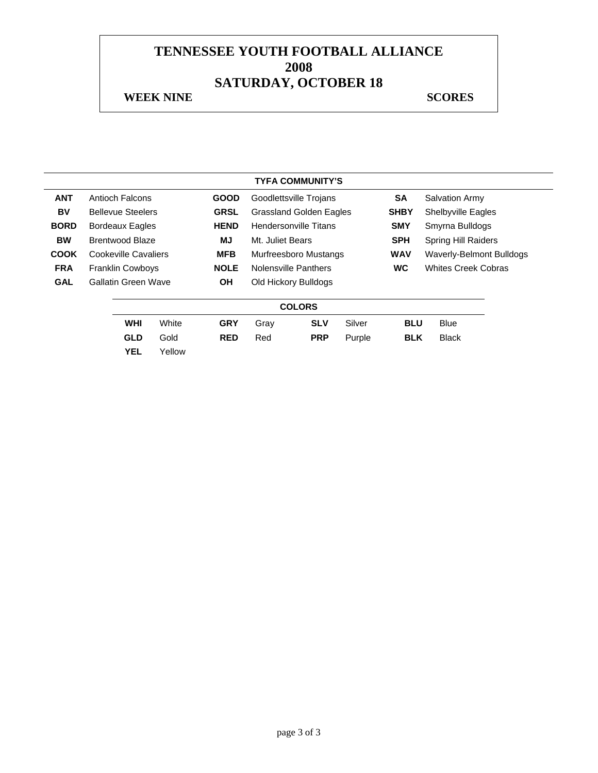#### **WEEK NINE SCORES**

|             |                          |        |             |                                | <b>TYFA COMMUNITY'S</b> |        |             |                                 |  |
|-------------|--------------------------|--------|-------------|--------------------------------|-------------------------|--------|-------------|---------------------------------|--|
| <b>ANT</b>  | Antioch Falcons          |        | <b>GOOD</b> |                                | Goodlettsville Trojans  |        | <b>SA</b>   | <b>Salvation Army</b>           |  |
| BV          | <b>Bellevue Steelers</b> |        | <b>GRSL</b> | <b>Grassland Golden Eagles</b> |                         |        | <b>SHBY</b> | <b>Shelbyville Eagles</b>       |  |
| <b>BORD</b> | <b>Bordeaux Eagles</b>   |        | <b>HEND</b> | Hendersonville Titans          |                         |        | <b>SMY</b>  | Smyrna Bulldogs                 |  |
| <b>BW</b>   | Brentwood Blaze          |        | MJ          | Mt. Juliet Bears               |                         |        | <b>SPH</b>  | <b>Spring Hill Raiders</b>      |  |
| <b>COOK</b> | Cookeville Cavaliers     |        | <b>MFB</b>  | Murfreesboro Mustangs          |                         |        | <b>WAV</b>  | <b>Waverly-Belmont Bulldogs</b> |  |
| <b>FRA</b>  | <b>Franklin Cowboys</b>  |        | <b>NOLE</b> | <b>Nolensville Panthers</b>    |                         |        | <b>WC</b>   | <b>Whites Creek Cobras</b>      |  |
| <b>GAL</b>  | Gallatin Green Wave      |        | <b>OH</b>   |                                | Old Hickory Bulldogs    |        |             |                                 |  |
|             |                          |        |             |                                | <b>COLORS</b>           |        |             |                                 |  |
|             | <b>WHI</b>               | White  | <b>GRY</b>  | Gray                           | <b>SLV</b>              | Silver | <b>BLU</b>  | <b>Blue</b>                     |  |
|             | <b>GLD</b>               | Gold   | <b>RED</b>  | Red                            | <b>PRP</b>              | Purple | <b>BLK</b>  | <b>Black</b>                    |  |
|             | <b>YEL</b>               | Yellow |             |                                |                         |        |             |                                 |  |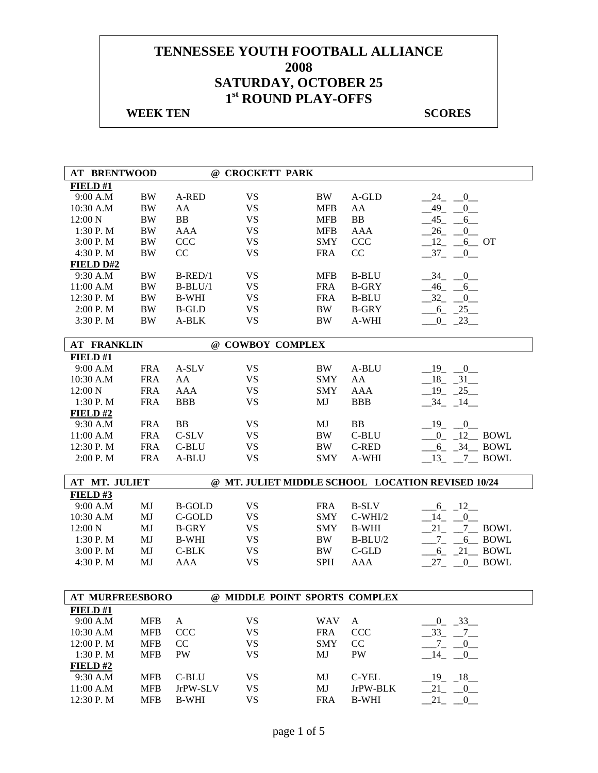| <b>AT BRENTWOOD</b>    |            |               | @ CROCKETT PARK  |                               |              |                                                   |
|------------------------|------------|---------------|------------------|-------------------------------|--------------|---------------------------------------------------|
| FIELD#1                |            |               |                  |                               |              |                                                   |
| 9:00 A.M               | <b>BW</b>  | A-RED         | <b>VS</b>        | <b>BW</b>                     | A-GLD        | 24<br>$\mathbf{0}$                                |
| 10:30 A.M              | <b>BW</b>  | AA            | <b>VS</b>        | <b>MFB</b>                    | AA           | 49<br>$\mathbf{0}$                                |
| $12:00\text{ N}$       | <b>BW</b>  | <b>BB</b>     | <b>VS</b>        | <b>MFB</b>                    | <b>BB</b>    | 45<br>6                                           |
| 1:30 P.M               | <b>BW</b>  | <b>AAA</b>    | <b>VS</b>        | <b>MFB</b>                    | <b>AAA</b>   | 26<br>0                                           |
| 3:00 P.M               | <b>BW</b>  | CCC           | <b>VS</b>        | <b>SMY</b>                    | <b>CCC</b>   | 12<br>$6$ OT                                      |
| 4:30 P.M               | <b>BW</b>  | CC            | <b>VS</b>        | <b>FRA</b>                    | CC           | $37 -$<br>$\overline{0}$                          |
| <b>FIELD D#2</b>       |            |               |                  |                               |              |                                                   |
| 9:30 A.M               | <b>BW</b>  | $B$ -RED/1    | <b>VS</b>        | <b>MFB</b>                    | <b>B-BLU</b> | 34<br>$\overline{0}$                              |
| 11:00 A.M              | <b>BW</b>  | $B-BLU/1$     | <b>VS</b>        | <b>FRA</b>                    | <b>B-GRY</b> | $-46$ $-$<br>6                                    |
| 12:30 P.M              | <b>BW</b>  | <b>B-WHI</b>  | <b>VS</b>        | <b>FRA</b>                    | <b>B-BLU</b> | $-32$<br>$\overline{0}$                           |
| 2:00 P.M               | <b>BW</b>  | <b>B-GLD</b>  | <b>VS</b>        | <b>BW</b>                     | <b>B-GRY</b> | $-6 - 25$                                         |
| 3:30 P.M               | <b>BW</b>  | A-BLK         | <b>VS</b>        | <b>BW</b>                     | A-WHI        | $-0$ $-23$                                        |
| <b>AT FRANKLIN</b>     |            |               | @ COWBOY COMPLEX |                               |              |                                                   |
| FIELD#1                |            |               |                  |                               |              |                                                   |
| 9:00 A.M               | <b>FRA</b> | A-SLV         | <b>VS</b>        | BW                            | A-BLU        | $-19$ $-0$                                        |
| 10:30 A.M              | <b>FRA</b> | AA            | <b>VS</b>        | <b>SMY</b>                    | AA           | $-18$ $-31$                                       |
| 12:00 N                | <b>FRA</b> | <b>AAA</b>    | <b>VS</b>        | <b>SMY</b>                    | <b>AAA</b>   | $19 - 25$                                         |
| 1:30 P. M              | <b>FRA</b> | <b>BBB</b>    | <b>VS</b>        | MJ                            | <b>BBB</b>   | 34 14                                             |
| FIELD#2                |            |               |                  |                               |              |                                                   |
| 9:30 A.M               | <b>FRA</b> | <b>BB</b>     | <b>VS</b>        | MJ                            | <b>BB</b>    | $-19$<br>$-0$                                     |
| 11:00 A.M              | <b>FRA</b> | C-SLV         | <b>VS</b>        | <b>BW</b>                     | C-BLU        | $-0$ $12$ BOWL                                    |
| 12:30 P.M              | <b>FRA</b> | C-BLU         | <b>VS</b>        | BW                            | C-RED        | $-6$ $-34$ BOWL                                   |
| 2:00 P.M               | <b>FRA</b> | A-BLU         | <b>VS</b>        | <b>SMY</b>                    | A-WHI        | 13<br>7 BOWL                                      |
| AT MT. JULIET          |            |               |                  |                               |              |                                                   |
|                        |            |               |                  |                               |              | @ MT. JULIET MIDDLE SCHOOL LOCATION REVISED 10/24 |
| FIELD#3                |            |               |                  |                               |              |                                                   |
| 9:00 A.M               | MJ         | <b>B-GOLD</b> | <b>VS</b>        | <b>FRA</b>                    | <b>B-SLV</b> | $-6 - 12$                                         |
| 10:30 A.M              | MJ         | C-GOLD        | <b>VS</b>        | <b>SMY</b>                    | $C-WHI/2$    | 14<br>$\overline{0}$                              |
| 12:00 N                | MJ         | <b>B-GRY</b>  | <b>VS</b>        | <b>SMY</b>                    | <b>B-WHI</b> | 21<br>$7$ BOWL                                    |
| 1:30 P.M               | MJ         | <b>B-WHI</b>  | <b>VS</b>        | BW                            | $B-BLU/2$    | $7_{-}$<br>$6$ BOWL                               |
| 3:00 P. M              | MJ         | $C-BLK$       | <b>VS</b>        | BW                            | $C$ -GLD     | $6$ $21$ BOWL                                     |
| 4:30 P.M               | MJ         | <b>AAA</b>    | <b>VS</b>        | <b>SPH</b>                    | <b>AAA</b>   | 27<br>0 BOWL                                      |
|                        |            |               |                  |                               |              |                                                   |
| <b>AT MURFREESBORO</b> |            |               |                  | @ MIDDLE POINT SPORTS COMPLEX |              |                                                   |
| FIELD#1                |            |               |                  |                               |              |                                                   |
| 9:00 A.M               | <b>MFB</b> | $\mathbf{A}$  | <b>VS</b>        | <b>WAV</b>                    | $\mathbf{A}$ | $0 - 33$                                          |
| 10:30 A.M              | <b>MFB</b> | <b>CCC</b>    | <b>VS</b>        | <b>FRA</b>                    | <b>CCC</b>   | $33 - 7$                                          |
| 12:00 P.M              | <b>MFB</b> | CC            | <b>VS</b>        | <b>SMY</b>                    | CC           | $^{-7}$<br>$0$ <sub>—</sub>                       |
| 1:30 P.M               | <b>MFB</b> | PW            | <b>VS</b>        | MJ                            | <b>PW</b>    | 14<br>$\overline{0}$                              |
| FIELD#2                |            |               |                  |                               |              |                                                   |
| 9:30 A.M               | <b>MFB</b> | C-BLU         | <b>VS</b>        | MJ                            | C-YEL        | $-19$ $-18$                                       |
| 11:00 A.M              | <b>MFB</b> | JrPW-SLV      | <b>VS</b>        | MJ                            | JrPW-BLK     | $-21$ $-0$                                        |
| 12:30 P.M              | <b>MFB</b> | <b>B-WHI</b>  | <b>VS</b>        | <b>FRA</b>                    | <b>B-WHI</b> | $21 - 0$                                          |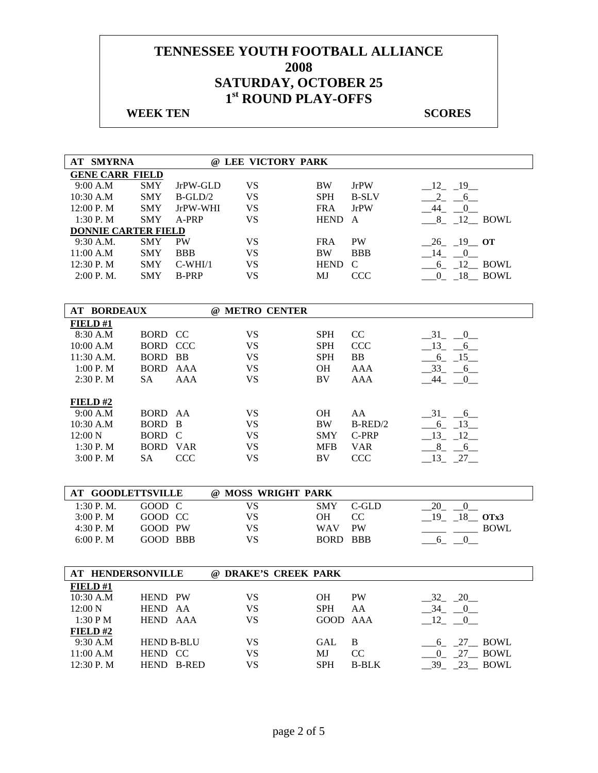| AT SMYRNA                  |                   |              | @ LEE VICTORY PARK   |             |                  |                             |
|----------------------------|-------------------|--------------|----------------------|-------------|------------------|-----------------------------|
| <b>GENE CARR FIELD</b>     |                   |              |                      |             |                  |                             |
| 9:00 A.M                   | <b>SMY</b>        | JrPW-GLD     | <b>VS</b>            | BW          | <b>JrPW</b>      | $-12 - 19$                  |
| 10:30 A.M                  | <b>SMY</b>        | $B-GLD/2$    | <b>VS</b>            | <b>SPH</b>  | <b>B-SLV</b>     | $-2 - 6$                    |
| 12:00 P.M                  | <b>SMY</b>        | JrPW-WHI     | <b>VS</b>            | <b>FRA</b>  | <b>JrPW</b>      | $-44$ $-0$                  |
| 1:30 P.M                   | <b>SMY</b>        | A-PRP        | <b>VS</b>            | HEND A      |                  | $8$ $12$ BOWL               |
| <b>DONNIE CARTER FIELD</b> |                   |              |                      |             |                  |                             |
| 9:30 A.M.                  | <b>SMY</b>        | PW           | <b>VS</b>            | <b>FRA</b>  | PW               | $-26$ $-19$ OT              |
| 11:00 A.M                  | <b>SMY</b>        | <b>BBB</b>   | <b>VS</b>            | <b>BW</b>   | <b>BBB</b>       | $-14$ $-0$                  |
| 12:30 P.M                  | <b>SMY</b>        | $C-WHI/1$    | <b>VS</b>            | <b>HEND</b> | $\mathsf{C}$     | $-6$ $-12$ BOWL             |
| 2:00 P.M.                  | <b>SMY</b>        | <b>B-PRP</b> | <b>VS</b>            | MJ          | <b>CCC</b>       | $0 - 18$ BOWL               |
|                            |                   |              |                      |             |                  |                             |
|                            |                   |              |                      |             |                  |                             |
| <b>AT BORDEAUX</b>         |                   |              | @ METRO CENTER       |             |                  |                             |
| FIELD#1                    | BORD CC           |              | <b>VS</b>            | <b>SPH</b>  |                  |                             |
| 8:30 A.M                   | <b>BORD CCC</b>   |              | <b>VS</b>            | <b>SPH</b>  | CC               | $-31$ $-0$                  |
| 10:00 A.M                  | BORD BB           |              | <b>VS</b>            | <b>SPH</b>  | <b>CCC</b><br>BB | $-13 - 6$                   |
| 11:30 A.M.<br>1:00 P. M    | <b>BORD AAA</b>   |              | <b>VS</b>            | <b>OH</b>   | <b>AAA</b>       | $-6$ $-15$ $-$<br>$-33 - 6$ |
|                            | SA                |              | <b>VS</b>            |             |                  |                             |
| 2:30 P. M                  |                   | <b>AAA</b>   |                      | BV          | AAA              | 44<br>$\overline{0}$        |
| <b>FIELD #2</b>            |                   |              |                      |             |                  |                             |
| 9:00 A.M                   | BORD AA           |              | <b>VS</b>            | <b>OH</b>   | AA               | $-31$ $-6$                  |
| 10:30 A.M                  | BORD B            |              | <b>VS</b>            | <b>BW</b>   | $B$ -RED/2       | $-6 - 13$                   |
| 12:00 N                    | BORD C            |              | <b>VS</b>            | <b>SMY</b>  | C-PRP            | $-13$ $-12$                 |
| 1:30 P.M                   | <b>BORD VAR</b>   |              | <b>VS</b>            | <b>MFB</b>  | <b>VAR</b>       | $-8$ $-6$                   |
| 3:00 P. M                  | SA                | <b>CCC</b>   | <b>VS</b>            | BV          | CCC              | $-13$ $-27$                 |
|                            |                   |              |                      |             |                  |                             |
|                            |                   |              |                      |             |                  |                             |
| <b>AT GOODLETTSVILLE</b>   |                   |              | @ MOSS WRIGHT PARK   |             |                  |                             |
| $1:30$ P. M.               | GOOD C            |              | <b>VS</b>            | <b>SMY</b>  | C-GLD            | $-20$ $-0$                  |
| 3:00 P. M                  | GOOD CC           |              | <b>VS</b>            | <b>OH</b>   | CC               | $19 - 18$ OTx3              |
| 4:30 P.M                   | GOOD PW           |              | <b>VS</b>            | <b>WAV</b>  | PW               | <b>BOWL</b>                 |
| 6:00 P.M                   | <b>GOOD BBB</b>   |              | <b>VS</b>            | BORD BBB    |                  | $-6 - 0$                    |
|                            |                   |              |                      |             |                  |                             |
| AT HENDERSONVILLE          |                   |              | @ DRAKE'S CREEK PARK |             |                  |                             |
| <b>FIELD#1</b>             |                   |              |                      |             |                  |                             |
| 10:30 A.M                  | HEND PW           |              | <b>VS</b>            | OH          | PW               | $-32 - 20$                  |
| 12:00 N                    | HEND AA           |              | <b>VS</b>            | <b>SPH</b>  | AA               | $-34$ $-0$                  |
| 1:30 P M                   | HEND AAA          |              | <b>VS</b>            | GOOD        | AAA              | $-12$<br>0                  |
| FIELD#2                    |                   |              |                      |             |                  |                             |
| 9:30 A.M                   | <b>HEND B-BLU</b> |              | <b>VS</b>            | GAL         | $\mathbf B$      | $6$ $27$ BOWL               |
| 11:00 A.M                  | HEND CC           |              | <b>VS</b>            | MJ          | CC               | 0 27 BOWL                   |
| 12:30 P.M                  |                   | HEND B-RED   | <b>VS</b>            | <b>SPH</b>  | <b>B-BLK</b>     | $-39 - 23$ BOWL             |
|                            |                   |              |                      |             |                  |                             |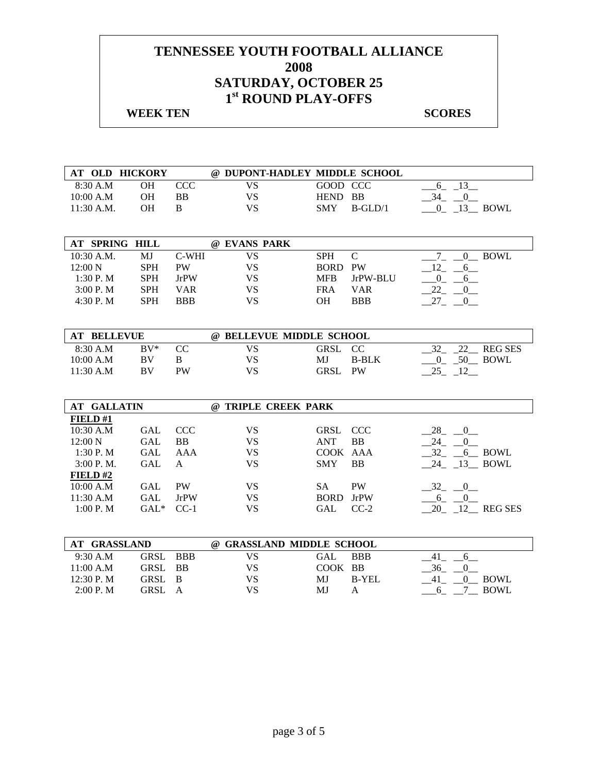|              | AT OLD HICKORY |           |    | @ DUPONT-HADLEY MIDDLE SCHOOL |             |
|--------------|----------------|-----------|----|-------------------------------|-------------|
| 8:30 A.M     | ЭH             |           |    | GOOD CCC                      |             |
| 10:00 A.M    | ЭH             | <b>BB</b> | VS | HEND BB                       |             |
| $11:30$ A.M. | DН.            |           | VS | <b>SMY</b><br>$R-GI_D/1$      | <b>BOWI</b> |

| AT SPRING HILL |            |             | @ EVANS PARK |            |            |             |
|----------------|------------|-------------|--------------|------------|------------|-------------|
| $10:30$ A.M.   | MJ         | C-WHI       | VS           | <b>SPH</b> | C          | <b>BOWL</b> |
| 12:00 N        | <b>SPH</b> | PW          | VS           | BORD PW    |            |             |
| 1:30 P. M      | <b>SPH</b> | <b>JrPW</b> | VS           | <b>MFB</b> | JrPW-BLU   |             |
| 3:00 P. M      | <b>SPH</b> | VAR         | VS           | <b>FRA</b> | <b>VAR</b> |             |
| 4:30 P.M       | <b>SPH</b> | <b>BBB</b>  | VS           | ЭH         | <b>BBB</b> |             |

| <b>AT BELLEVUE</b> |        |    |    |         |              |                     |
|--------------------|--------|----|----|---------|--------------|---------------------|
| 8:30 A.M           | $RV^*$ |    | VS | GRSL CC |              | <b>REG SES</b>      |
| 10:00 A.M          | BV     |    | VS | MJ.     | <b>B-BLK</b> | -50.<br><b>BOWL</b> |
| $11:30$ A.M        | BV     | PW | VS | GRSL    | PW           |                     |

| <b>AT GALLATIN</b> |            |             | <b>TRIPLE CREEK PARK</b><br>(a) |             |             |                  |
|--------------------|------------|-------------|---------------------------------|-------------|-------------|------------------|
| FIELD#1            |            |             |                                 |             |             |                  |
| 10:30 A.M          | GAL        | <b>CCC</b>  | VS                              | GRSL CCC    |             | 28 0             |
| $12:00\ N$         | GAL        | <b>BB</b>   | VS                              | ANT         | <b>BB</b>   | 24               |
| 1:30P. M           | <b>GAL</b> | AAA         | VS                              | COOK AAA    |             | 32<br>6 BOWL     |
| 3:00 P. M.         | <b>GAL</b> | A           | VS                              | <b>SMY</b>  | <b>BB</b>   | 24 13 BOWL       |
| FIELD#2            |            |             |                                 |             |             |                  |
| 10:00 A.M          | GAL        | <b>PW</b>   | VS                              | SА          | <b>PW</b>   | 32 0             |
| 11:30 A.M          | <b>GAL</b> | <b>JrPW</b> | VS                              | <b>BORD</b> | <b>JrPW</b> | <sub>6</sub>     |
| 1:00 P. M          | $GAL^*$    | $CC-1$      | VS                              | <b>GAL</b>  | $CC-2$      | 12 REG SES<br>20 |
|                    |            |             |                                 |             |             |                  |

| <b>GRASSLAND</b><br>AT |          | <b>GRASSLAND MIDDLE SCHOOL</b><br>$\omega$ |         |              |             |
|------------------------|----------|--------------------------------------------|---------|--------------|-------------|
| 9:30 A.M               | GRSL BBB | VS                                         | GAL     | <b>BBB</b>   |             |
| 11:00 A.M              | GRSL BB  | VS                                         | COOK BB |              | 36          |
| 12:30 P. M             | GRSL B   | VS                                         | МJ      | <b>B-YEL</b> | BOWL        |
| 2:00 P. M              | GRSL A   | VS                                         | MJ      |              | <b>BOWL</b> |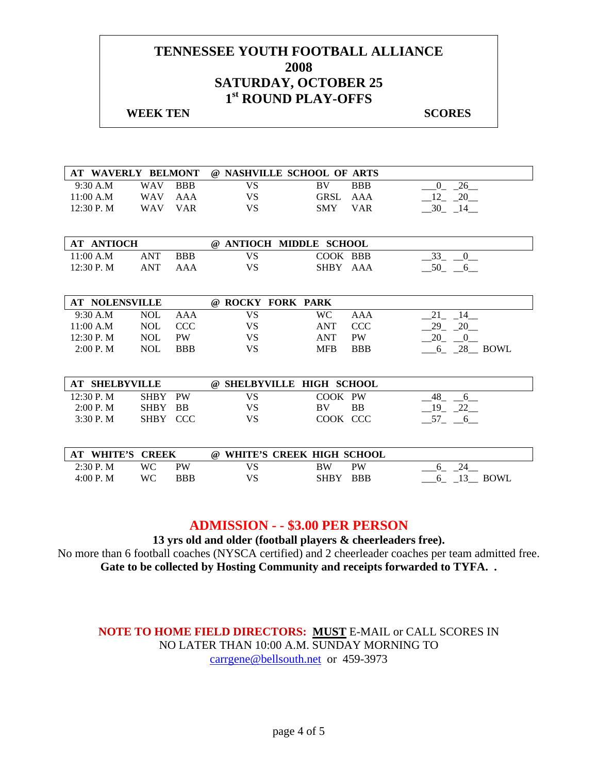#### **WEEK TEN** SCORES

| AT WAVERLY BELMONT    |              |            |           | @ NASHVILLE SCHOOL OF ARTS |            |                      |
|-----------------------|--------------|------------|-----------|----------------------------|------------|----------------------|
| 9:30 A.M              | <b>WAV</b>   | <b>BBB</b> | <b>VS</b> | BV                         | <b>BBB</b> | 26<br>$\overline{0}$ |
| 11:00 A.M             | <b>WAV</b>   | AAA        | <b>VS</b> | <b>GRSL</b>                | AAA        | $-12$ $-20$          |
| 12:30 P.M             | <b>WAV</b>   | <b>VAR</b> | <b>VS</b> | <b>SMY</b>                 | <b>VAR</b> | $-30$ $-14$ $-$      |
|                       |              |            |           |                            |            |                      |
|                       |              |            |           |                            |            |                      |
| <b>AT ANTIOCH</b>     |              |            |           | @ ANTIOCH MIDDLE SCHOOL    |            |                      |
| 11:00 A.M             | <b>ANT</b>   | <b>BBB</b> | <b>VS</b> | COOK BBB                   |            | $33_{-}$<br>0        |
| 12:30 P.M             | <b>ANT</b>   | AAA        | <b>VS</b> | SHBY AAA                   |            | $-50$ $-6$           |
|                       |              |            |           |                            |            |                      |
|                       |              |            |           |                            |            |                      |
| <b>AT NOLENSVILLE</b> |              |            |           | @ ROCKY FORK PARK          |            |                      |
| 9:30 A.M              | <b>NOL</b>   | AAA        | <b>VS</b> | <b>WC</b>                  | AAA        | 21<br>14             |
| 11:00 A.M             | <b>NOL</b>   | <b>CCC</b> | <b>VS</b> | <b>ANT</b>                 | <b>CCC</b> | 29<br>20             |
| 12:30 P.M             | <b>NOL</b>   | <b>PW</b>  | <b>VS</b> | <b>ANT</b>                 | <b>PW</b>  | 20<br>$\overline{0}$ |
| 2:00 P. M             | <b>NOL</b>   | <b>BBB</b> | <b>VS</b> | <b>MFB</b>                 | <b>BBB</b> | 6 28 BOWL            |
|                       |              |            |           |                            |            |                      |
|                       |              |            |           |                            |            |                      |
| <b>AT SHELBYVILLE</b> |              |            |           | @ SHELBYVILLE HIGH SCHOOL  |            |                      |
| 12:30 P.M             | <b>SHBY</b>  | <b>PW</b>  | <b>VS</b> | COOK PW                    |            | 48<br>6              |
| 2:00 P. M             | <b>SHBY</b>  | <b>BB</b>  | VS        | <b>BV</b>                  | <b>BB</b>  | $19 - 22$            |
| 3:30 P.M              | <b>SHBY</b>  | <b>CCC</b> | <b>VS</b> | COOK CCC                   |            | $-57 - -6$           |
|                       |              |            |           |                            |            |                      |
|                       |              |            |           |                            |            |                      |
| <b>WHITE'S</b><br>AT  | <b>CREEK</b> |            | $\omega$  | WHITE'S CREEK HIGH SCHOOL  |            |                      |
| 2:30 P.M              | <b>WC</b>    | <b>PW</b>  | <b>VS</b> | <b>BW</b>                  | <b>PW</b>  | 24<br>6              |
| 4:00 P. M             | WC           | <b>BBB</b> | VS        | <b>SHBY</b>                | <b>BBB</b> | $13$ BOWL<br>$6_{-}$ |

## **ADMISSION - - \$3.00 PER PERSON**

**13 yrs old and older (football players & cheerleaders free).** 

No more than 6 football coaches (NYSCA certified) and 2 cheerleader coaches per team admitted free. **Gate to be collected by Hosting Community and receipts forwarded to TYFA. .**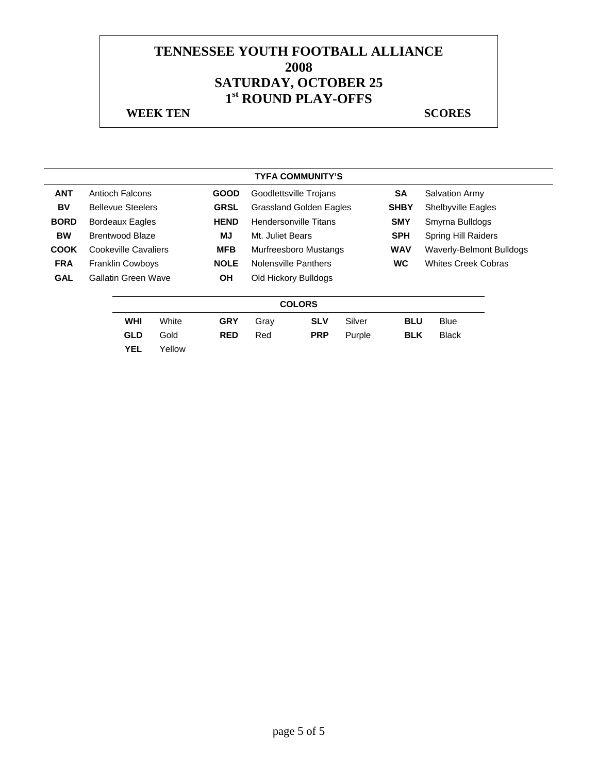|             |                          |        |             |                                | <b>TYFA COMMUNITY'S</b> |             |                                 |                            |  |
|-------------|--------------------------|--------|-------------|--------------------------------|-------------------------|-------------|---------------------------------|----------------------------|--|
| <b>ANT</b>  | Antioch Falcons          |        | <b>GOOD</b> |                                | Goodlettsville Trojans  |             | <b>SA</b>                       | <b>Salvation Army</b>      |  |
| BV          | <b>Bellevue Steelers</b> |        | <b>GRSL</b> | <b>Grassland Golden Eagles</b> |                         | <b>SHBY</b> | Shelbyville Eagles              |                            |  |
| <b>BORD</b> | Bordeaux Eagles          |        | <b>HEND</b> | Hendersonville Titans          |                         | <b>SMY</b>  | Smyrna Bulldogs                 |                            |  |
| <b>BW</b>   | Brentwood Blaze          |        | MJ          | Mt. Juliet Bears               |                         | <b>SPH</b>  | <b>Spring Hill Raiders</b>      |                            |  |
| <b>COOK</b> | Cookeville Cavaliers     |        | <b>MFB</b>  | Murfreesboro Mustangs          |                         | <b>WAV</b>  | <b>Waverly-Belmont Bulldogs</b> |                            |  |
| <b>FRA</b>  | <b>Franklin Cowboys</b>  |        | <b>NOLE</b> |                                | Nolensville Panthers    |             | <b>WC</b>                       | <b>Whites Creek Cobras</b> |  |
| <b>GAL</b>  | Gallatin Green Wave      |        | <b>OH</b>   | Old Hickory Bulldogs           |                         |             |                                 |                            |  |
|             |                          |        |             |                                | <b>COLORS</b>           |             |                                 |                            |  |
|             | <b>WHI</b>               | White  | <b>GRY</b>  | Gray                           | <b>SLV</b>              | Silver      | <b>BLU</b>                      | <b>Blue</b>                |  |
|             | <b>GLD</b>               | Gold   | <b>RED</b>  | Red                            | <b>PRP</b>              | Purple      | <b>BLK</b>                      | <b>Black</b>               |  |
|             | <b>YEL</b>               | Yellow |             |                                |                         |             |                                 |                            |  |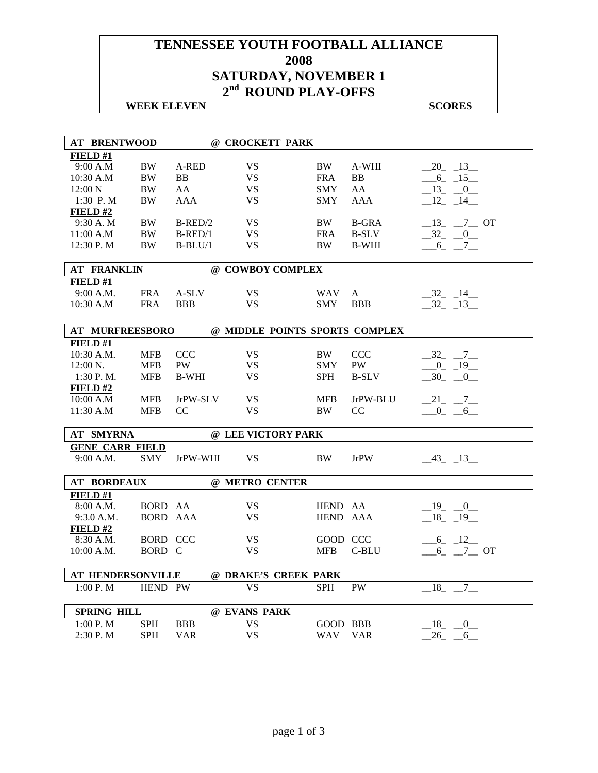# **TENNESSEE YOUTH FOOTBALL ALLIANCE 2008 SATURDAY, NOVEMBER 1 2nd ROUND PLAY-OFFS**

## **WEEK ELEVEN** SCORES

| <b>AT BRENTWOOD</b>    |            |                | @ CROCKETT PARK                |            |                |                            |
|------------------------|------------|----------------|--------------------------------|------------|----------------|----------------------------|
| <b>FIELD</b> #1        |            |                |                                |            |                |                            |
| 9:00 A.M               | <b>BW</b>  | A-RED          | <b>VS</b>                      | BW         | A-WHI          | $20 - 13$                  |
| 10:30 A.M              | <b>BW</b>  | B <sub>B</sub> | <b>VS</b>                      | <b>FRA</b> | B <sub>B</sub> | $-6 - 15$                  |
| 12:00 N                | BW         | AA             | VS                             | <b>SMY</b> | AA             | $-13$ $-0$                 |
| 1:30 P.M               | <b>BW</b>  | AAA            | <b>VS</b>                      | <b>SMY</b> | AAA            | $-12 - 14$                 |
| FIELD#2                |            |                |                                |            |                |                            |
| 9:30 A.M               | BW         | $B$ -RED/2     | <b>VS</b>                      | BW         | <b>B-GRA</b>   | $-13$ <sub>-</sub> $-7$ OT |
| 11:00 A.M              | <b>BW</b>  | $B$ -RED/1     | <b>VS</b>                      | <b>FRA</b> | <b>B-SLV</b>   | $-32 - 0$                  |
| 12:30 P.M              | <b>BW</b>  | $B-BLU/1$      | <b>VS</b>                      | <b>BW</b>  | <b>B-WHI</b>   | $-6 - 7$                   |
|                        |            |                |                                |            |                |                            |
| <b>AT FRANKLIN</b>     |            |                | @ COWBOY COMPLEX               |            |                |                            |
| FIELD#1                |            |                |                                |            |                |                            |
| 9:00 A.M.              | <b>FRA</b> | A-SLV          | <b>VS</b>                      | <b>WAV</b> | A              | $-32 - 14$                 |
| 10:30 A.M              | <b>FRA</b> | <b>BBB</b>     | <b>VS</b>                      | <b>SMY</b> | <b>BBB</b>     | $-32 - 13$                 |
|                        |            |                |                                |            |                |                            |
| AT MURFREESBORO        |            |                | @ MIDDLE POINTS SPORTS COMPLEX |            |                |                            |
| FIELD#1                |            |                |                                |            |                |                            |
| 10:30 A.M.             | <b>MFB</b> | <b>CCC</b>     | <b>VS</b>                      | BW         | <b>CCC</b>     | $-32 - 7$                  |
| $12:00 \text{ N.}$     | <b>MFB</b> | PW             | <b>VS</b>                      | <b>SMY</b> | PW             | $-0$ $-19$                 |
| 1:30 P.M.              | <b>MFB</b> | <b>B-WHI</b>   | <b>VS</b>                      | <b>SPH</b> | <b>B-SLV</b>   | $-30$ $-0$                 |
| <b>FIELD #2</b>        |            |                |                                |            |                |                            |
| 10:00 A.M              | <b>MFB</b> | JrPW-SLV       | <b>VS</b>                      | <b>MFB</b> | JrPW-BLU       | $-21$ $-7$ $-$             |
| 11:30 A.M              | <b>MFB</b> | CC             | <b>VS</b>                      | <b>BW</b>  | CC             | $-0 - 6$                   |
|                        |            |                |                                |            |                |                            |
| AT SMYRNA              |            |                | @ LEE VICTORY PARK             |            |                |                            |
| <b>GENE CARR FIELD</b> |            |                |                                |            |                |                            |
| 9:00 A.M.              | <b>SMY</b> | JrPW-WHI       | <b>VS</b>                      | BW.        | <b>JrPW</b>    | $-43$ $-13$                |
|                        |            |                |                                |            |                |                            |
| <b>AT BORDEAUX</b>     |            |                | @ METRO CENTER                 |            |                |                            |
| <b>FIELD#1</b>         |            |                |                                |            |                |                            |
| 8:00 A.M.              | BORD AA    |                | <b>VS</b>                      | HEND AA    |                | $-19$ $-0$                 |
| 9:3.0 A.M.             | BORD AAA   |                | <b>VS</b>                      | HEND AAA   |                | $-18$ $-19$                |
| $FIED$ #2              |            |                |                                |            |                |                            |
| 8:30 A.M.              | BORD CCC   |                | VS.                            | GOOD CCC   |                | $-6 - 12$                  |
| 10:00 A.M.             | BORD C     |                | <b>VS</b>                      | <b>MFB</b> | C-BLU          | $6 - 7 - 0T$               |
|                        |            |                |                                |            |                |                            |
| AT HENDERSONVILLE      |            |                | @ DRAKE'S CREEK PARK           |            |                |                            |
| 1:00 P. M              | HEND PW    |                | VS                             | <b>SPH</b> | <b>PW</b>      | $-18$ , $-7$               |
|                        |            |                |                                |            |                |                            |
| <b>SPRING HILL</b>     |            |                | @ EVANS PARK                   |            |                |                            |
| 1:00 P.M               | <b>SPH</b> | <b>BBB</b>     | <b>VS</b>                      | GOOD BBB   |                | 18<br>$\overline{0}$       |
| 2:30 P.M               | <b>SPH</b> | <b>VAR</b>     | <b>VS</b>                      | WAV        | <b>VAR</b>     | 26<br>6                    |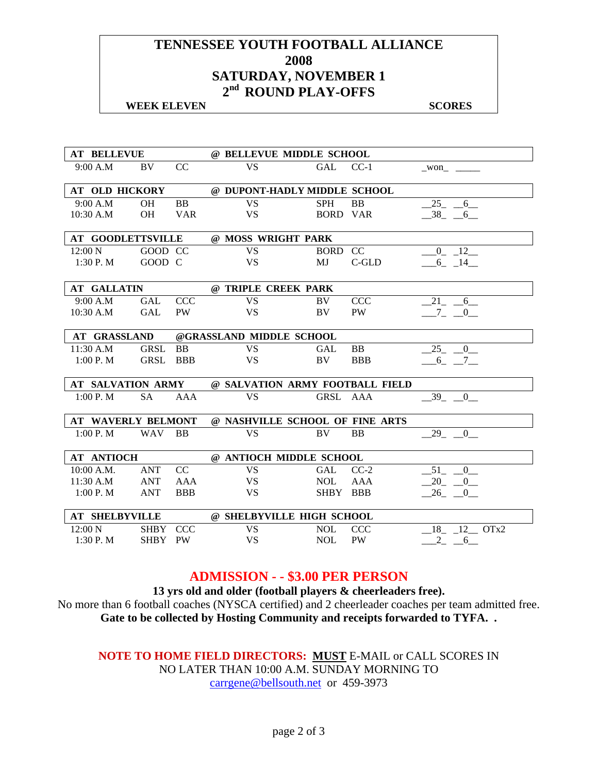## **TENNESSEE YOUTH FOOTBALL ALLIANCE 2008 SATURDAY, NOVEMBER 1 2nd ROUND PLAY-OFFS**

#### **WEEK ELEVEN** SCORES

| <b>AT BELLEVUE</b>       |             |            | @ BELLEVUE MIDDLE SCHOOL        |                 |            |                         |  |  |  |
|--------------------------|-------------|------------|---------------------------------|-----------------|------------|-------------------------|--|--|--|
| 9:00 A.M                 | BV          | CC         | <b>VS</b>                       | GAL             | $CC-1$     | won                     |  |  |  |
|                          |             |            |                                 |                 |            |                         |  |  |  |
| <b>AT OLD HICKORY</b>    |             |            | @ DUPONT-HADLY MIDDLE SCHOOL    |                 |            |                         |  |  |  |
| 9:00 A.M                 | OH          | <b>BB</b>  | <b>VS</b>                       | <b>SPH</b>      | <b>BB</b>  | $-25 - 6$               |  |  |  |
| $10:30$ A.M              | <b>OH</b>   | <b>VAR</b> | <b>VS</b>                       | <b>BORD VAR</b> |            | $-38$ $-6$              |  |  |  |
| <b>AT GOODLETTSVILLE</b> |             |            | @ MOSS WRIGHT PARK              |                 |            |                         |  |  |  |
| $12:00\ N$               | GOOD CC     |            | <b>VS</b>                       | BORD CC         |            | $0 - 12$                |  |  |  |
| 1:30 P.M                 | GOOD C      |            | <b>VS</b>                       | MJ              | C-GLD      | $-6 - 14$               |  |  |  |
|                          |             |            |                                 |                 |            |                         |  |  |  |
| <b>AT GALLATIN</b>       |             |            | @ TRIPLE CREEK PARK             |                 |            |                         |  |  |  |
| 9:00 A.M                 | GAL         | <b>CCC</b> | <b>VS</b>                       | BV.             | <b>CCC</b> | 21 6                    |  |  |  |
| 10:30 A.M                | <b>GAL</b>  | PW         | <b>VS</b>                       | BV              | <b>PW</b>  | $-7$ $-0$               |  |  |  |
|                          |             |            |                                 |                 |            |                         |  |  |  |
| <b>AT GRASSLAND</b>      |             |            | @GRASSLAND MIDDLE SCHOOL        |                 |            |                         |  |  |  |
| 11:30 A.M                | <b>GRSL</b> | <b>BB</b>  | <b>VS</b>                       | <b>GAL</b>      | BB         | $25 - 0$                |  |  |  |
| 1:00 P. M                | <b>GRSL</b> | <b>BBB</b> | <b>VS</b>                       | BV              | <b>BBB</b> | 6 7                     |  |  |  |
|                          |             |            |                                 |                 |            |                         |  |  |  |
| AT SALVATION ARMY        |             |            | @ SALVATION ARMY FOOTBALL FIELD |                 |            |                         |  |  |  |
| 1:00 P. M                | <b>SA</b>   | <b>AAA</b> | <b>VS</b>                       | GRSL AAA        |            | 39 0                    |  |  |  |
|                          |             |            |                                 |                 |            |                         |  |  |  |
| AT WAVERLY BELMONT       |             |            | @ NASHVILLE SCHOOL OF FINE ARTS |                 |            |                         |  |  |  |
| 1:00 P. M                | <b>WAV</b>  | <b>BB</b>  | <b>VS</b>                       | BV              | <b>BB</b>  | 29 0                    |  |  |  |
| <b>AT ANTIOCH</b>        |             |            | @ ANTIOCH MIDDLE SCHOOL         |                 |            |                         |  |  |  |
|                          |             |            |                                 |                 |            |                         |  |  |  |
| 10:00 A.M.               | ANT         | CC         | <b>VS</b>                       | GAL             | $CC-2$     | 51<br>$\mathbf{0}$      |  |  |  |
| 11:30 A.M                | <b>ANT</b>  | AAA        | <b>VS</b>                       | <b>NOL</b>      | <b>AAA</b> | $-20$<br>$\overline{0}$ |  |  |  |
| 1:00 P. M                | <b>ANT</b>  | <b>BBB</b> | <b>VS</b>                       | <b>SHBY</b>     | <b>BBB</b> | 26<br>$\overline{0}$    |  |  |  |
| <b>AT SHELBYVILLE</b>    |             |            | @ SHELBYVILLE HIGH SCHOOL       |                 |            |                         |  |  |  |
| 12:00 N                  | SHBY CCC    |            | <b>VS</b>                       | <b>NOL</b>      | <b>CCC</b> | 18 12 OTx2              |  |  |  |
| 1:30 P. M                | SHBY PW     |            | <b>VS</b>                       | <b>NOL</b>      | <b>PW</b>  | $2_{-}$<br>6            |  |  |  |

## **ADMISSION - - \$3.00 PER PERSON**

**13 yrs old and older (football players & cheerleaders free).**  No more than 6 football coaches (NYSCA certified) and 2 cheerleader coaches per team admitted free. **Gate to be collected by Hosting Community and receipts forwarded to TYFA. .**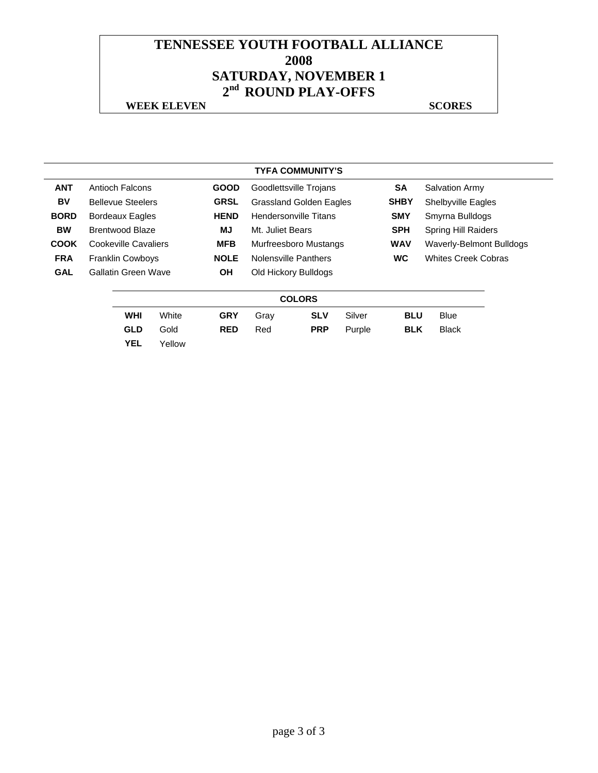# **TENNESSEE YOUTH FOOTBALL ALLIANCE 2008 SATURDAY, NOVEMBER 1 2nd ROUND PLAY-OFFS**

#### **WEEK ELEVEN** SCORES

#### **TYFA COMMUNITY'S**

| <b>ANT</b>  | Antioch Falcons          | <b>GOOD</b> | Goodlettsville Trojans       |                                |            | <b>SA</b>                  | <b>Salvation Army</b>      |  |  |  |  |  |  |  |  |             |                           |  |
|-------------|--------------------------|-------------|------------------------------|--------------------------------|------------|----------------------------|----------------------------|--|--|--|--|--|--|--|--|-------------|---------------------------|--|
| BV          | <b>Bellevue Steelers</b> | <b>GRSL</b> |                              | <b>Grassland Golden Eagles</b> |            |                            |                            |  |  |  |  |  |  |  |  | <b>SHBY</b> | <b>Shelbyville Eagles</b> |  |
| <b>BORD</b> | <b>Bordeaux Eagles</b>   | <b>HEND</b> | <b>Hendersonville Titans</b> |                                | <b>SMY</b> | Smyrna Bulldogs            |                            |  |  |  |  |  |  |  |  |             |                           |  |
| <b>BW</b>   | Brentwood Blaze          | MJ          | Mt. Juliet Bears             |                                | <b>SPH</b> | <b>Spring Hill Raiders</b> |                            |  |  |  |  |  |  |  |  |             |                           |  |
| <b>COOK</b> | Cookeville Cavaliers     | <b>MFB</b>  | Murfreesboro Mustangs        |                                |            | <b>WAV</b>                 | Waverly-Belmont Bulldogs   |  |  |  |  |  |  |  |  |             |                           |  |
| <b>FRA</b>  | <b>Franklin Cowboys</b>  | <b>NOLE</b> | Nolensville Panthers         |                                |            | <b>WC</b>                  | <b>Whites Creek Cobras</b> |  |  |  |  |  |  |  |  |             |                           |  |
| <b>GAL</b>  | Gallatin Green Wave      | OН          | Old Hickory Bulldogs         |                                |            |                            |                            |  |  |  |  |  |  |  |  |             |                           |  |
|             |                          |             |                              |                                |            |                            |                            |  |  |  |  |  |  |  |  |             |                           |  |
|             | <b>COLORS</b>            |             |                              |                                |            |                            |                            |  |  |  |  |  |  |  |  |             |                           |  |
|             | <b>WHI</b><br>White      | <b>GRY</b>  | Gray                         | <b>SLV</b>                     | Silver     | <b>BLU</b>                 | <b>Blue</b>                |  |  |  |  |  |  |  |  |             |                           |  |

| <b>GLD</b> Gold | <b>RED</b> Red |  | <b>PRP</b> Purple | <b>BLK</b> Black |  |
|-----------------|----------------|--|-------------------|------------------|--|
|                 |                |  |                   |                  |  |

**YEL** Yellow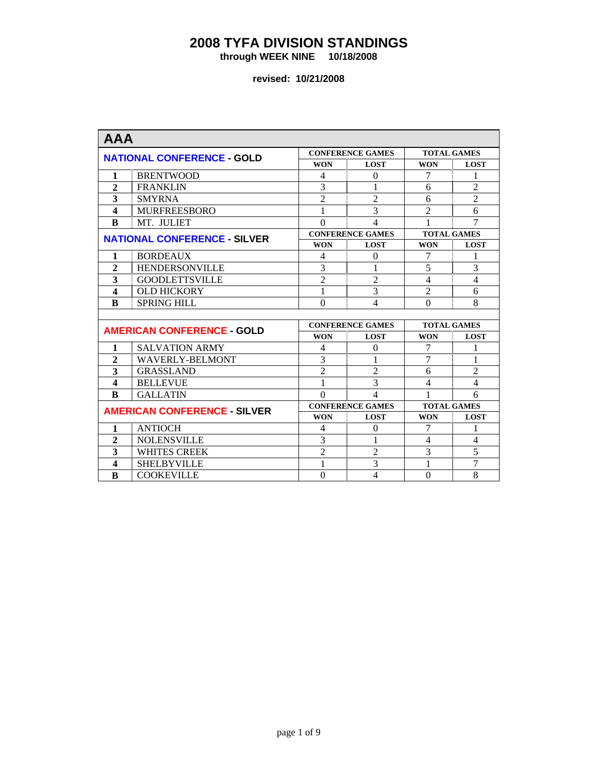**through WEEK NINE 10/18/2008** 

| <b>AAA</b>       |                                     |                |                         |                    |                |  |
|------------------|-------------------------------------|----------------|-------------------------|--------------------|----------------|--|
|                  |                                     |                | <b>CONFERENCE GAMES</b> | <b>TOTAL GAMES</b> |                |  |
|                  | <b>NATIONAL CONFERENCE - GOLD</b>   | <b>WON</b>     | <b>LOST</b>             | <b>WON</b>         | <b>LOST</b>    |  |
| 1                | <b>BRENTWOOD</b>                    | 4              | $\Omega$                | 7                  | 1              |  |
| $\overline{2}$   | <b>FRANKLIN</b>                     | 3              | 1                       | 6                  | $\overline{2}$ |  |
| 3                | <b>SMYRNA</b>                       | $\overline{2}$ | $\overline{2}$          | 6                  | $\overline{2}$ |  |
| $\boldsymbol{4}$ | <b>MURFREESBORO</b>                 | 1              | 3                       | $\overline{2}$     | 6              |  |
| B                | MT. JULIET                          | $\Omega$       | 4                       |                    | 7              |  |
|                  | <b>NATIONAL CONFERENCE - SILVER</b> |                | <b>CONFERENCE GAMES</b> | <b>TOTAL GAMES</b> |                |  |
|                  |                                     | <b>WON</b>     | <b>LOST</b>             | <b>WON</b>         | <b>LOST</b>    |  |
| 1                | <b>BORDEAUX</b>                     | 4              | $\Omega$                | 7                  | 1              |  |
| $\overline{2}$   | <b>HENDERSONVILLE</b>               | 3              | 1                       | 5                  | 3              |  |
| 3                | <b>GOODLETTSVILLE</b>               | $\overline{2}$ | $\overline{2}$          | 4                  | $\overline{4}$ |  |
| $\boldsymbol{4}$ | <b>OLD HICKORY</b>                  | 1              | 3                       | $\overline{2}$     | 6              |  |
| $\bf{B}$         | <b>SPRING HILL</b>                  | $\Omega$       | 4                       | $\Omega$           | 8              |  |
|                  |                                     |                |                         |                    |                |  |
|                  | <b>AMERICAN CONFERENCE - GOLD</b>   |                | <b>CONFERENCE GAMES</b> | <b>TOTAL GAMES</b> |                |  |
|                  |                                     | <b>WON</b>     | <b>LOST</b>             | <b>WON</b>         | <b>LOST</b>    |  |
| 1                | <b>SALVATION ARMY</b>               | 4              | $\theta$                | 7                  | 1              |  |
| $\overline{2}$   | <b>WAVERLY-BELMONT</b>              | 3              |                         | $\overline{7}$     | 1              |  |
| 3                | <b>GRASSLAND</b>                    | $\overline{2}$ | $\overline{2}$          | 6                  | $\overline{2}$ |  |
| $\boldsymbol{4}$ | <b>BELLEVUE</b>                     | 1              | 3                       | 4                  | $\overline{4}$ |  |
| $\bf{R}$         | <b>GALLATIN</b>                     | $\Omega$       | 4                       | 1                  | 6              |  |
|                  | <b>AMERICAN CONFERENCE - SILVER</b> |                | <b>CONFERENCE GAMES</b> | <b>TOTAL GAMES</b> |                |  |
|                  |                                     | <b>WON</b>     | <b>LOST</b>             | <b>WON</b>         | <b>LOST</b>    |  |
| 1                | <b>ANTIOCH</b>                      | 4              | $\Omega$                | 7                  | 1              |  |
| $\overline{2}$   | <b>NOLENSVILLE</b>                  | 3              |                         | 4                  | 4              |  |
| 3                | <b>WHITES CREEK</b>                 | $\overline{2}$ | $\overline{2}$          | 3                  | 5              |  |
| 4                | <b>SHELBYVILLE</b>                  | 1              | 3                       | 1                  | $\overline{7}$ |  |
| $\bf{B}$         | <b>COOKEVILLE</b>                   | $\overline{0}$ | $\overline{4}$          | $\overline{0}$     | 8              |  |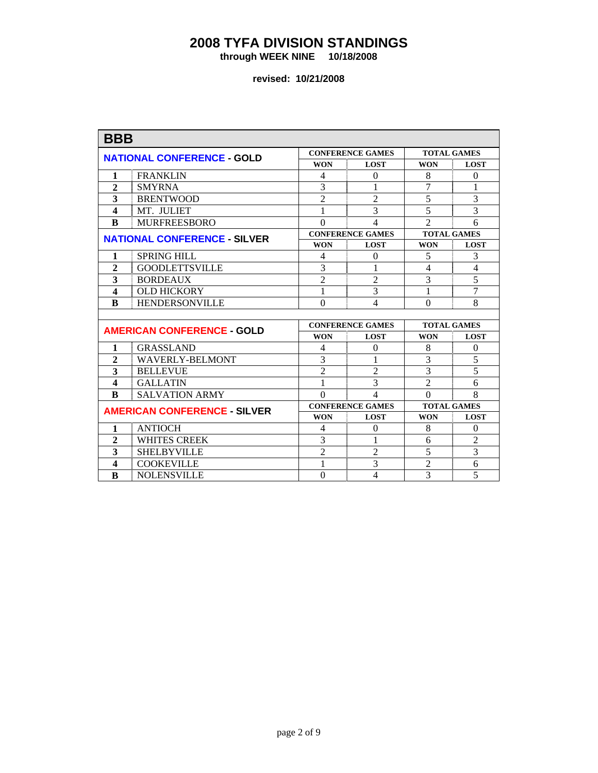**through WEEK NINE 10/18/2008** 

| <b>BBB</b>              |                                     |                |                         |                    |                |  |
|-------------------------|-------------------------------------|----------------|-------------------------|--------------------|----------------|--|
|                         | <b>NATIONAL CONFERENCE - GOLD</b>   |                | <b>CONFERENCE GAMES</b> | <b>TOTAL GAMES</b> |                |  |
|                         |                                     | <b>WON</b>     | <b>LOST</b>             | <b>WON</b>         | <b>LOST</b>    |  |
| 1                       | <b>FRANKLIN</b>                     | 4              | $\Omega$                | 8                  | $\overline{0}$ |  |
| $\overline{2}$          | <b>SMYRNA</b>                       | 3              | 1                       | $\overline{7}$     | $\mathbf{1}$   |  |
| $\overline{\mathbf{3}}$ | <b>BRENTWOOD</b>                    | $\overline{2}$ | $\overline{2}$          | $\overline{5}$     | $\overline{3}$ |  |
| $\boldsymbol{4}$        | MT. JULIET                          | 1              | 3                       | 5                  | $\overline{3}$ |  |
| B                       | <b>MURFREESBORO</b>                 | $\Omega$       | 4                       | $\mathfrak{D}$     | 6              |  |
|                         | <b>NATIONAL CONFERENCE - SILVER</b> |                | <b>CONFERENCE GAMES</b> | <b>TOTAL GAMES</b> |                |  |
|                         |                                     | <b>WON</b>     | <b>LOST</b>             | <b>WON</b>         | <b>LOST</b>    |  |
| 1                       | <b>SPRING HILL</b>                  | 4              | $\Omega$                | 5                  | 3              |  |
| $\overline{2}$          | <b>GOODLETTSVILLE</b>               | 3              | 1                       | 4                  | $\overline{4}$ |  |
| $\overline{\mathbf{3}}$ | <b>BORDEAUX</b>                     | $\overline{2}$ | $\overline{2}$          | 3                  | 5              |  |
| $\overline{\mathbf{4}}$ | <b>OLD HICKORY</b>                  | 1              | 3                       | 1                  | $\overline{7}$ |  |
| B                       | <b>HENDERSONVILLE</b>               | $\Omega$       | 4                       | $\Omega$           | $\overline{8}$ |  |
|                         |                                     |                |                         |                    |                |  |
|                         | <b>AMERICAN CONFERENCE - GOLD</b>   |                | <b>CONFERENCE GAMES</b> | <b>TOTAL GAMES</b> |                |  |
|                         |                                     | <b>WON</b>     | <b>LOST</b>             | <b>WON</b>         | <b>LOST</b>    |  |
| 1                       | <b>GRASSLAND</b>                    | 4              | $\theta$                | 8                  | $\overline{0}$ |  |
| $\overline{2}$          | <b>WAVERLY-BELMONT</b>              | $\overline{3}$ |                         | $\overline{3}$     | $\overline{5}$ |  |
| 3                       | <b>BELLEVUE</b>                     | $\overline{2}$ | $\overline{2}$          | 3                  | 5              |  |
| $\boldsymbol{4}$        | <b>GALLATIN</b>                     | 1              | 3                       | $\overline{2}$     | 6              |  |
| $\bf{R}$                | <b>SALVATION ARMY</b>               | $\Omega$       | 4                       | $\Omega$           | 8              |  |
|                         | <b>AMERICAN CONFERENCE - SILVER</b> |                | <b>CONFERENCE GAMES</b> | <b>TOTAL GAMES</b> |                |  |
|                         |                                     | <b>WON</b>     | <b>LOST</b>             | <b>WON</b>         | <b>LOST</b>    |  |
| $\mathbf{1}$            | <b>ANTIOCH</b>                      | 4              | $\theta$                | 8                  | $\overline{0}$ |  |
| $\overline{2}$          | <b>WHITES CREEK</b>                 | 3              |                         | 6                  | $\overline{2}$ |  |
| 3                       | <b>SHELBYVILLE</b>                  | $\overline{2}$ | $\overline{2}$          | 5                  | 3              |  |
| 4                       | <b>COOKEVILLE</b>                   | 1              | 3                       | $\overline{2}$     | 6              |  |
| $\bf{B}$                | <b>NOLENSVILLE</b>                  | $\Omega$       | 4                       | 3                  | 5              |  |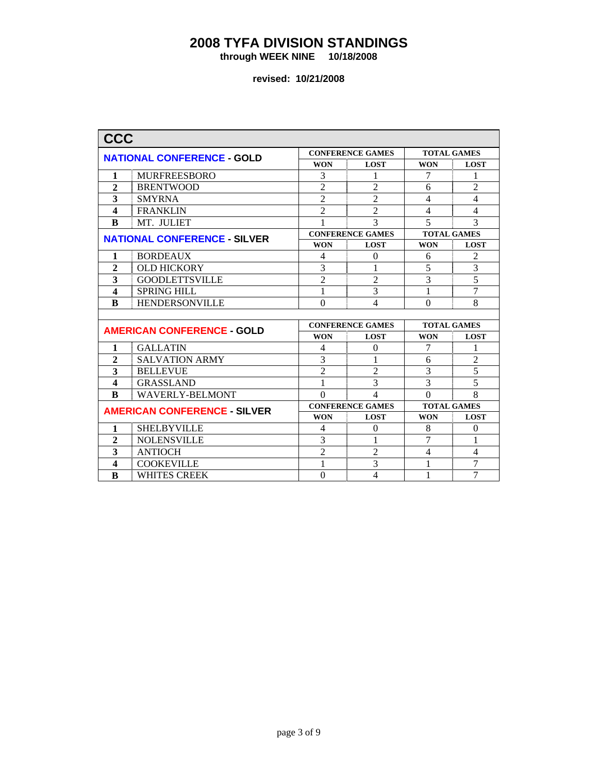**through WEEK NINE 10/18/2008** 

| <b>CCC</b>              |                                     |                                  |                          |                    |                |
|-------------------------|-------------------------------------|----------------------------------|--------------------------|--------------------|----------------|
|                         | <b>NATIONAL CONFERENCE - GOLD</b>   |                                  | <b>CONFERENCE GAMES</b>  | <b>TOTAL GAMES</b> |                |
|                         |                                     | <b>WON</b>                       | <b>LOST</b>              | <b>WON</b>         | <b>LOST</b>    |
| 1                       | <b>MURFREESBORO</b>                 | 3                                | 1                        | 7                  | 1              |
| $\overline{2}$          | <b>BRENTWOOD</b>                    | $\overline{2}$                   | $\overline{2}$           | 6                  | $\overline{2}$ |
| 3                       | <b>SMYRNA</b>                       | $\overline{2}$                   | $\overline{2}$           | $\overline{4}$     | $\overline{4}$ |
| $\boldsymbol{4}$        | <b>FRANKLIN</b>                     | $\overline{2}$                   | $\overline{2}$           | $\overline{4}$     | $\overline{4}$ |
| $\bf{B}$                | MT. JULIET                          |                                  | 3                        | 5                  | 3              |
|                         | <b>NATIONAL CONFERENCE - SILVER</b> |                                  | <b>CONFERENCE GAMES</b>  | <b>TOTAL GAMES</b> |                |
|                         |                                     | <b>WON</b>                       | <b>LOST</b>              | <b>WON</b>         | <b>LOST</b>    |
| 1                       | <b>BORDEAUX</b>                     | 4                                | $\Omega$                 | 6                  | $\overline{2}$ |
| $\overline{2}$          | <b>OLD HICKORY</b>                  | 3                                | 1                        |                    | 3              |
| 3                       | <b>GOODLETTSVILLE</b>               | $\overline{2}$<br>$\overline{2}$ |                          | 3                  | 5              |
| $\boldsymbol{4}$        | <b>SPRING HILL</b>                  | 3<br>1                           |                          | 1                  | $\overline{7}$ |
| B                       | <b>HENDERSONVILLE</b>               | $\Omega$<br>4                    |                          | $\Omega$           | 8              |
|                         |                                     |                                  |                          |                    |                |
|                         | <b>AMERICAN CONFERENCE - GOLD</b>   | <b>CONFERENCE GAMES</b>          |                          | <b>TOTAL GAMES</b> |                |
|                         |                                     | <b>WON</b>                       | <b>LOST</b>              | <b>WON</b>         | <b>LOST</b>    |
| $\mathbf{1}$            | <b>GALLATIN</b>                     | 4                                | $\theta$                 | 7                  | 1              |
| $\overline{2}$          | <b>SALVATION ARMY</b>               | 3                                |                          | 6                  | $\overline{2}$ |
| $\overline{\mathbf{3}}$ | <b>BELLEVUE</b>                     | $\overline{2}$                   | $\overline{2}$           | 3                  | 5              |
| $\overline{\mathbf{4}}$ | <b>GRASSLAND</b>                    | 1                                | 3                        | $\overline{3}$     | $\overline{5}$ |
| $\bf{R}$                | <b>WAVERLY-BELMONT</b>              | $\Omega$                         | 4                        | $\Omega$           | 8              |
|                         | <b>AMERICAN CONFERENCE - SILVER</b> |                                  | <b>CONFERENCE GAMES</b>  | <b>TOTAL GAMES</b> |                |
|                         |                                     | <b>WON</b>                       | <b>LOST</b>              | <b>WON</b>         | <b>LOST</b>    |
| $\mathbf{1}$            | <b>SHELBYVILLE</b>                  | 4                                | $\theta$                 | 8                  | $\theta$       |
| $\overline{2}$          | <b>NOLENSVILLE</b>                  | 3                                |                          | 7                  | 1              |
| 3                       | <b>ANTIOCH</b>                      | $\overline{2}$                   | $\overline{2}$           | 4                  | 4              |
| 4                       | <b>COOKEVILLE</b>                   | 1                                | 3                        | 1                  | 7              |
| $\bf{B}$                | <b>WHITES CREEK</b>                 | $\Omega$                         | $\overline{\mathcal{L}}$ | 1                  | $\overline{7}$ |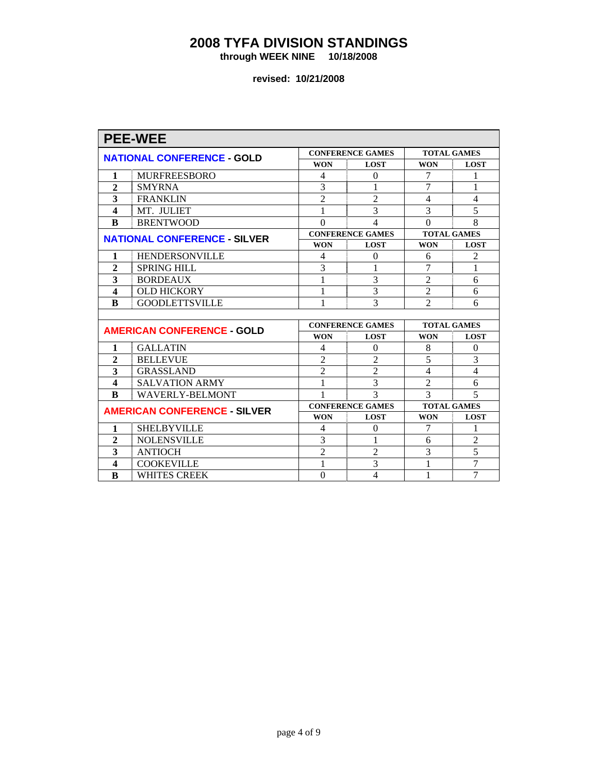**through WEEK NINE 10/18/2008** 

|                         | <b>PEE-WEE</b>                      |                         |                         |                    |                    |  |
|-------------------------|-------------------------------------|-------------------------|-------------------------|--------------------|--------------------|--|
|                         | <b>NATIONAL CONFERENCE - GOLD</b>   |                         | <b>CONFERENCE GAMES</b> |                    | <b>TOTAL GAMES</b> |  |
|                         |                                     | <b>WON</b>              | <b>LOST</b>             | <b>WON</b>         | <b>LOST</b>        |  |
| 1                       | <b>MURFREESBORO</b>                 | 4                       | $\Omega$                | 7                  | 1                  |  |
| $\overline{2}$          | <b>SMYRNA</b>                       | 3                       | 1                       | 7                  | 1                  |  |
| 3                       | <b>FRANKLIN</b>                     | $\overline{2}$          | $\overline{2}$          | $\overline{4}$     | $\overline{4}$     |  |
| $\boldsymbol{4}$        | MT. JULIET                          | 1                       | 3                       | 3                  | 5                  |  |
| B                       | <b>BRENTWOOD</b>                    | $\Omega$                | 4                       | $\Omega$           | 8                  |  |
|                         | <b>NATIONAL CONFERENCE - SILVER</b> |                         | <b>CONFERENCE GAMES</b> | <b>TOTAL GAMES</b> |                    |  |
|                         |                                     | <b>WON</b>              | <b>LOST</b>             | <b>WON</b>         | <b>LOST</b>        |  |
| 1                       | <b>HENDERSONVILLE</b>               | 4                       | 0                       | 6                  | 2                  |  |
| $\mathbf{2}$            | <b>SPRING HILL</b>                  | 3                       | 1                       | 7                  | $\mathbf{1}$       |  |
| 3                       | <b>BORDEAUX</b>                     | 3<br>1                  |                         | $\overline{2}$     | 6                  |  |
| $\overline{\mathbf{4}}$ | <b>OLD HICKORY</b>                  | 3<br>1                  |                         | $\overline{2}$     | 6                  |  |
| B                       | <b>GOODLETTSVILLE</b>               | 3<br>1                  |                         | $\overline{2}$     | 6                  |  |
|                         |                                     |                         |                         |                    |                    |  |
|                         | <b>AMERICAN CONFERENCE - GOLD</b>   | <b>CONFERENCE GAMES</b> |                         | <b>TOTAL GAMES</b> |                    |  |
|                         |                                     | <b>WON</b>              | <b>LOST</b>             | <b>WON</b>         | <b>LOST</b>        |  |
| $\mathbf{1}$            | <b>GALLATIN</b>                     | $\overline{4}$          | $\theta$                | 8                  | $\theta$           |  |
| $\overline{2}$          | <b>BELLEVUE</b>                     | $\overline{2}$          | $\overline{c}$          | 5                  | 3                  |  |
| 3                       | <b>GRASSLAND</b>                    | $\overline{2}$          | $\overline{2}$          | 4                  | 4                  |  |
| $\overline{\mathbf{4}}$ | <b>SALVATION ARMY</b>               | 1                       | 3                       | $\overline{2}$     | 6                  |  |
| B                       | <b>WAVERLY-BELMONT</b>              | 1                       | 3                       | 3                  | 5                  |  |
|                         | <b>AMERICAN CONFERENCE - SILVER</b> |                         | <b>CONFERENCE GAMES</b> | <b>TOTAL GAMES</b> |                    |  |
|                         |                                     | <b>WON</b>              | <b>LOST</b>             | <b>WON</b>         | <b>LOST</b>        |  |
| 1                       | <b>SHELBYVILLE</b>                  | 4                       | $\theta$                | 7                  | 1                  |  |
| $\overline{2}$          | <b>NOLENSVILLE</b>                  | 3                       | 1                       | 6                  | $\overline{2}$     |  |
| 3                       | <b>ANTIOCH</b>                      | $\overline{2}$          | $\overline{2}$          | 3                  | 5                  |  |
| $\overline{\mathbf{4}}$ | <b>COOKEVILLE</b>                   | 1                       | 3                       | 1                  | $\overline{7}$     |  |
| B                       | <b>WHITES CREEK</b>                 | $\Omega$                | 4                       | 1                  | $\overline{7}$     |  |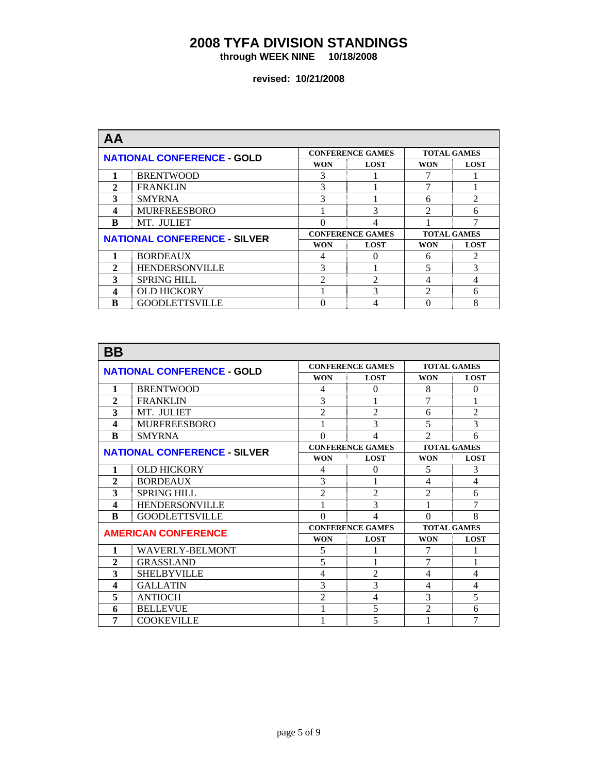**through WEEK NINE 10/18/2008** 

| AΑ           |                                     |                        |                         |                    |                |
|--------------|-------------------------------------|------------------------|-------------------------|--------------------|----------------|
|              | <b>NATIONAL CONFERENCE - GOLD</b>   |                        | <b>CONFERENCE GAMES</b> | <b>TOTAL GAMES</b> |                |
|              |                                     | <b>WON</b>             | <b>LOST</b>             |                    | <b>LOST</b>    |
|              | <b>BRENTWOOD</b>                    | 3                      |                         |                    |                |
| $\mathbf{2}$ | <b>FRANKLIN</b>                     | 3                      |                         |                    |                |
| 3            | <b>SMYRNA</b>                       | 3                      |                         |                    | $\mathfrak{D}$ |
| 4            | <b>MURFREESBORO</b>                 |                        | 3                       |                    | 6              |
| B            | MT. JULIET                          | 0<br>4                 |                         |                    | $\mathcal{I}$  |
|              | <b>NATIONAL CONFERENCE - SILVER</b> |                        | <b>CONFERENCE GAMES</b> | <b>TOTAL GAMES</b> |                |
|              |                                     | <b>WON</b>             | <b>LOST</b>             | <b>WON</b>         | <b>LOST</b>    |
|              | <b>BORDEAUX</b>                     | 4                      |                         | 6                  | $\mathcal{D}$  |
| 2            | <b>HENDERSONVILLE</b>               | 3                      |                         | 5                  | 3              |
| 3            | <b>SPRING HILL</b>                  | $\mathcal{D}_{\alpha}$ | $\mathfrak{D}$          |                    | 4              |
| 4            | <b>OLD HICKORY</b>                  |                        | 3                       | $\mathfrak{D}$     | 6              |
| B            | <b>GOODLETTSVILLE</b>               |                        | 4                       |                    | 8              |

| <b>BB</b>                           |                                   |                |                          |                    |                |
|-------------------------------------|-----------------------------------|----------------|--------------------------|--------------------|----------------|
|                                     | <b>NATIONAL CONFERENCE - GOLD</b> |                | <b>CONFERENCE GAMES</b>  | <b>TOTAL GAMES</b> |                |
|                                     |                                   | <b>WON</b>     | <b>LOST</b>              | <b>WON</b>         | <b>LOST</b>    |
| 1                                   | <b>BRENTWOOD</b>                  | 4              | $\Omega$                 | 8                  | $\Omega$       |
| $\overline{2}$                      | <b>FRANKLIN</b>                   | 3              |                          | 7                  | 1              |
| 3                                   | MT. JULIET                        | $\overline{2}$ | $\overline{2}$           | 6                  | $\overline{2}$ |
| 4                                   | <b>MURFREESBORO</b>               |                | 3                        | 5                  | 3              |
| B                                   | <b>SMYRNA</b>                     | $\Omega$       | $\overline{\mathcal{A}}$ | $\mathfrak{D}$     | 6              |
| <b>NATIONAL CONFERENCE - SILVER</b> |                                   |                | <b>CONFERENCE GAMES</b>  | <b>TOTAL GAMES</b> |                |
|                                     |                                   | <b>WON</b>     | <b>LOST</b>              | <b>WON</b>         | <b>LOST</b>    |
| 1                                   | <b>OLD HICKORY</b>                | 4              | $\Omega$                 |                    | 3              |
| $\overline{2}$                      | <b>BORDEAUX</b>                   | 3              |                          | 4                  | $\overline{4}$ |
| 3                                   | <b>SPRING HILL</b>                | $\overline{2}$ | $\overline{2}$           | $\overline{2}$     | 6              |
| 4                                   | <b>HENDERSONVILLE</b>             |                | 3                        | 1                  | 7              |
| R                                   | <b>GOODLETTSVILLE</b>             | $\Omega$       | 4                        | $\theta$           | 8              |
|                                     | <b>AMERICAN CONFERENCE</b>        |                | <b>CONFERENCE GAMES</b>  | <b>TOTAL GAMES</b> |                |
|                                     |                                   | <b>WON</b>     | <b>LOST</b>              | <b>WON</b>         | <b>LOST</b>    |
| 1                                   | <b>WAVERLY-BELMONT</b>            | 5              |                          | 7                  | 1              |
| $\overline{2}$                      | <b>GRASSLAND</b>                  | 5              | 1                        | 7                  | 1              |
| 3                                   | <b>SHELBYVILLE</b>                | 4              | $\overline{2}$           | 4                  | 4              |
| 4                                   | <b>GALLATIN</b>                   | 3              | 3                        | 4                  | 4              |
| 5                                   | <b>ANTIOCH</b>                    | $\overline{2}$ | $\overline{\mathcal{L}}$ | 3                  | 5              |
| 6                                   | <b>BELLEVUE</b>                   | 1              | 5                        | $\mathfrak{D}$     | 6              |
| 7                                   | <b>COOKEVILLE</b>                 |                | 5                        |                    | 7              |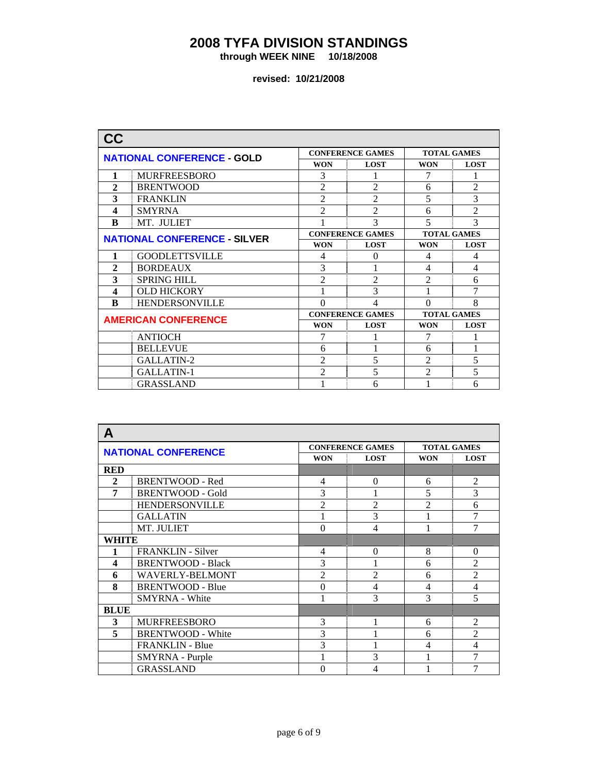**through WEEK NINE 10/18/2008** 

| <b>CC</b>                           |                                   |                |                         |                          |                    |
|-------------------------------------|-----------------------------------|----------------|-------------------------|--------------------------|--------------------|
|                                     | <b>NATIONAL CONFERENCE - GOLD</b> |                | <b>CONFERENCE GAMES</b> |                          | <b>TOTAL GAMES</b> |
|                                     |                                   | <b>WON</b>     | <b>LOST</b>             | <b>WON</b>               | <b>LOST</b>        |
| 1                                   | <b>MURFREESBORO</b>               | 3              |                         | 7                        | 1                  |
| 2                                   | <b>BRENTWOOD</b>                  | $\overline{2}$ | $\overline{2}$          | 6                        | $\overline{2}$     |
| 3                                   | <b>FRANKLIN</b>                   | $\overline{2}$ | $\mathfrak{D}$          | 5                        | 3                  |
| 4                                   | <b>SMYRNA</b>                     | $\overline{2}$ | $\overline{2}$          | 6                        | $\overline{2}$     |
| B                                   | MT. JULIET                        |                | 3                       | $\overline{\phantom{0}}$ | 3                  |
| <b>NATIONAL CONFERENCE - SILVER</b> |                                   |                | <b>CONFERENCE GAMES</b> |                          | <b>TOTAL GAMES</b> |
|                                     |                                   | <b>WON</b>     | <b>LOST</b>             | <b>WON</b>               | <b>LOST</b>        |
| 1                                   | <b>GOODLETTSVILLE</b>             | 4              | $\Omega$                |                          | 4                  |
| $\overline{2}$                      | <b>BORDEAUX</b>                   | 3              | 1                       | 4                        | $\overline{4}$     |
| 3                                   | <b>SPRING HILL</b>                | $\overline{2}$ | 2                       | $\mathfrak{D}$           | 6                  |
| 4                                   | <b>OLD HICKORY</b>                |                | 3                       |                          | 7                  |
| B                                   | <b>HENDERSONVILLE</b>             | $\theta$       | $\overline{4}$          | $\theta$                 | 8                  |
|                                     | <b>AMERICAN CONFERENCE</b>        |                | <b>CONFERENCE GAMES</b> | <b>TOTAL GAMES</b>       |                    |
|                                     |                                   | <b>WON</b>     | <b>LOST</b>             | <b>WON</b>               | <b>LOST</b>        |
|                                     | <b>ANTIOCH</b>                    | 7              |                         | 7                        |                    |
|                                     | <b>BELLEVUE</b>                   | 6              |                         | 6                        | 1                  |
|                                     | GALLATIN-2                        | $\overline{2}$ | 5                       | $\overline{2}$           | 5                  |
|                                     | GALLATIN-1                        | $\overline{2}$ | 5                       | $\mathfrak{D}$           | 5                  |
|                                     | <b>GRASSLAND</b>                  |                | 6                       |                          | 6                  |

| A            |                            |                |                         |                    |                |
|--------------|----------------------------|----------------|-------------------------|--------------------|----------------|
|              | <b>NATIONAL CONFERENCE</b> |                | <b>CONFERENCE GAMES</b> | <b>TOTAL GAMES</b> |                |
|              |                            |                | <b>LOST</b>             | <b>WON</b>         | <b>LOST</b>    |
| <b>RED</b>   |                            |                |                         |                    |                |
| $\mathbf{2}$ | <b>BRENTWOOD - Red</b>     | 4              | $\Omega$                | 6                  | $\overline{2}$ |
| 7            | <b>BRENTWOOD - Gold</b>    | 3              |                         | 5                  | 3              |
|              | <b>HENDERSONVILLE</b>      | $\overline{2}$ | $\overline{2}$          | $\mathfrak{D}$     | 6              |
|              | <b>GALLATIN</b>            |                | 3                       |                    | 7              |
|              | MT. JULIET                 | $\theta$       | 4                       |                    | 7              |
|              | WHITE                      |                |                         |                    |                |
| 1            | <b>FRANKLIN</b> - Silver   | 4              | $\theta$                | 8                  | $\theta$       |
| 4            | <b>BRENTWOOD - Black</b>   | 3              |                         | 6                  | $\overline{2}$ |
| 6            | WAVERLY-BELMONT            | $\overline{2}$ | $\mathfrak{D}$          | 6                  | $\overline{2}$ |
| 8            | <b>BRENTWOOD - Blue</b>    | $\theta$       | 4                       | 4                  | $\overline{4}$ |
|              | <b>SMYRNA</b> - White      |                | 3                       | 3                  | 5              |
| <b>BLUE</b>  |                            |                |                         |                    |                |
| 3            | <b>MURFREESBORO</b>        | 3              |                         | 6                  | $\overline{2}$ |
| 5            | <b>BRENTWOOD - White</b>   | 3              |                         | 6                  | $\overline{2}$ |
|              | <b>FRANKLIN - Blue</b>     | 3              |                         | $\overline{4}$     | $\overline{4}$ |
|              | SMYRNA - Purple            |                | 3                       |                    | 7              |
|              | <b>GRASSLAND</b>           | $\theta$       | 4                       |                    | 7              |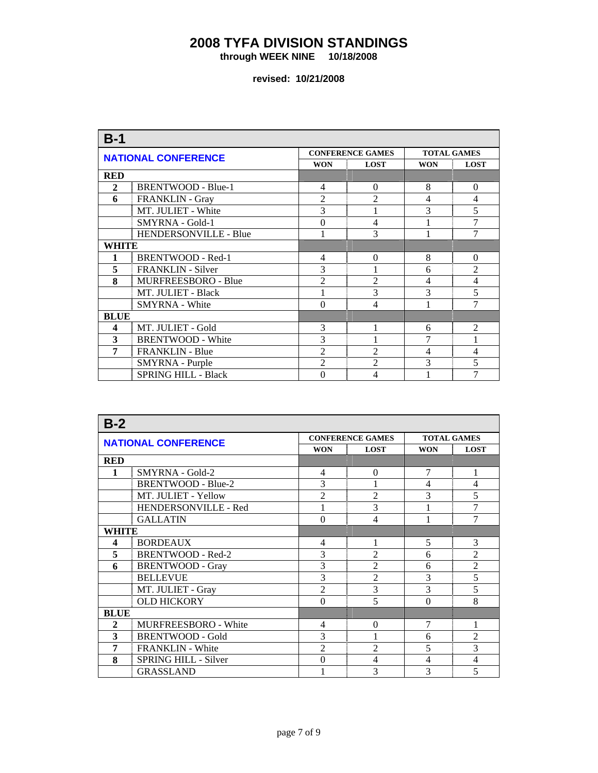**through WEEK NINE 10/18/2008** 

| $B-1$                 |                            |                |                         |                    |                |
|-----------------------|----------------------------|----------------|-------------------------|--------------------|----------------|
|                       | <b>NATIONAL CONFERENCE</b> |                | <b>CONFERENCE GAMES</b> | <b>TOTAL GAMES</b> |                |
|                       |                            | <b>WON</b>     | <b>LOST</b>             | <b>WON</b>         | <b>LOST</b>    |
| <b>RED</b>            |                            |                |                         |                    |                |
| $\mathbf{2}$          | BRENTWOOD - Blue-1         | 4              | $\theta$                | 8                  | $\overline{0}$ |
| 6                     | <b>FRANKLIN - Gray</b>     | $\overline{2}$ | $\mathfrak{D}$          | $\overline{4}$     | $\overline{4}$ |
|                       | MT. JULIET - White         | 3              |                         | 3                  | 5              |
|                       | SMYRNA - Gold-1            | $\overline{0}$ | $\overline{4}$          |                    | 7              |
| HENDERSONVILLE - Blue |                            |                | 3                       |                    | 7              |
| WHITE                 |                            |                |                         |                    |                |
|                       | <b>BRENTWOOD - Red-1</b>   | 4              | $\theta$                | 8                  | $\Omega$       |
| 5                     | FRANKLIN - Silver          | 3              |                         | 6                  | $\overline{2}$ |
| 8                     | MURFREESBORO - Blue        | $\overline{c}$ | $\overline{2}$          | $\overline{4}$     | $\overline{4}$ |
|                       | MT. JULIET - Black         |                | 3                       | 3                  | 5              |
|                       | <b>SMYRNA</b> - White      | $\theta$       | $\overline{4}$          |                    | $\overline{7}$ |
| <b>BLUE</b>           |                            |                |                         |                    |                |
| 4                     | MT. JULIET - Gold          | 3              |                         | 6                  | $\overline{2}$ |
| 3                     | <b>BRENTWOOD - White</b>   | 3              |                         | 7                  |                |
| 7                     | <b>FRANKLIN - Blue</b>     | $\overline{2}$ | $\overline{2}$          | 4                  | 4              |
|                       | SMYRNA - Purple            | $\overline{2}$ | $\overline{2}$          | 3                  | 5              |
|                       | <b>SPRING HILL - Black</b> | $\theta$       | 4                       |                    | 7              |

| $B-2$        |                            |                |                         |                    |                |
|--------------|----------------------------|----------------|-------------------------|--------------------|----------------|
|              | <b>NATIONAL CONFERENCE</b> |                | <b>CONFERENCE GAMES</b> | <b>TOTAL GAMES</b> |                |
|              |                            | <b>WON</b>     | <b>LOST</b>             | <b>WON</b>         | <b>LOST</b>    |
| <b>RED</b>   |                            |                |                         |                    |                |
| 1            | SMYRNA - Gold-2            | 4              | $\Omega$                | 7                  | 1              |
|              | <b>BRENTWOOD - Blue-2</b>  | 3              |                         | 4                  | $\overline{4}$ |
|              | MT. JULIET - Yellow        | $\overline{2}$ | $\overline{2}$          | 3                  | 5              |
|              | HENDERSONVILLE - Red       |                | 3                       |                    | $\overline{7}$ |
|              | <b>GALLATIN</b>            | $\Omega$       | 4                       |                    | 7              |
| WHITE        |                            |                |                         |                    |                |
| 4            | <b>BORDEAUX</b>            | 4              | 1                       | 5                  | 3              |
| 5            | <b>BRENTWOOD - Red-2</b>   | 3              | $\overline{2}$          | 6                  | $\overline{2}$ |
| 6            | <b>BRENTWOOD - Gray</b>    | 3              | $\overline{2}$          | 6                  | $\overline{2}$ |
|              | <b>BELLEVUE</b>            | 3              | $\overline{2}$          | 3                  | 5              |
|              | MT. JULIET - Gray          | $\overline{2}$ | 3                       | 3                  | 5              |
|              | <b>OLD HICKORY</b>         | $\theta$       | 5                       | $\Omega$           | 8              |
| <b>BLUE</b>  |                            |                |                         |                    |                |
| $\mathbf{2}$ | MURFREESBORO - White       | 4              | $\theta$                | 7                  | 1              |
| 3            | <b>BRENTWOOD - Gold</b>    | 3              |                         | 6                  | $\overline{c}$ |
| 7            | <b>FRANKLIN - White</b>    | $\mathfrak{D}$ | $\mathfrak{D}$          | 5                  | 3              |
| 8            | SPRING HILL - Silver       | $\theta$       | 4                       | 4                  | $\overline{4}$ |
|              | <b>GRASSLAND</b>           |                | 3                       | 3                  | 5              |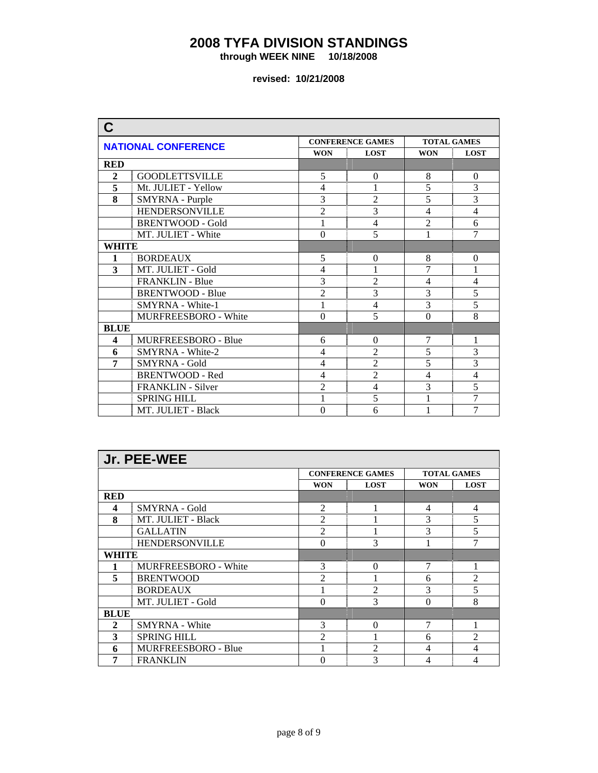**through WEEK NINE 10/18/2008** 

| C            |                            |                  |                          |                    |                |  |
|--------------|----------------------------|------------------|--------------------------|--------------------|----------------|--|
|              | <b>NATIONAL CONFERENCE</b> |                  | <b>CONFERENCE GAMES</b>  | <b>TOTAL GAMES</b> |                |  |
|              |                            | <b>WON</b>       | <b>LOST</b>              | <b>WON</b>         | <b>LOST</b>    |  |
| <b>RED</b>   |                            |                  |                          |                    |                |  |
| $\mathbf{2}$ | <b>GOODLETTSVILLE</b>      | 5                | $\Omega$                 | 8                  | $\Omega$       |  |
| 5            | Mt. JULIET - Yellow        | 4                |                          | 5                  | 3              |  |
| 8            | SMYRNA - Purple            | $\overline{3}$   | $\overline{2}$           | 5                  | $\overline{3}$ |  |
|              | <b>HENDERSONVILLE</b>      | $\overline{2}$   | $\overline{3}$           | 4                  | $\overline{4}$ |  |
|              | <b>BRENTWOOD - Gold</b>    | 1                | $\overline{4}$           | $\overline{2}$     | 6              |  |
|              | MT. JULIET - White         | $\overline{0}$   | 5                        | 1                  | $\overline{7}$ |  |
| <b>WHITE</b> |                            |                  |                          |                    |                |  |
| 1            | <b>BORDEAUX</b>            | 5                | $\theta$                 | 8                  | $\Omega$       |  |
| 3            | MT. JULIET - Gold          | $\overline{4}$   | 1                        | 7                  | $\mathbf{1}$   |  |
|              | <b>FRANKLIN - Blue</b>     | $\overline{3}$   | $\overline{2}$           | $\overline{4}$     | $\overline{4}$ |  |
|              | <b>BRENTWOOD - Blue</b>    | $\overline{2}$   | 3                        | 3                  | 5              |  |
|              | SMYRNA - White-1           | 1                | $\overline{4}$           | 3                  | 5              |  |
|              | MURFREESBORO - White       | $\theta$         | 5                        | $\Omega$           | 8              |  |
| <b>BLUE</b>  |                            |                  |                          |                    |                |  |
| 4            | MURFREESBORO - Blue        | 6                | $\theta$                 | 7                  | 1              |  |
| 6            | SMYRNA - White-2           | $\overline{4}$   | $\overline{2}$           | 5                  | 3              |  |
| 7            | SMYRNA - Gold              | $\overline{4}$   | $\overline{2}$           | 5                  | $\overline{3}$ |  |
|              | <b>BRENTWOOD - Red</b>     | $\overline{4}$   | $\overline{2}$           | $\overline{4}$     | $\overline{4}$ |  |
|              | FRANKLIN - Silver          | $\overline{2}$   | $\overline{\mathcal{L}}$ | 3                  | $\overline{5}$ |  |
|              | <b>SPRING HILL</b>         |                  | 5                        |                    | $\overline{7}$ |  |
|              | MT. JULIET - Black         | $\boldsymbol{0}$ | 6                        | 1                  | 7              |  |

|              | Jr. PEE-WEE                 |                           |                         |            |                    |  |
|--------------|-----------------------------|---------------------------|-------------------------|------------|--------------------|--|
|              |                             |                           | <b>CONFERENCE GAMES</b> |            | <b>TOTAL GAMES</b> |  |
|              |                             | <b>WON</b><br><b>LOST</b> |                         | <b>WON</b> | <b>LOST</b>        |  |
| <b>RED</b>   |                             |                           |                         |            |                    |  |
| 4            | <b>SMYRNA</b> - Gold        | $\mathfrak{D}$            |                         | 4          | $\overline{4}$     |  |
| 8            | MT. JULIET - Black          | 2                         |                         | 3          | 5                  |  |
|              | <b>GALLATIN</b>             | $\mathfrak{D}$            |                         | 3          | 5                  |  |
|              | <b>HENDERSONVILLE</b>       | $\Omega$                  | 3                       |            | 7                  |  |
| WHITE        |                             |                           |                         |            |                    |  |
|              | <b>MURFREESBORO - White</b> | 3                         | $\Omega$                | 7          | 1                  |  |
| 5            | <b>BRENTWOOD</b>            | $\mathfrak{D}$            |                         | 6          | $\overline{2}$     |  |
|              | <b>BORDEAUX</b>             |                           | $\overline{2}$          | 3          | 5                  |  |
|              | MT. JULIET - Gold           | $\Omega$                  | 3                       | $\Omega$   | 8                  |  |
| <b>BLUE</b>  |                             |                           |                         |            |                    |  |
| $\mathbf{2}$ | <b>SMYRNA</b> - White       | 3                         | $\Omega$                | 7          |                    |  |
| 3            | <b>SPRING HILL</b>          | $\mathfrak{D}$            |                         | 6          | $\mathfrak{D}$     |  |
| 6            | <b>MURFREESBORO - Blue</b>  |                           | $\mathfrak{D}$          | 4          | 4                  |  |
| 7            | <b>FRANKLIN</b>             | 0                         | 3                       | 4          | 4                  |  |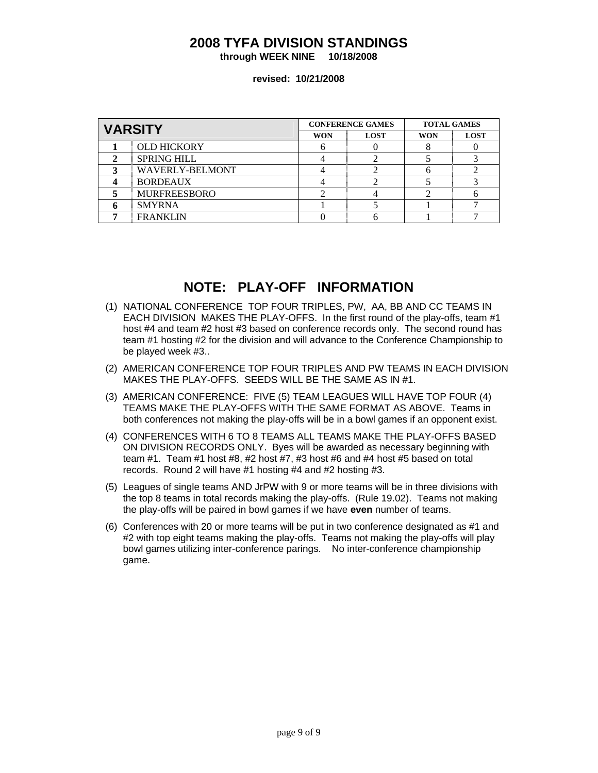**through WEEK NINE 10/18/2008** 

#### **revised: 10/21/2008**

| <b>VARSITY</b> |                        |                           | <b>CONFERENCE GAMES</b> | <b>TOTAL GAMES</b> |             |
|----------------|------------------------|---------------------------|-------------------------|--------------------|-------------|
|                |                        | <b>LOST</b><br><b>WON</b> |                         | <b>WON</b>         | <b>LOST</b> |
|                | <b>OLD HICKORY</b>     |                           |                         |                    |             |
|                | <b>SPRING HILL</b>     |                           |                         |                    |             |
|                | <b>WAVERLY-BELMONT</b> |                           |                         |                    |             |
|                | <b>BORDEAUX</b>        |                           |                         |                    |             |
|                | <b>MURFREESBORO</b>    |                           |                         |                    |             |
|                | <b>SMYRNA</b>          |                           |                         |                    |             |
|                | <b>FRANKLIN</b>        |                           |                         |                    |             |

## **NOTE: PLAY-OFF INFORMATION**

- (1) NATIONAL CONFERENCE TOP FOUR TRIPLES, PW, AA, BB AND CC TEAMS IN EACH DIVISION MAKES THE PLAY-OFFS. In the first round of the play-offs, team #1 host #4 and team #2 host #3 based on conference records only. The second round has team #1 hosting #2 for the division and will advance to the Conference Championship to be played week #3..
- (2) AMERICAN CONFERENCE TOP FOUR TRIPLES AND PW TEAMS IN EACH DIVISION MAKES THE PLAY-OFFS. SEEDS WILL BE THE SAME AS IN #1.
- (3) AMERICAN CONFERENCE: FIVE (5) TEAM LEAGUES WILL HAVE TOP FOUR (4) TEAMS MAKE THE PLAY-OFFS WITH THE SAME FORMAT AS ABOVE. Teams in both conferences not making the play-offs will be in a bowl games if an opponent exist.
- (4) CONFERENCES WITH 6 TO 8 TEAMS ALL TEAMS MAKE THE PLAY-OFFS BASED ON DIVISION RECORDS ONLY. Byes will be awarded as necessary beginning with team #1. Team #1 host #8, #2 host #7, #3 host #6 and #4 host #5 based on total records. Round 2 will have #1 hosting #4 and #2 hosting #3.
- (5) Leagues of single teams AND JrPW with 9 or more teams will be in three divisions with the top 8 teams in total records making the play-offs. (Rule 19.02). Teams not making the play-offs will be paired in bowl games if we have **even** number of teams.
- (6) Conferences with 20 or more teams will be put in two conference designated as #1 and #2 with top eight teams making the play-offs. Teams not making the play-offs will play bowl games utilizing inter-conference parings. No inter-conference championship game.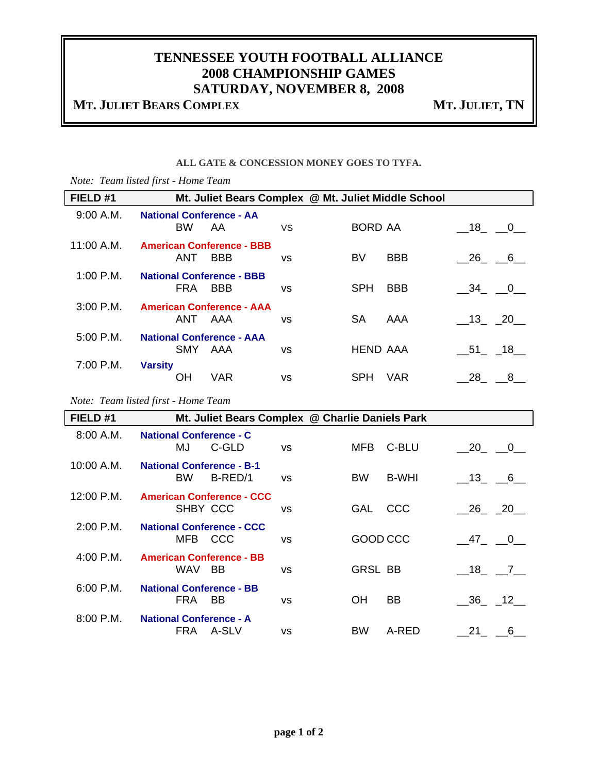# **TENNESSEE YOUTH FOOTBALL ALLIANCE 2008 CHAMPIONSHIP GAMES SATURDAY, NOVEMBER 8, 2008**

# **MT. JULIET BEARS COMPLEX MT. JULIET, TN**

#### **ALL GATE & CONCESSION MONEY GOES TO TYFA.**

|             | Note: Team listed first - Home Team            |            |                                                     |                 |              |                                |                         |
|-------------|------------------------------------------------|------------|-----------------------------------------------------|-----------------|--------------|--------------------------------|-------------------------|
| FIELD #1    |                                                |            | Mt. Juliet Bears Complex @ Mt. Juliet Middle School |                 |              |                                |                         |
| 9:00 A.M.   | <b>National Conference - AA</b><br><b>BW</b>   | AA         | VS                                                  | <b>BORD AA</b>  |              | $-18$ $-0$ $-$                 |                         |
| 11:00 A.M.  | <b>American Conference - BBB</b><br><b>ANT</b> | <b>BBB</b> | VS                                                  | BV              | <b>BBB</b>   | 26                             | $-6$                    |
| $1:00$ P.M. | <b>National Conference - BBB</b><br>FRA        | <b>BBB</b> | VS                                                  | <b>SPH</b>      | <b>BBB</b>   | - 34                           | $\overline{\mathbf{0}}$ |
| $3:00$ P.M. | <b>American Conference - AAA</b><br>ANT AAA    |            | <b>VS</b>                                           | <b>SA</b>       | AAA          | $\_13$ <sub>-</sub> $\_20$     |                         |
| 5:00 P.M.   | <b>National Conference - AAA</b><br>SMY AAA    |            | <b>VS</b>                                           | <b>HEND AAA</b> |              | $\_51$ <sub>____</sub> __18___ |                         |
| 7:00 P.M.   | <b>Varsity</b><br>ΟH                           | <b>VAR</b> | <b>VS</b>                                           | <b>SPH</b>      | <b>VAR</b>   | 28                             | 8                       |
|             | Note: Team listed first - Home Team            |            |                                                     |                 |              |                                |                         |
| FIELD #1    |                                                |            | Mt. Juliet Bears Complex @ Charlie Daniels Park     |                 |              |                                |                         |
| 8:00 A.M.   | <b>National Conference - C</b><br>MJ           | C-GLD      | <b>VS</b>                                           | MFB             | C-BLU        |                                | $20 - 0$                |
| 10:00 A.M.  | <b>National Conference - B-1</b><br><b>BW</b>  | B-RED/1    | <b>VS</b>                                           | <b>BW</b>       | <b>B-WHI</b> | $\_13$                         | 6                       |

| FIELD #1    |                                                      |           | Mr. Juliet Bears Complex @ Charlie Daniels Park |                              |
|-------------|------------------------------------------------------|-----------|-------------------------------------------------|------------------------------|
| 8:00 A.M.   | <b>National Conference - C</b><br>C-GLD<br>MJ.       | <b>VS</b> | C-BLU<br>MFB.                                   | 20 0                         |
| 10:00 A.M.  | <b>National Conference - B-1</b><br>B-RED/1<br>BW.   | <b>VS</b> | <b>B-WHI</b><br>BW.                             | 13 6                         |
| 12:00 P.M.  | <b>American Conference - CCC</b><br>SHBY CCC         | VS        | CCC<br><b>GAL</b>                               | $26 - 20$                    |
| $2:00$ P.M. | <b>National Conference - CCC</b><br>MFB CCC          | <b>VS</b> | GOOD CCC                                        | $-47$ $-0$                   |
| $4:00$ P.M. | <b>American Conference - BB</b><br>WAV<br><b>BB</b>  | VS        | <b>GRSL BB</b>                                  | 18 7                         |
| $6:00$ P.M. | <b>National Conference - BB</b><br>FRA.<br><b>BB</b> | VS        | <b>BB</b><br>ΟH                                 | $\_36$ <sub>-12</sub> $\_12$ |
| $8:00$ P.M. | <b>National Conference - A</b><br>FRA<br>A-SLV       | <b>VS</b> | A-RED<br><b>BW</b>                              | 21<br>6                      |
|             |                                                      |           |                                                 |                              |